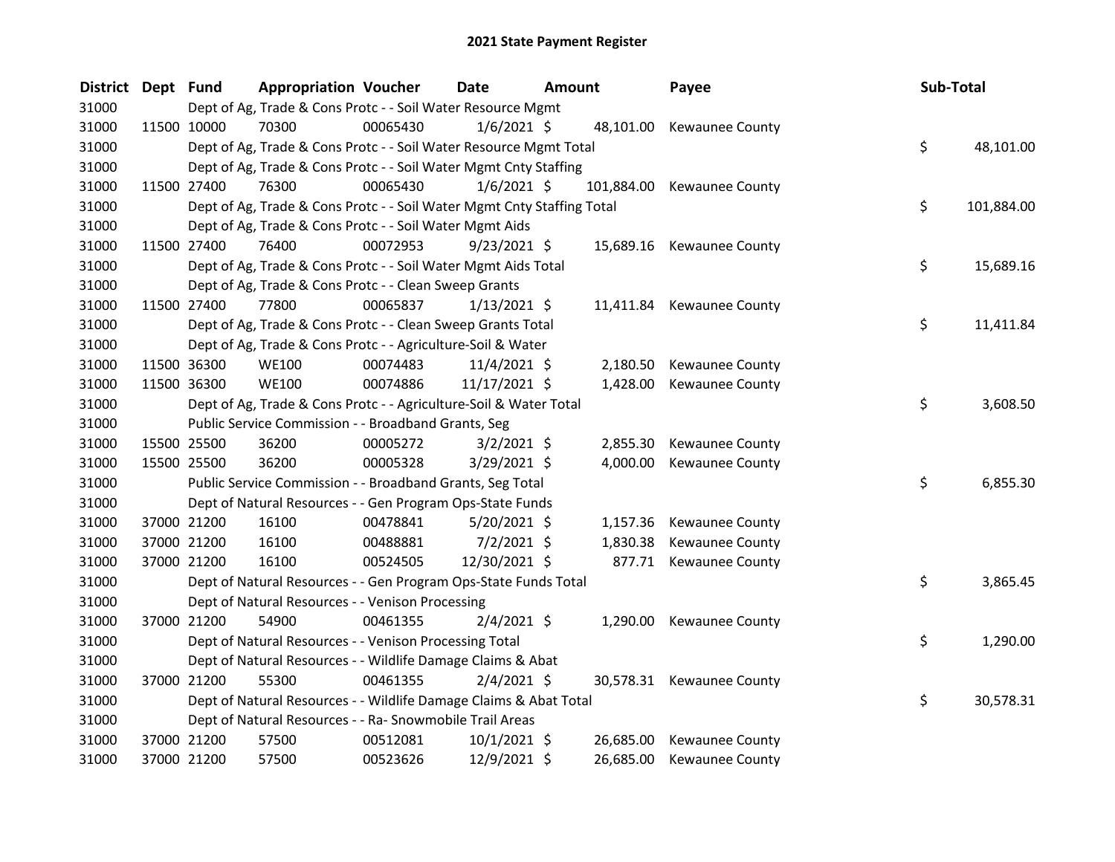| District Dept Fund |             | <b>Appropriation Voucher</b>                                           |          | Date           | <b>Amount</b> | Payee                     | Sub-Total        |
|--------------------|-------------|------------------------------------------------------------------------|----------|----------------|---------------|---------------------------|------------------|
| 31000              |             | Dept of Ag, Trade & Cons Protc - - Soil Water Resource Mgmt            |          |                |               |                           |                  |
| 31000              | 11500 10000 | 70300                                                                  | 00065430 | $1/6/2021$ \$  |               | 48,101.00 Kewaunee County |                  |
| 31000              |             | Dept of Ag, Trade & Cons Protc - - Soil Water Resource Mgmt Total      |          |                |               |                           | \$<br>48,101.00  |
| 31000              |             | Dept of Ag, Trade & Cons Protc - - Soil Water Mgmt Cnty Staffing       |          |                |               |                           |                  |
| 31000              | 11500 27400 | 76300                                                                  | 00065430 | $1/6/2021$ \$  | 101,884.00    | <b>Kewaunee County</b>    |                  |
| 31000              |             | Dept of Ag, Trade & Cons Protc - - Soil Water Mgmt Cnty Staffing Total |          |                |               |                           | \$<br>101,884.00 |
| 31000              |             | Dept of Ag, Trade & Cons Protc - - Soil Water Mgmt Aids                |          |                |               |                           |                  |
| 31000              | 11500 27400 | 76400                                                                  | 00072953 | $9/23/2021$ \$ |               | 15,689.16 Kewaunee County |                  |
| 31000              |             | Dept of Ag, Trade & Cons Protc - - Soil Water Mgmt Aids Total          |          |                |               |                           | \$<br>15,689.16  |
| 31000              |             | Dept of Ag, Trade & Cons Protc - - Clean Sweep Grants                  |          |                |               |                           |                  |
| 31000              | 11500 27400 | 77800                                                                  | 00065837 | $1/13/2021$ \$ |               | 11,411.84 Kewaunee County |                  |
| 31000              |             | Dept of Ag, Trade & Cons Protc - - Clean Sweep Grants Total            |          |                |               |                           | \$<br>11,411.84  |
| 31000              |             | Dept of Ag, Trade & Cons Protc - - Agriculture-Soil & Water            |          |                |               |                           |                  |
| 31000              | 11500 36300 | <b>WE100</b>                                                           | 00074483 | $11/4/2021$ \$ | 2,180.50      | Kewaunee County           |                  |
| 31000              | 11500 36300 | <b>WE100</b>                                                           | 00074886 | 11/17/2021 \$  | 1,428.00      | Kewaunee County           |                  |
| 31000              |             | Dept of Ag, Trade & Cons Protc - - Agriculture-Soil & Water Total      |          |                |               |                           | \$<br>3,608.50   |
| 31000              |             | Public Service Commission - - Broadband Grants, Seg                    |          |                |               |                           |                  |
| 31000              | 15500 25500 | 36200                                                                  | 00005272 | $3/2/2021$ \$  | 2,855.30      | Kewaunee County           |                  |
| 31000              | 15500 25500 | 36200                                                                  | 00005328 | $3/29/2021$ \$ | 4,000.00      | Kewaunee County           |                  |
| 31000              |             | Public Service Commission - - Broadband Grants, Seg Total              |          |                |               |                           | \$<br>6,855.30   |
| 31000              |             | Dept of Natural Resources - - Gen Program Ops-State Funds              |          |                |               |                           |                  |
| 31000              | 37000 21200 | 16100                                                                  | 00478841 | $5/20/2021$ \$ | 1,157.36      | Kewaunee County           |                  |
| 31000              | 37000 21200 | 16100                                                                  | 00488881 | $7/2/2021$ \$  | 1,830.38      | Kewaunee County           |                  |
| 31000              | 37000 21200 | 16100                                                                  | 00524505 | 12/30/2021 \$  |               | 877.71 Kewaunee County    |                  |
| 31000              |             | Dept of Natural Resources - - Gen Program Ops-State Funds Total        |          |                |               |                           | \$<br>3,865.45   |
| 31000              |             | Dept of Natural Resources - - Venison Processing                       |          |                |               |                           |                  |
| 31000              | 37000 21200 | 54900                                                                  | 00461355 | $2/4/2021$ \$  |               | 1,290.00 Kewaunee County  |                  |
| 31000              |             | Dept of Natural Resources - - Venison Processing Total                 |          |                |               |                           | \$<br>1,290.00   |
| 31000              |             | Dept of Natural Resources - - Wildlife Damage Claims & Abat            |          |                |               |                           |                  |
| 31000              | 37000 21200 | 55300                                                                  | 00461355 | $2/4/2021$ \$  |               | 30,578.31 Kewaunee County |                  |
| 31000              |             | Dept of Natural Resources - - Wildlife Damage Claims & Abat Total      |          |                |               |                           | \$<br>30,578.31  |
| 31000              |             | Dept of Natural Resources - - Ra- Snowmobile Trail Areas               |          |                |               |                           |                  |
| 31000              | 37000 21200 | 57500                                                                  | 00512081 | $10/1/2021$ \$ | 26,685.00     | Kewaunee County           |                  |
| 31000              | 37000 21200 | 57500                                                                  | 00523626 | 12/9/2021 \$   | 26,685.00     | <b>Kewaunee County</b>    |                  |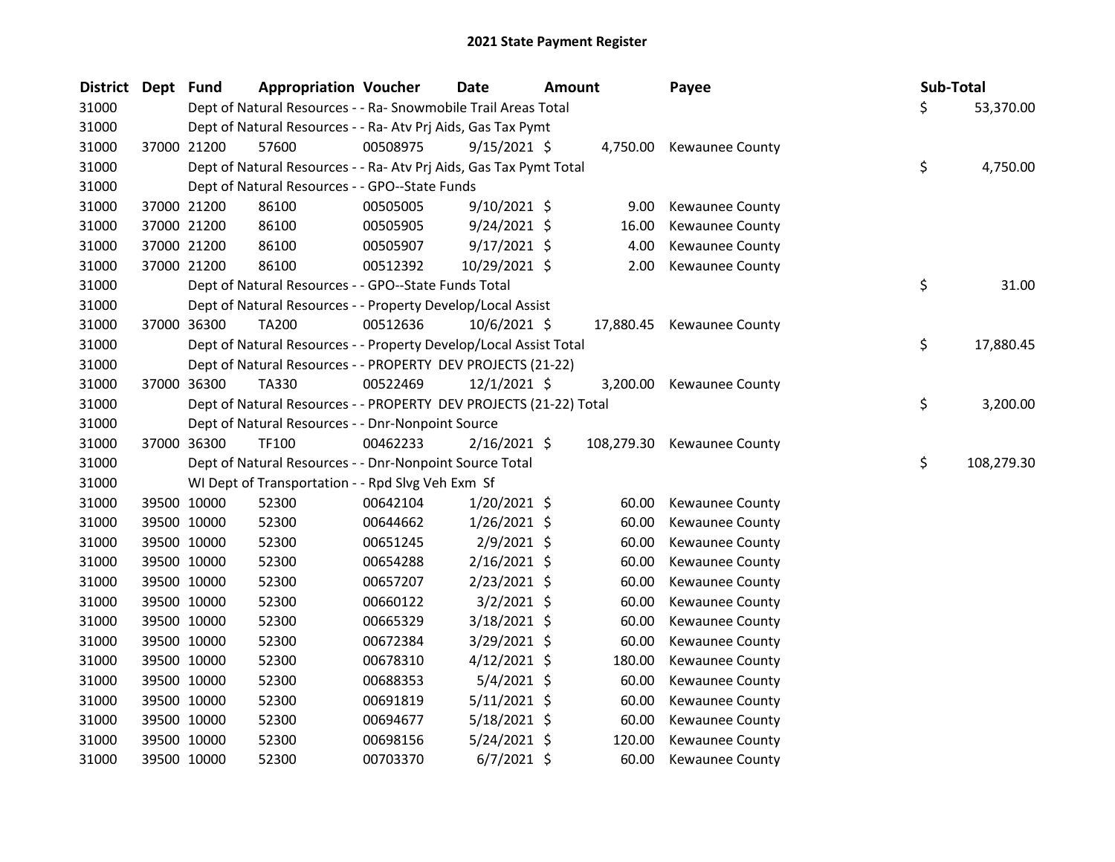| <b>District</b> | Dept Fund |             | <b>Appropriation Voucher</b>                                       |          | Date           | Amount |           | Payee                      | Sub-Total |            |
|-----------------|-----------|-------------|--------------------------------------------------------------------|----------|----------------|--------|-----------|----------------------------|-----------|------------|
| 31000           |           |             | Dept of Natural Resources - - Ra- Snowmobile Trail Areas Total     |          |                |        |           |                            | \$        | 53,370.00  |
| 31000           |           |             | Dept of Natural Resources - - Ra- Atv Prj Aids, Gas Tax Pymt       |          |                |        |           |                            |           |            |
| 31000           |           | 37000 21200 | 57600                                                              | 00508975 | $9/15/2021$ \$ |        | 4,750.00  | <b>Kewaunee County</b>     |           |            |
| 31000           |           |             | Dept of Natural Resources - - Ra- Atv Prj Aids, Gas Tax Pymt Total |          |                |        |           |                            | \$        | 4,750.00   |
| 31000           |           |             | Dept of Natural Resources - - GPO--State Funds                     |          |                |        |           |                            |           |            |
| 31000           |           | 37000 21200 | 86100                                                              | 00505005 | 9/10/2021 \$   |        | 9.00      | Kewaunee County            |           |            |
| 31000           |           | 37000 21200 | 86100                                                              | 00505905 | $9/24/2021$ \$ |        | 16.00     | Kewaunee County            |           |            |
| 31000           |           | 37000 21200 | 86100                                                              | 00505907 | $9/17/2021$ \$ |        | 4.00      | Kewaunee County            |           |            |
| 31000           |           | 37000 21200 | 86100                                                              | 00512392 | 10/29/2021 \$  |        | 2.00      | Kewaunee County            |           |            |
| 31000           |           |             | Dept of Natural Resources - - GPO--State Funds Total               |          |                |        |           |                            | \$        | 31.00      |
| 31000           |           |             | Dept of Natural Resources - - Property Develop/Local Assist        |          |                |        |           |                            |           |            |
| 31000           |           | 37000 36300 | TA200                                                              | 00512636 | 10/6/2021 \$   |        | 17,880.45 | Kewaunee County            |           |            |
| 31000           |           |             | Dept of Natural Resources - - Property Develop/Local Assist Total  |          |                |        |           |                            | \$        | 17,880.45  |
| 31000           |           |             | Dept of Natural Resources - - PROPERTY DEV PROJECTS (21-22)        |          |                |        |           |                            |           |            |
| 31000           |           | 37000 36300 | TA330                                                              | 00522469 | $12/1/2021$ \$ |        | 3,200.00  | <b>Kewaunee County</b>     |           |            |
| 31000           |           |             | Dept of Natural Resources - - PROPERTY DEV PROJECTS (21-22) Total  |          |                |        |           |                            | \$        | 3,200.00   |
| 31000           |           |             | Dept of Natural Resources - - Dnr-Nonpoint Source                  |          |                |        |           |                            |           |            |
| 31000           |           | 37000 36300 | <b>TF100</b>                                                       | 00462233 | $2/16/2021$ \$ |        |           | 108,279.30 Kewaunee County |           |            |
| 31000           |           |             | Dept of Natural Resources - - Dnr-Nonpoint Source Total            |          |                |        |           |                            | \$        | 108,279.30 |
| 31000           |           |             | WI Dept of Transportation - - Rpd Slvg Veh Exm Sf                  |          |                |        |           |                            |           |            |
| 31000           |           | 39500 10000 | 52300                                                              | 00642104 | $1/20/2021$ \$ |        | 60.00     | Kewaunee County            |           |            |
| 31000           |           | 39500 10000 | 52300                                                              | 00644662 | $1/26/2021$ \$ |        | 60.00     | Kewaunee County            |           |            |
| 31000           |           | 39500 10000 | 52300                                                              | 00651245 | $2/9/2021$ \$  |        | 60.00     | <b>Kewaunee County</b>     |           |            |
| 31000           |           | 39500 10000 | 52300                                                              | 00654288 | $2/16/2021$ \$ |        | 60.00     | Kewaunee County            |           |            |
| 31000           |           | 39500 10000 | 52300                                                              | 00657207 | 2/23/2021 \$   |        | 60.00     | Kewaunee County            |           |            |
| 31000           |           | 39500 10000 | 52300                                                              | 00660122 | $3/2/2021$ \$  |        | 60.00     | Kewaunee County            |           |            |
| 31000           |           | 39500 10000 | 52300                                                              | 00665329 | $3/18/2021$ \$ |        | 60.00     | Kewaunee County            |           |            |
| 31000           |           | 39500 10000 | 52300                                                              | 00672384 | $3/29/2021$ \$ |        | 60.00     | Kewaunee County            |           |            |
| 31000           |           | 39500 10000 | 52300                                                              | 00678310 | $4/12/2021$ \$ |        | 180.00    | Kewaunee County            |           |            |
| 31000           |           | 39500 10000 | 52300                                                              | 00688353 | $5/4/2021$ \$  |        | 60.00     | Kewaunee County            |           |            |
| 31000           |           | 39500 10000 | 52300                                                              | 00691819 | $5/11/2021$ \$ |        | 60.00     | Kewaunee County            |           |            |
| 31000           |           | 39500 10000 | 52300                                                              | 00694677 | 5/18/2021 \$   |        | 60.00     | Kewaunee County            |           |            |
| 31000           |           | 39500 10000 | 52300                                                              | 00698156 | 5/24/2021 \$   |        | 120.00    | Kewaunee County            |           |            |
| 31000           |           | 39500 10000 | 52300                                                              | 00703370 | $6/7/2021$ \$  |        | 60.00     | <b>Kewaunee County</b>     |           |            |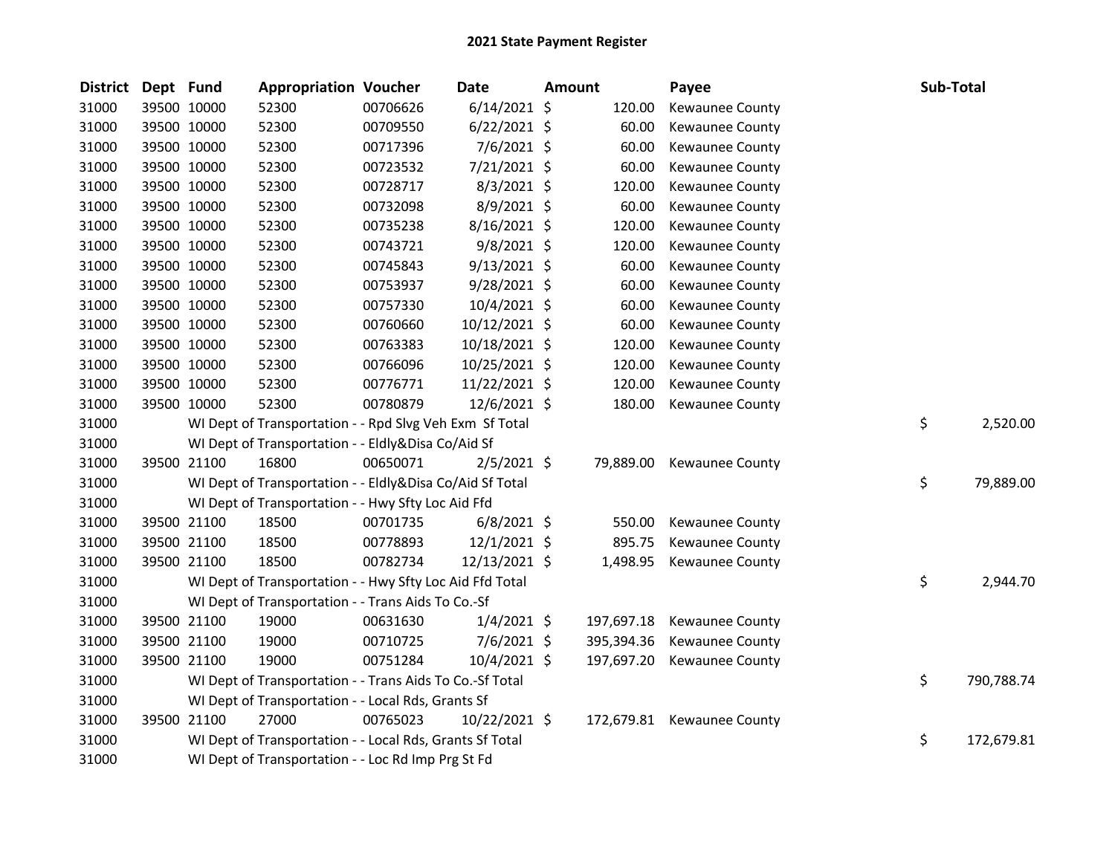| <b>District</b> | Dept Fund |             | <b>Appropriation Voucher</b>                             |          | <b>Date</b>    | <b>Amount</b> | Payee                      | Sub-Total |            |
|-----------------|-----------|-------------|----------------------------------------------------------|----------|----------------|---------------|----------------------------|-----------|------------|
| 31000           |           | 39500 10000 | 52300                                                    | 00706626 | 6/14/2021 \$   | 120.00        | Kewaunee County            |           |            |
| 31000           |           | 39500 10000 | 52300                                                    | 00709550 | $6/22/2021$ \$ | 60.00         | <b>Kewaunee County</b>     |           |            |
| 31000           |           | 39500 10000 | 52300                                                    | 00717396 | 7/6/2021 \$    | 60.00         | <b>Kewaunee County</b>     |           |            |
| 31000           |           | 39500 10000 | 52300                                                    | 00723532 | 7/21/2021 \$   | 60.00         | <b>Kewaunee County</b>     |           |            |
| 31000           |           | 39500 10000 | 52300                                                    | 00728717 | $8/3/2021$ \$  | 120.00        | Kewaunee County            |           |            |
| 31000           |           | 39500 10000 | 52300                                                    | 00732098 | $8/9/2021$ \$  | 60.00         | Kewaunee County            |           |            |
| 31000           |           | 39500 10000 | 52300                                                    | 00735238 | 8/16/2021 \$   | 120.00        | Kewaunee County            |           |            |
| 31000           |           | 39500 10000 | 52300                                                    | 00743721 | 9/8/2021 \$    | 120.00        | Kewaunee County            |           |            |
| 31000           |           | 39500 10000 | 52300                                                    | 00745843 | $9/13/2021$ \$ | 60.00         | Kewaunee County            |           |            |
| 31000           |           | 39500 10000 | 52300                                                    | 00753937 | 9/28/2021 \$   | 60.00         | Kewaunee County            |           |            |
| 31000           |           | 39500 10000 | 52300                                                    | 00757330 | 10/4/2021 \$   | 60.00         | Kewaunee County            |           |            |
| 31000           |           | 39500 10000 | 52300                                                    | 00760660 | 10/12/2021 \$  | 60.00         | Kewaunee County            |           |            |
| 31000           |           | 39500 10000 | 52300                                                    | 00763383 | 10/18/2021 \$  | 120.00        | Kewaunee County            |           |            |
| 31000           |           | 39500 10000 | 52300                                                    | 00766096 | 10/25/2021 \$  | 120.00        | Kewaunee County            |           |            |
| 31000           |           | 39500 10000 | 52300                                                    | 00776771 | 11/22/2021 \$  | 120.00        | Kewaunee County            |           |            |
| 31000           |           | 39500 10000 | 52300                                                    | 00780879 | 12/6/2021 \$   | 180.00        | Kewaunee County            |           |            |
| 31000           |           |             | WI Dept of Transportation - - Rpd Slvg Veh Exm Sf Total  |          |                |               |                            | \$        | 2,520.00   |
| 31000           |           |             | WI Dept of Transportation - - Eldly&Disa Co/Aid Sf       |          |                |               |                            |           |            |
| 31000           |           | 39500 21100 | 16800                                                    | 00650071 | $2/5/2021$ \$  |               | 79,889.00 Kewaunee County  |           |            |
| 31000           |           |             | WI Dept of Transportation - - Eldly&Disa Co/Aid Sf Total |          |                |               |                            | \$        | 79,889.00  |
| 31000           |           |             | WI Dept of Transportation - - Hwy Sfty Loc Aid Ffd       |          |                |               |                            |           |            |
| 31000           |           | 39500 21100 | 18500                                                    | 00701735 | $6/8/2021$ \$  | 550.00        | Kewaunee County            |           |            |
| 31000           |           | 39500 21100 | 18500                                                    | 00778893 | 12/1/2021 \$   | 895.75        | Kewaunee County            |           |            |
| 31000           |           | 39500 21100 | 18500                                                    | 00782734 | 12/13/2021 \$  | 1,498.95      | Kewaunee County            |           |            |
| 31000           |           |             | WI Dept of Transportation - - Hwy Sfty Loc Aid Ffd Total |          |                |               |                            | \$        | 2,944.70   |
| 31000           |           |             | WI Dept of Transportation - - Trans Aids To Co.-Sf       |          |                |               |                            |           |            |
| 31000           |           | 39500 21100 | 19000                                                    | 00631630 | $1/4/2021$ \$  | 197,697.18    | Kewaunee County            |           |            |
| 31000           |           | 39500 21100 | 19000                                                    | 00710725 | $7/6/2021$ \$  | 395,394.36    | Kewaunee County            |           |            |
| 31000           |           | 39500 21100 | 19000                                                    | 00751284 | $10/4/2021$ \$ | 197,697.20    | Kewaunee County            |           |            |
| 31000           |           |             | WI Dept of Transportation - - Trans Aids To Co.-Sf Total |          |                |               |                            | \$        | 790,788.74 |
| 31000           |           |             | WI Dept of Transportation - - Local Rds, Grants Sf       |          |                |               |                            |           |            |
| 31000           |           | 39500 21100 | 27000                                                    | 00765023 | 10/22/2021 \$  |               | 172,679.81 Kewaunee County |           |            |
| 31000           |           |             | WI Dept of Transportation - - Local Rds, Grants Sf Total |          |                |               |                            | \$        | 172,679.81 |
| 31000           |           |             | WI Dept of Transportation - - Loc Rd Imp Prg St Fd       |          |                |               |                            |           |            |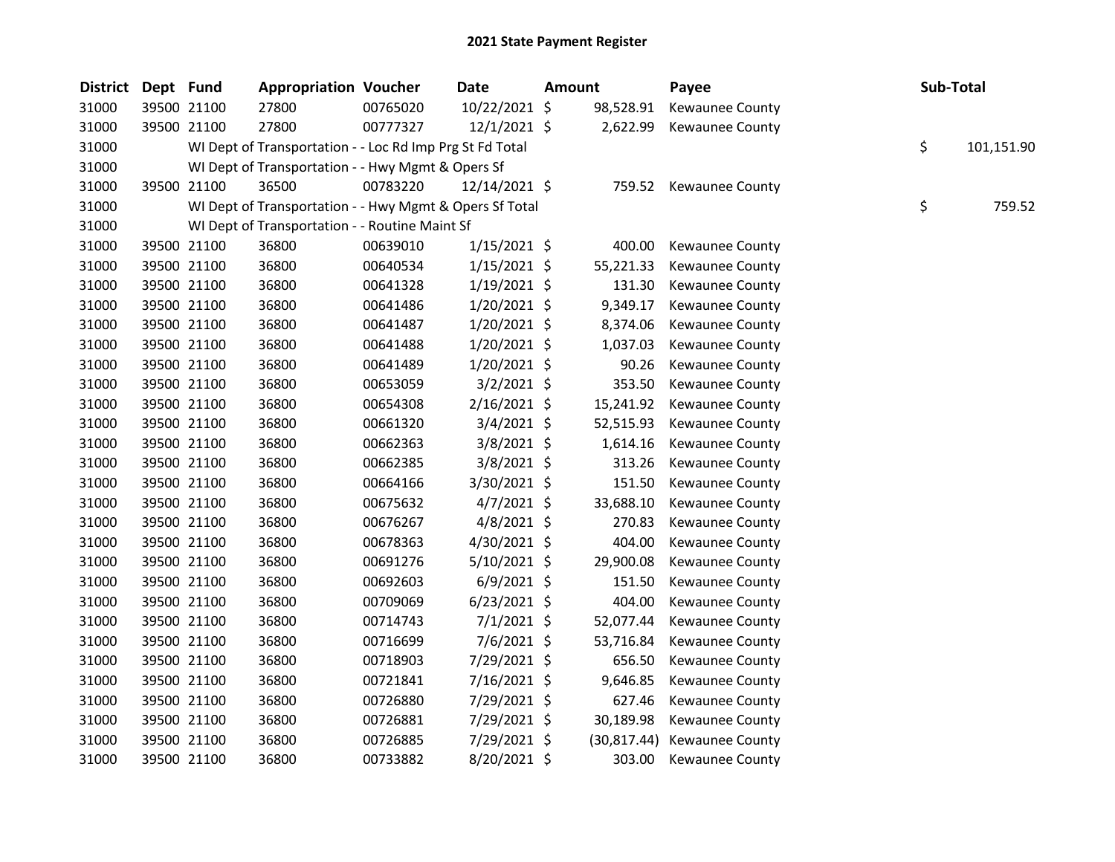| <b>District</b> | Dept Fund |             | <b>Appropriation Voucher</b>                             |          | <b>Date</b>    | Amount |              | Payee                  | Sub-Total |            |
|-----------------|-----------|-------------|----------------------------------------------------------|----------|----------------|--------|--------------|------------------------|-----------|------------|
| 31000           |           | 39500 21100 | 27800                                                    | 00765020 | 10/22/2021 \$  |        | 98,528.91    | Kewaunee County        |           |            |
| 31000           |           | 39500 21100 | 27800                                                    | 00777327 | 12/1/2021 \$   |        | 2,622.99     | Kewaunee County        |           |            |
| 31000           |           |             | WI Dept of Transportation - - Loc Rd Imp Prg St Fd Total |          |                |        |              |                        | \$        | 101,151.90 |
| 31000           |           |             | WI Dept of Transportation - - Hwy Mgmt & Opers Sf        |          |                |        |              |                        |           |            |
| 31000           |           | 39500 21100 | 36500                                                    | 00783220 | 12/14/2021 \$  |        | 759.52       | Kewaunee County        |           |            |
| 31000           |           |             | WI Dept of Transportation - - Hwy Mgmt & Opers Sf Total  |          |                |        |              |                        | \$        | 759.52     |
| 31000           |           |             | WI Dept of Transportation - - Routine Maint Sf           |          |                |        |              |                        |           |            |
| 31000           |           | 39500 21100 | 36800                                                    | 00639010 | $1/15/2021$ \$ |        | 400.00       | Kewaunee County        |           |            |
| 31000           |           | 39500 21100 | 36800                                                    | 00640534 | $1/15/2021$ \$ |        | 55,221.33    | Kewaunee County        |           |            |
| 31000           |           | 39500 21100 | 36800                                                    | 00641328 | $1/19/2021$ \$ |        | 131.30       | Kewaunee County        |           |            |
| 31000           |           | 39500 21100 | 36800                                                    | 00641486 | 1/20/2021 \$   |        | 9,349.17     | Kewaunee County        |           |            |
| 31000           |           | 39500 21100 | 36800                                                    | 00641487 | 1/20/2021 \$   |        | 8,374.06     | Kewaunee County        |           |            |
| 31000           |           | 39500 21100 | 36800                                                    | 00641488 | 1/20/2021 \$   |        | 1,037.03     | Kewaunee County        |           |            |
| 31000           |           | 39500 21100 | 36800                                                    | 00641489 | $1/20/2021$ \$ |        | 90.26        | Kewaunee County        |           |            |
| 31000           |           | 39500 21100 | 36800                                                    | 00653059 | $3/2/2021$ \$  |        | 353.50       | Kewaunee County        |           |            |
| 31000           |           | 39500 21100 | 36800                                                    | 00654308 | $2/16/2021$ \$ |        | 15,241.92    | Kewaunee County        |           |            |
| 31000           |           | 39500 21100 | 36800                                                    | 00661320 | 3/4/2021 \$    |        | 52,515.93    | Kewaunee County        |           |            |
| 31000           |           | 39500 21100 | 36800                                                    | 00662363 | $3/8/2021$ \$  |        | 1,614.16     | Kewaunee County        |           |            |
| 31000           |           | 39500 21100 | 36800                                                    | 00662385 | 3/8/2021 \$    |        | 313.26       | Kewaunee County        |           |            |
| 31000           |           | 39500 21100 | 36800                                                    | 00664166 | 3/30/2021 \$   |        | 151.50       | Kewaunee County        |           |            |
| 31000           |           | 39500 21100 | 36800                                                    | 00675632 | $4/7/2021$ \$  |        | 33,688.10    | Kewaunee County        |           |            |
| 31000           |           | 39500 21100 | 36800                                                    | 00676267 | $4/8/2021$ \$  |        | 270.83       | Kewaunee County        |           |            |
| 31000           |           | 39500 21100 | 36800                                                    | 00678363 | 4/30/2021 \$   |        | 404.00       | Kewaunee County        |           |            |
| 31000           |           | 39500 21100 | 36800                                                    | 00691276 | 5/10/2021 \$   |        | 29,900.08    | <b>Kewaunee County</b> |           |            |
| 31000           |           | 39500 21100 | 36800                                                    | 00692603 | $6/9/2021$ \$  |        | 151.50       | Kewaunee County        |           |            |
| 31000           |           | 39500 21100 | 36800                                                    | 00709069 | $6/23/2021$ \$ |        | 404.00       | Kewaunee County        |           |            |
| 31000           |           | 39500 21100 | 36800                                                    | 00714743 | $7/1/2021$ \$  |        | 52,077.44    | Kewaunee County        |           |            |
| 31000           |           | 39500 21100 | 36800                                                    | 00716699 | 7/6/2021 \$    |        | 53,716.84    | Kewaunee County        |           |            |
| 31000           |           | 39500 21100 | 36800                                                    | 00718903 | 7/29/2021 \$   |        | 656.50       | Kewaunee County        |           |            |
| 31000           |           | 39500 21100 | 36800                                                    | 00721841 | 7/16/2021 \$   |        | 9,646.85     | Kewaunee County        |           |            |
| 31000           |           | 39500 21100 | 36800                                                    | 00726880 | 7/29/2021 \$   |        | 627.46       | Kewaunee County        |           |            |
| 31000           |           | 39500 21100 | 36800                                                    | 00726881 | 7/29/2021 \$   |        | 30,189.98    | Kewaunee County        |           |            |
| 31000           |           | 39500 21100 | 36800                                                    | 00726885 | 7/29/2021 \$   |        | (30, 817.44) | Kewaunee County        |           |            |
| 31000           |           | 39500 21100 | 36800                                                    | 00733882 | 8/20/2021 \$   |        | 303.00       | Kewaunee County        |           |            |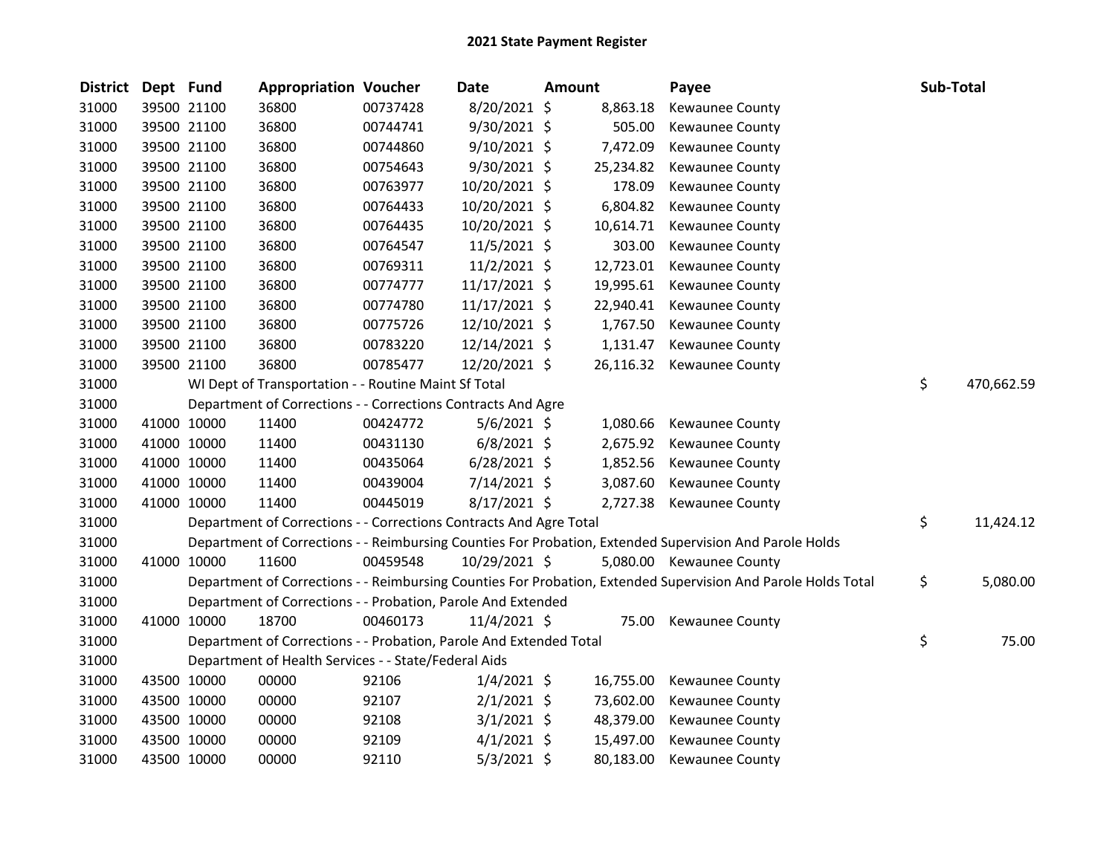| <b>District</b> | Dept Fund |             | <b>Appropriation Voucher</b>                                       |          | Date           | <b>Amount</b> |           | Payee                                                                                                         | Sub-Total |            |
|-----------------|-----------|-------------|--------------------------------------------------------------------|----------|----------------|---------------|-----------|---------------------------------------------------------------------------------------------------------------|-----------|------------|
| 31000           |           | 39500 21100 | 36800                                                              | 00737428 | 8/20/2021 \$   |               | 8,863.18  | Kewaunee County                                                                                               |           |            |
| 31000           |           | 39500 21100 | 36800                                                              | 00744741 | 9/30/2021 \$   |               | 505.00    | Kewaunee County                                                                                               |           |            |
| 31000           |           | 39500 21100 | 36800                                                              | 00744860 | 9/10/2021 \$   |               | 7,472.09  | Kewaunee County                                                                                               |           |            |
| 31000           |           | 39500 21100 | 36800                                                              | 00754643 | 9/30/2021 \$   |               | 25,234.82 | Kewaunee County                                                                                               |           |            |
| 31000           |           | 39500 21100 | 36800                                                              | 00763977 | 10/20/2021 \$  |               | 178.09    | Kewaunee County                                                                                               |           |            |
| 31000           |           | 39500 21100 | 36800                                                              | 00764433 | 10/20/2021 \$  |               | 6,804.82  | Kewaunee County                                                                                               |           |            |
| 31000           |           | 39500 21100 | 36800                                                              | 00764435 | 10/20/2021 \$  |               | 10,614.71 | Kewaunee County                                                                                               |           |            |
| 31000           |           | 39500 21100 | 36800                                                              | 00764547 | 11/5/2021 \$   |               | 303.00    | Kewaunee County                                                                                               |           |            |
| 31000           |           | 39500 21100 | 36800                                                              | 00769311 | 11/2/2021 \$   |               | 12,723.01 | Kewaunee County                                                                                               |           |            |
| 31000           |           | 39500 21100 | 36800                                                              | 00774777 | 11/17/2021 \$  |               | 19,995.61 | Kewaunee County                                                                                               |           |            |
| 31000           |           | 39500 21100 | 36800                                                              | 00774780 | 11/17/2021 \$  |               | 22,940.41 | Kewaunee County                                                                                               |           |            |
| 31000           |           | 39500 21100 | 36800                                                              | 00775726 | 12/10/2021 \$  |               | 1,767.50  | Kewaunee County                                                                                               |           |            |
| 31000           |           | 39500 21100 | 36800                                                              | 00783220 | 12/14/2021 \$  |               | 1,131.47  | Kewaunee County                                                                                               |           |            |
| 31000           |           | 39500 21100 | 36800                                                              | 00785477 | 12/20/2021 \$  |               | 26,116.32 | Kewaunee County                                                                                               |           |            |
| 31000           |           |             | WI Dept of Transportation - - Routine Maint Sf Total               |          |                |               |           |                                                                                                               | \$        | 470,662.59 |
| 31000           |           |             | Department of Corrections - - Corrections Contracts And Agre       |          |                |               |           |                                                                                                               |           |            |
| 31000           |           | 41000 10000 | 11400                                                              | 00424772 | 5/6/2021 \$    |               | 1,080.66  | Kewaunee County                                                                                               |           |            |
| 31000           |           | 41000 10000 | 11400                                                              | 00431130 | $6/8/2021$ \$  |               |           | 2,675.92 Kewaunee County                                                                                      |           |            |
| 31000           |           | 41000 10000 | 11400                                                              | 00435064 | $6/28/2021$ \$ |               | 1,852.56  | Kewaunee County                                                                                               |           |            |
| 31000           |           | 41000 10000 | 11400                                                              | 00439004 | 7/14/2021 \$   |               | 3,087.60  | <b>Kewaunee County</b>                                                                                        |           |            |
| 31000           |           | 41000 10000 | 11400                                                              | 00445019 | 8/17/2021 \$   |               | 2,727.38  | Kewaunee County                                                                                               |           |            |
| 31000           |           |             | Department of Corrections - - Corrections Contracts And Agre Total |          |                |               |           |                                                                                                               | \$        | 11,424.12  |
| 31000           |           |             |                                                                    |          |                |               |           | Department of Corrections - - Reimbursing Counties For Probation, Extended Supervision And Parole Holds       |           |            |
| 31000           |           | 41000 10000 | 11600                                                              | 00459548 | 10/29/2021 \$  |               |           | 5,080.00 Kewaunee County                                                                                      |           |            |
| 31000           |           |             |                                                                    |          |                |               |           | Department of Corrections - - Reimbursing Counties For Probation, Extended Supervision And Parole Holds Total | \$        | 5,080.00   |
| 31000           |           |             | Department of Corrections - - Probation, Parole And Extended       |          |                |               |           |                                                                                                               |           |            |
| 31000           |           | 41000 10000 | 18700                                                              | 00460173 | 11/4/2021 \$   |               |           | 75.00 Kewaunee County                                                                                         |           |            |
| 31000           |           |             | Department of Corrections - - Probation, Parole And Extended Total |          |                |               |           |                                                                                                               | \$        | 75.00      |
| 31000           |           |             | Department of Health Services - - State/Federal Aids               |          |                |               |           |                                                                                                               |           |            |
| 31000           |           | 43500 10000 | 00000                                                              | 92106    | $1/4/2021$ \$  |               | 16,755.00 | <b>Kewaunee County</b>                                                                                        |           |            |
| 31000           |           | 43500 10000 | 00000                                                              | 92107    | $2/1/2021$ \$  |               | 73,602.00 | Kewaunee County                                                                                               |           |            |
| 31000           |           | 43500 10000 | 00000                                                              | 92108    | $3/1/2021$ \$  |               | 48,379.00 | Kewaunee County                                                                                               |           |            |
| 31000           |           | 43500 10000 | 00000                                                              | 92109    | $4/1/2021$ \$  |               | 15,497.00 | Kewaunee County                                                                                               |           |            |
| 31000           |           | 43500 10000 | 00000                                                              | 92110    | 5/3/2021 \$    |               | 80,183.00 | <b>Kewaunee County</b>                                                                                        |           |            |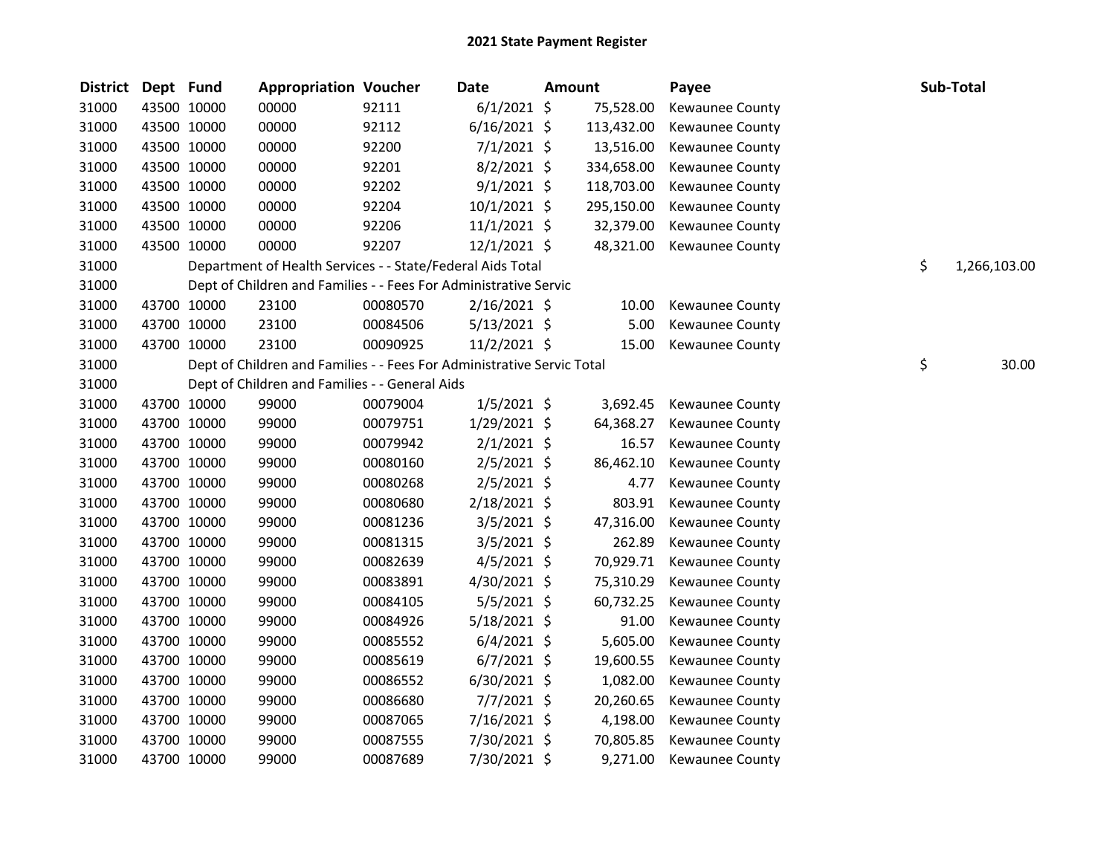| <b>District</b> | Dept Fund |             | <b>Appropriation Voucher</b>                                           |          | <b>Date</b>    | <b>Amount</b> |            | Payee                  | Sub-Total          |
|-----------------|-----------|-------------|------------------------------------------------------------------------|----------|----------------|---------------|------------|------------------------|--------------------|
| 31000           |           | 43500 10000 | 00000                                                                  | 92111    | $6/1/2021$ \$  |               | 75,528.00  | Kewaunee County        |                    |
| 31000           |           | 43500 10000 | 00000                                                                  | 92112    | $6/16/2021$ \$ |               | 113,432.00 | <b>Kewaunee County</b> |                    |
| 31000           |           | 43500 10000 | 00000                                                                  | 92200    | $7/1/2021$ \$  |               | 13,516.00  | <b>Kewaunee County</b> |                    |
| 31000           |           | 43500 10000 | 00000                                                                  | 92201    | $8/2/2021$ \$  |               | 334,658.00 | <b>Kewaunee County</b> |                    |
| 31000           |           | 43500 10000 | 00000                                                                  | 92202    | $9/1/2021$ \$  |               | 118,703.00 | Kewaunee County        |                    |
| 31000           |           | 43500 10000 | 00000                                                                  | 92204    | $10/1/2021$ \$ |               | 295,150.00 | Kewaunee County        |                    |
| 31000           |           | 43500 10000 | 00000                                                                  | 92206    | $11/1/2021$ \$ |               | 32,379.00  | Kewaunee County        |                    |
| 31000           |           | 43500 10000 | 00000                                                                  | 92207    | $12/1/2021$ \$ |               | 48,321.00  | Kewaunee County        |                    |
| 31000           |           |             | Department of Health Services - - State/Federal Aids Total             |          |                |               |            |                        | \$<br>1,266,103.00 |
| 31000           |           |             | Dept of Children and Families - - Fees For Administrative Servic       |          |                |               |            |                        |                    |
| 31000           |           | 43700 10000 | 23100                                                                  | 00080570 | $2/16/2021$ \$ |               | 10.00      | Kewaunee County        |                    |
| 31000           |           | 43700 10000 | 23100                                                                  | 00084506 | $5/13/2021$ \$ |               | 5.00       | Kewaunee County        |                    |
| 31000           |           | 43700 10000 | 23100                                                                  | 00090925 | 11/2/2021 \$   |               | 15.00      | Kewaunee County        |                    |
| 31000           |           |             | Dept of Children and Families - - Fees For Administrative Servic Total |          |                |               |            |                        | \$<br>30.00        |
| 31000           |           |             | Dept of Children and Families - - General Aids                         |          |                |               |            |                        |                    |
| 31000           |           | 43700 10000 | 99000                                                                  | 00079004 | $1/5/2021$ \$  |               | 3,692.45   | Kewaunee County        |                    |
| 31000           |           | 43700 10000 | 99000                                                                  | 00079751 | 1/29/2021 \$   |               | 64,368.27  | Kewaunee County        |                    |
| 31000           |           | 43700 10000 | 99000                                                                  | 00079942 | $2/1/2021$ \$  |               | 16.57      | Kewaunee County        |                    |
| 31000           |           | 43700 10000 | 99000                                                                  | 00080160 | $2/5/2021$ \$  |               | 86,462.10  | Kewaunee County        |                    |
| 31000           |           | 43700 10000 | 99000                                                                  | 00080268 | $2/5/2021$ \$  |               | 4.77       | Kewaunee County        |                    |
| 31000           |           | 43700 10000 | 99000                                                                  | 00080680 | 2/18/2021 \$   |               | 803.91     | Kewaunee County        |                    |
| 31000           |           | 43700 10000 | 99000                                                                  | 00081236 | 3/5/2021 \$    |               | 47,316.00  | Kewaunee County        |                    |
| 31000           |           | 43700 10000 | 99000                                                                  | 00081315 | $3/5/2021$ \$  |               | 262.89     | Kewaunee County        |                    |
| 31000           |           | 43700 10000 | 99000                                                                  | 00082639 | $4/5/2021$ \$  |               | 70,929.71  | Kewaunee County        |                    |
| 31000           |           | 43700 10000 | 99000                                                                  | 00083891 | $4/30/2021$ \$ |               | 75,310.29  | Kewaunee County        |                    |
| 31000           |           | 43700 10000 | 99000                                                                  | 00084105 | $5/5/2021$ \$  |               | 60,732.25  | <b>Kewaunee County</b> |                    |
| 31000           |           | 43700 10000 | 99000                                                                  | 00084926 | $5/18/2021$ \$ |               | 91.00      | Kewaunee County        |                    |
| 31000           |           | 43700 10000 | 99000                                                                  | 00085552 | $6/4/2021$ \$  |               | 5,605.00   | Kewaunee County        |                    |
| 31000           |           | 43700 10000 | 99000                                                                  | 00085619 | $6/7/2021$ \$  |               | 19,600.55  | Kewaunee County        |                    |
| 31000           |           | 43700 10000 | 99000                                                                  | 00086552 | 6/30/2021 \$   |               | 1,082.00   | <b>Kewaunee County</b> |                    |
| 31000           |           | 43700 10000 | 99000                                                                  | 00086680 | 7/7/2021 \$    |               | 20,260.65  | Kewaunee County        |                    |
| 31000           |           | 43700 10000 | 99000                                                                  | 00087065 | $7/16/2021$ \$ |               | 4,198.00   | Kewaunee County        |                    |
| 31000           |           | 43700 10000 | 99000                                                                  | 00087555 | 7/30/2021 \$   |               | 70,805.85  | Kewaunee County        |                    |
| 31000           |           | 43700 10000 | 99000                                                                  | 00087689 | 7/30/2021 \$   |               | 9,271.00   | <b>Kewaunee County</b> |                    |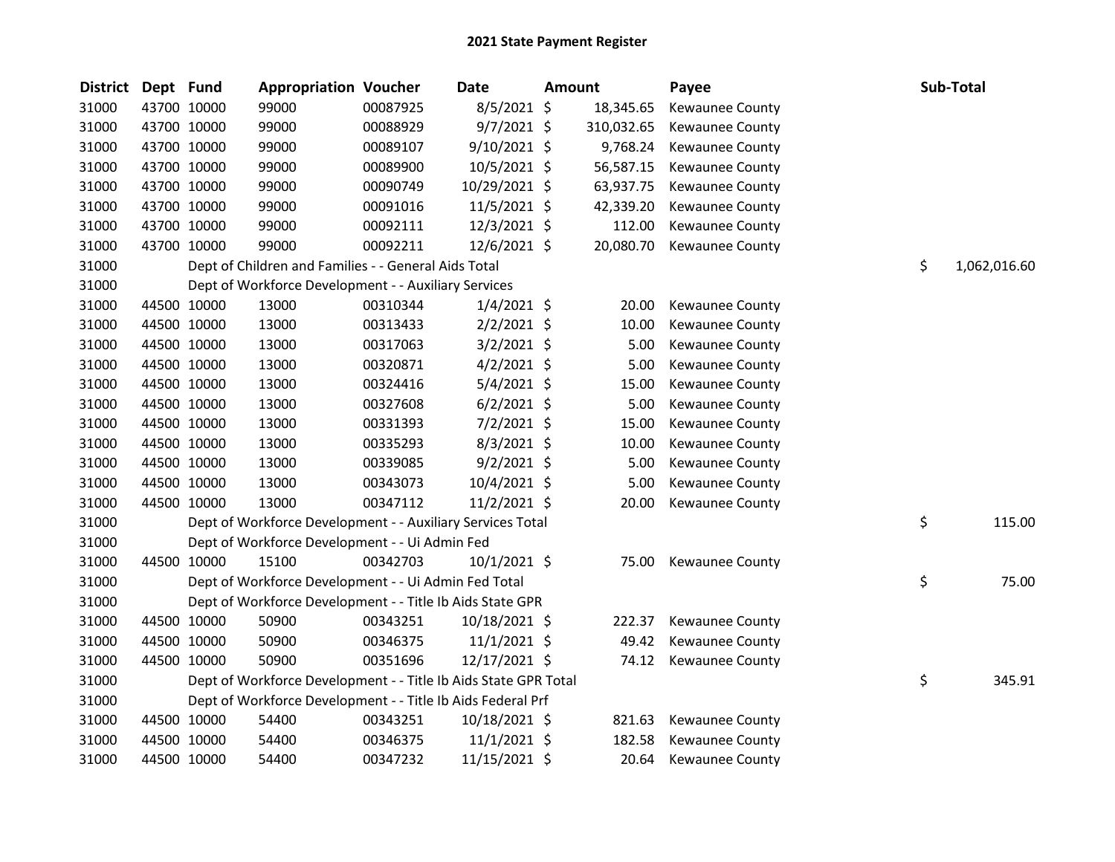| District | Dept Fund   |             | <b>Appropriation Voucher</b>                                    |          | Date           | <b>Amount</b> |            | Payee                  | Sub-Total          |
|----------|-------------|-------------|-----------------------------------------------------------------|----------|----------------|---------------|------------|------------------------|--------------------|
| 31000    | 43700 10000 |             | 99000                                                           | 00087925 | $8/5/2021$ \$  |               | 18,345.65  | Kewaunee County        |                    |
| 31000    | 43700 10000 |             | 99000                                                           | 00088929 | $9/7/2021$ \$  |               | 310,032.65 | Kewaunee County        |                    |
| 31000    | 43700 10000 |             | 99000                                                           | 00089107 | 9/10/2021 \$   |               | 9,768.24   | Kewaunee County        |                    |
| 31000    | 43700 10000 |             | 99000                                                           | 00089900 | 10/5/2021 \$   |               | 56,587.15  | Kewaunee County        |                    |
| 31000    | 43700 10000 |             | 99000                                                           | 00090749 | 10/29/2021 \$  |               | 63,937.75  | Kewaunee County        |                    |
| 31000    | 43700 10000 |             | 99000                                                           | 00091016 | $11/5/2021$ \$ |               | 42,339.20  | Kewaunee County        |                    |
| 31000    |             | 43700 10000 | 99000                                                           | 00092111 | 12/3/2021 \$   |               | 112.00     | Kewaunee County        |                    |
| 31000    |             | 43700 10000 | 99000                                                           | 00092211 | 12/6/2021 \$   |               | 20,080.70  | <b>Kewaunee County</b> |                    |
| 31000    |             |             | Dept of Children and Families - - General Aids Total            |          |                |               |            |                        | \$<br>1,062,016.60 |
| 31000    |             |             | Dept of Workforce Development - - Auxiliary Services            |          |                |               |            |                        |                    |
| 31000    | 44500 10000 |             | 13000                                                           | 00310344 | $1/4/2021$ \$  |               | 20.00      | Kewaunee County        |                    |
| 31000    | 44500 10000 |             | 13000                                                           | 00313433 | $2/2/2021$ \$  |               | 10.00      | Kewaunee County        |                    |
| 31000    | 44500 10000 |             | 13000                                                           | 00317063 | $3/2/2021$ \$  |               | 5.00       | Kewaunee County        |                    |
| 31000    | 44500 10000 |             | 13000                                                           | 00320871 | $4/2/2021$ \$  |               | 5.00       | Kewaunee County        |                    |
| 31000    | 44500 10000 |             | 13000                                                           | 00324416 | $5/4/2021$ \$  |               | 15.00      | Kewaunee County        |                    |
| 31000    | 44500 10000 |             | 13000                                                           | 00327608 | $6/2/2021$ \$  |               | 5.00       | Kewaunee County        |                    |
| 31000    | 44500 10000 |             | 13000                                                           | 00331393 | $7/2/2021$ \$  |               | 15.00      | Kewaunee County        |                    |
| 31000    | 44500 10000 |             | 13000                                                           | 00335293 | $8/3/2021$ \$  |               | 10.00      | Kewaunee County        |                    |
| 31000    | 44500 10000 |             | 13000                                                           | 00339085 | $9/2/2021$ \$  |               | 5.00       | Kewaunee County        |                    |
| 31000    | 44500 10000 |             | 13000                                                           | 00343073 | 10/4/2021 \$   |               | 5.00       | Kewaunee County        |                    |
| 31000    |             | 44500 10000 | 13000                                                           | 00347112 | 11/2/2021 \$   |               | 20.00      | Kewaunee County        |                    |
| 31000    |             |             | Dept of Workforce Development - - Auxiliary Services Total      |          |                |               |            |                        | \$<br>115.00       |
| 31000    |             |             | Dept of Workforce Development - - Ui Admin Fed                  |          |                |               |            |                        |                    |
| 31000    | 44500 10000 |             | 15100                                                           | 00342703 | 10/1/2021 \$   |               | 75.00      | Kewaunee County        |                    |
| 31000    |             |             | Dept of Workforce Development - - Ui Admin Fed Total            |          |                |               |            |                        | \$<br>75.00        |
| 31000    |             |             | Dept of Workforce Development - - Title Ib Aids State GPR       |          |                |               |            |                        |                    |
| 31000    | 44500 10000 |             | 50900                                                           | 00343251 | 10/18/2021 \$  |               | 222.37     | Kewaunee County        |                    |
| 31000    | 44500 10000 |             | 50900                                                           | 00346375 | 11/1/2021 \$   |               | 49.42      | Kewaunee County        |                    |
| 31000    | 44500 10000 |             | 50900                                                           | 00351696 | 12/17/2021 \$  |               | 74.12      | Kewaunee County        |                    |
| 31000    |             |             | Dept of Workforce Development - - Title Ib Aids State GPR Total |          |                |               |            |                        | \$<br>345.91       |
| 31000    |             |             | Dept of Workforce Development - - Title Ib Aids Federal Prf     |          |                |               |            |                        |                    |
| 31000    | 44500 10000 |             | 54400                                                           | 00343251 | 10/18/2021 \$  |               | 821.63     | Kewaunee County        |                    |
| 31000    | 44500 10000 |             | 54400                                                           | 00346375 | 11/1/2021 \$   |               | 182.58     | Kewaunee County        |                    |
| 31000    | 44500 10000 |             | 54400                                                           | 00347232 | 11/15/2021 \$  |               | 20.64      | Kewaunee County        |                    |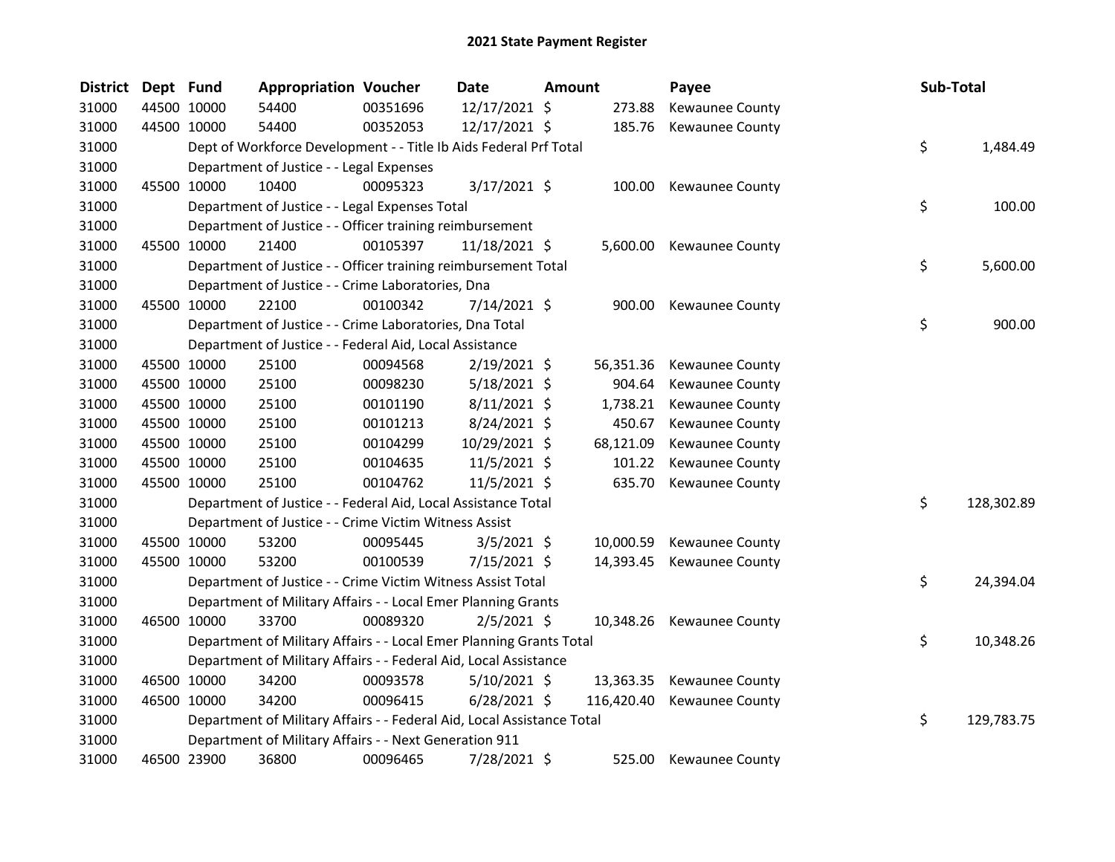| District | Dept Fund |             | <b>Appropriation Voucher</b>                                           |          | Date           | Amount |            | Payee                  | Sub-Total |            |
|----------|-----------|-------------|------------------------------------------------------------------------|----------|----------------|--------|------------|------------------------|-----------|------------|
| 31000    |           | 44500 10000 | 54400                                                                  | 00351696 | 12/17/2021 \$  |        | 273.88     | Kewaunee County        |           |            |
| 31000    |           | 44500 10000 | 54400                                                                  | 00352053 | 12/17/2021 \$  |        | 185.76     | Kewaunee County        |           |            |
| 31000    |           |             | Dept of Workforce Development - - Title Ib Aids Federal Prf Total      |          |                |        |            |                        | \$        | 1,484.49   |
| 31000    |           |             | Department of Justice - - Legal Expenses                               |          |                |        |            |                        |           |            |
| 31000    |           | 45500 10000 | 10400                                                                  | 00095323 | 3/17/2021 \$   |        | 100.00     | Kewaunee County        |           |            |
| 31000    |           |             | Department of Justice - - Legal Expenses Total                         |          |                |        |            |                        | \$        | 100.00     |
| 31000    |           |             | Department of Justice - - Officer training reimbursement               |          |                |        |            |                        |           |            |
| 31000    |           | 45500 10000 | 21400                                                                  | 00105397 | 11/18/2021 \$  |        | 5,600.00   | Kewaunee County        |           |            |
| 31000    |           |             | Department of Justice - - Officer training reimbursement Total         |          |                |        |            |                        | \$        | 5,600.00   |
| 31000    |           |             | Department of Justice - - Crime Laboratories, Dna                      |          |                |        |            |                        |           |            |
| 31000    |           | 45500 10000 | 22100                                                                  | 00100342 | 7/14/2021 \$   |        | 900.00     | Kewaunee County        |           |            |
| 31000    |           |             | Department of Justice - - Crime Laboratories, Dna Total                |          |                |        |            |                        | \$        | 900.00     |
| 31000    |           |             | Department of Justice - - Federal Aid, Local Assistance                |          |                |        |            |                        |           |            |
| 31000    |           | 45500 10000 | 25100                                                                  | 00094568 | $2/19/2021$ \$ |        | 56,351.36  | Kewaunee County        |           |            |
| 31000    |           | 45500 10000 | 25100                                                                  | 00098230 | $5/18/2021$ \$ |        | 904.64     | <b>Kewaunee County</b> |           |            |
| 31000    |           | 45500 10000 | 25100                                                                  | 00101190 | $8/11/2021$ \$ |        | 1,738.21   | Kewaunee County        |           |            |
| 31000    |           | 45500 10000 | 25100                                                                  | 00101213 | 8/24/2021 \$   |        | 450.67     | Kewaunee County        |           |            |
| 31000    |           | 45500 10000 | 25100                                                                  | 00104299 | 10/29/2021 \$  |        | 68,121.09  | Kewaunee County        |           |            |
| 31000    |           | 45500 10000 | 25100                                                                  | 00104635 | 11/5/2021 \$   |        | 101.22     | Kewaunee County        |           |            |
| 31000    |           | 45500 10000 | 25100                                                                  | 00104762 | $11/5/2021$ \$ |        | 635.70     | <b>Kewaunee County</b> |           |            |
| 31000    |           |             | Department of Justice - - Federal Aid, Local Assistance Total          |          |                |        |            |                        | \$        | 128,302.89 |
| 31000    |           |             | Department of Justice - - Crime Victim Witness Assist                  |          |                |        |            |                        |           |            |
| 31000    |           | 45500 10000 | 53200                                                                  | 00095445 | $3/5/2021$ \$  |        | 10,000.59  | Kewaunee County        |           |            |
| 31000    |           | 45500 10000 | 53200                                                                  | 00100539 | 7/15/2021 \$   |        | 14,393.45  | Kewaunee County        |           |            |
| 31000    |           |             | Department of Justice - - Crime Victim Witness Assist Total            |          |                |        |            |                        | \$        | 24,394.04  |
| 31000    |           |             | Department of Military Affairs - - Local Emer Planning Grants          |          |                |        |            |                        |           |            |
| 31000    |           | 46500 10000 | 33700                                                                  | 00089320 | $2/5/2021$ \$  |        | 10,348.26  | Kewaunee County        |           |            |
| 31000    |           |             | Department of Military Affairs - - Local Emer Planning Grants Total    |          |                |        |            |                        | \$        | 10,348.26  |
| 31000    |           |             | Department of Military Affairs - - Federal Aid, Local Assistance       |          |                |        |            |                        |           |            |
| 31000    |           | 46500 10000 | 34200                                                                  | 00093578 | $5/10/2021$ \$ |        | 13,363.35  | <b>Kewaunee County</b> |           |            |
| 31000    |           | 46500 10000 | 34200                                                                  | 00096415 | $6/28/2021$ \$ |        | 116,420.40 | Kewaunee County        |           |            |
| 31000    |           |             | Department of Military Affairs - - Federal Aid, Local Assistance Total |          |                |        |            |                        | \$        | 129,783.75 |
| 31000    |           |             | Department of Military Affairs - - Next Generation 911                 |          |                |        |            |                        |           |            |
| 31000    |           | 46500 23900 | 36800                                                                  | 00096465 | 7/28/2021 \$   |        | 525.00     | <b>Kewaunee County</b> |           |            |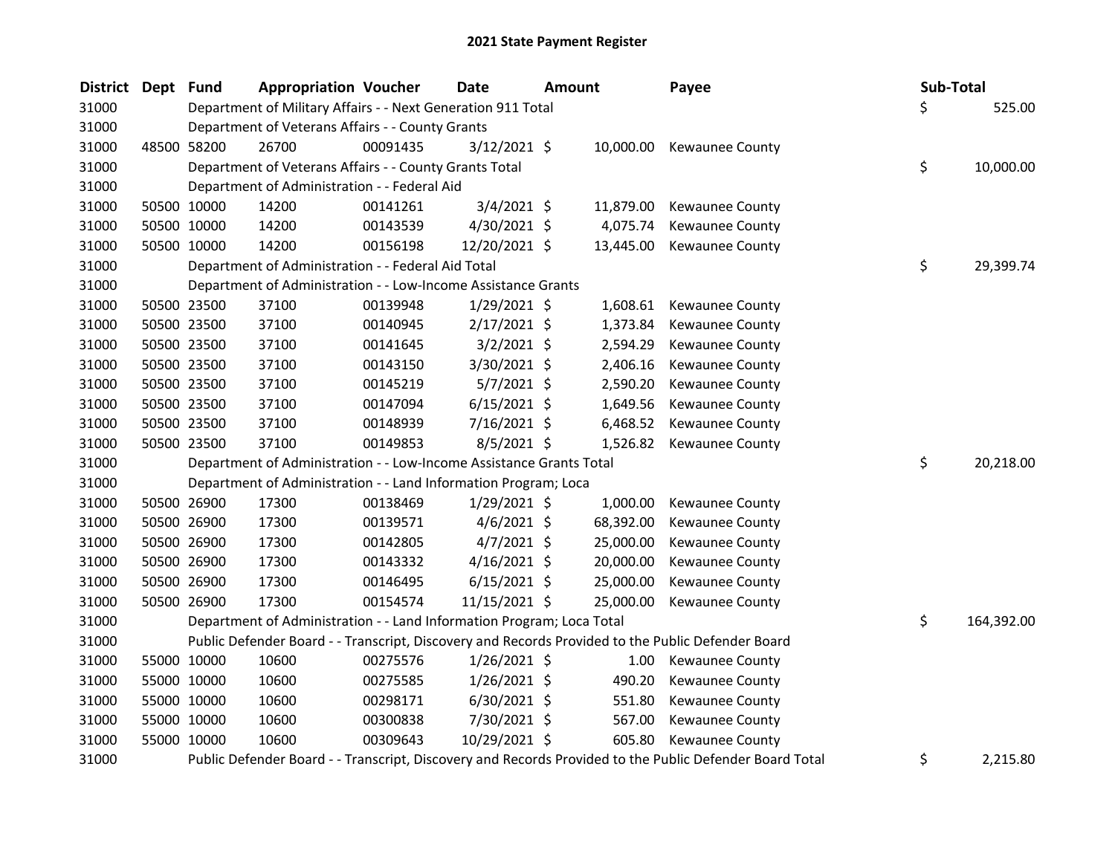| <b>District</b> | Dept | Fund        | <b>Appropriation Voucher</b>                                          |          | Date           | <b>Amount</b> |           | Payee                                                                                                   | Sub-Total        |
|-----------------|------|-------------|-----------------------------------------------------------------------|----------|----------------|---------------|-----------|---------------------------------------------------------------------------------------------------------|------------------|
| 31000           |      |             | Department of Military Affairs - - Next Generation 911 Total          |          |                |               |           |                                                                                                         | \$<br>525.00     |
| 31000           |      |             | Department of Veterans Affairs - - County Grants                      |          |                |               |           |                                                                                                         |                  |
| 31000           |      | 48500 58200 | 26700                                                                 | 00091435 | $3/12/2021$ \$ |               | 10,000.00 | Kewaunee County                                                                                         |                  |
| 31000           |      |             | Department of Veterans Affairs - - County Grants Total                |          |                |               |           |                                                                                                         | \$<br>10,000.00  |
| 31000           |      |             | Department of Administration - - Federal Aid                          |          |                |               |           |                                                                                                         |                  |
| 31000           |      | 50500 10000 | 14200                                                                 | 00141261 | $3/4/2021$ \$  |               | 11,879.00 | Kewaunee County                                                                                         |                  |
| 31000           |      | 50500 10000 | 14200                                                                 | 00143539 | 4/30/2021 \$   |               | 4,075.74  | Kewaunee County                                                                                         |                  |
| 31000           |      | 50500 10000 | 14200                                                                 | 00156198 | 12/20/2021 \$  |               | 13,445.00 | Kewaunee County                                                                                         |                  |
| 31000           |      |             | Department of Administration - - Federal Aid Total                    |          |                |               |           |                                                                                                         | \$<br>29,399.74  |
| 31000           |      |             | Department of Administration - - Low-Income Assistance Grants         |          |                |               |           |                                                                                                         |                  |
| 31000           |      | 50500 23500 | 37100                                                                 | 00139948 | $1/29/2021$ \$ |               | 1,608.61  | Kewaunee County                                                                                         |                  |
| 31000           |      | 50500 23500 | 37100                                                                 | 00140945 | $2/17/2021$ \$ |               | 1,373.84  | Kewaunee County                                                                                         |                  |
| 31000           |      | 50500 23500 | 37100                                                                 | 00141645 | $3/2/2021$ \$  |               | 2,594.29  | Kewaunee County                                                                                         |                  |
| 31000           |      | 50500 23500 | 37100                                                                 | 00143150 | 3/30/2021 \$   |               | 2,406.16  | Kewaunee County                                                                                         |                  |
| 31000           |      | 50500 23500 | 37100                                                                 | 00145219 | $5/7/2021$ \$  |               | 2,590.20  | Kewaunee County                                                                                         |                  |
| 31000           |      | 50500 23500 | 37100                                                                 | 00147094 | $6/15/2021$ \$ |               | 1,649.56  | <b>Kewaunee County</b>                                                                                  |                  |
| 31000           |      | 50500 23500 | 37100                                                                 | 00148939 | 7/16/2021 \$   |               | 6,468.52  | Kewaunee County                                                                                         |                  |
| 31000           |      | 50500 23500 | 37100                                                                 | 00149853 | $8/5/2021$ \$  |               | 1,526.82  | Kewaunee County                                                                                         |                  |
| 31000           |      |             | Department of Administration - - Low-Income Assistance Grants Total   |          |                |               |           |                                                                                                         | \$<br>20,218.00  |
| 31000           |      |             | Department of Administration - - Land Information Program; Loca       |          |                |               |           |                                                                                                         |                  |
| 31000           |      | 50500 26900 | 17300                                                                 | 00138469 | $1/29/2021$ \$ |               | 1,000.00  | Kewaunee County                                                                                         |                  |
| 31000           |      | 50500 26900 | 17300                                                                 | 00139571 | $4/6/2021$ \$  |               | 68,392.00 | Kewaunee County                                                                                         |                  |
| 31000           |      | 50500 26900 | 17300                                                                 | 00142805 | $4/7/2021$ \$  |               | 25,000.00 | Kewaunee County                                                                                         |                  |
| 31000           |      | 50500 26900 | 17300                                                                 | 00143332 | $4/16/2021$ \$ |               | 20,000.00 | Kewaunee County                                                                                         |                  |
| 31000           |      | 50500 26900 | 17300                                                                 | 00146495 | $6/15/2021$ \$ |               | 25,000.00 | Kewaunee County                                                                                         |                  |
| 31000           |      | 50500 26900 | 17300                                                                 | 00154574 | 11/15/2021 \$  |               | 25,000.00 | <b>Kewaunee County</b>                                                                                  |                  |
| 31000           |      |             | Department of Administration - - Land Information Program; Loca Total |          |                |               |           |                                                                                                         | \$<br>164,392.00 |
| 31000           |      |             |                                                                       |          |                |               |           | Public Defender Board - - Transcript, Discovery and Records Provided to the Public Defender Board       |                  |
| 31000           |      | 55000 10000 | 10600                                                                 | 00275576 | $1/26/2021$ \$ |               | 1.00      | Kewaunee County                                                                                         |                  |
| 31000           |      | 55000 10000 | 10600                                                                 | 00275585 | $1/26/2021$ \$ |               | 490.20    | Kewaunee County                                                                                         |                  |
| 31000           |      | 55000 10000 | 10600                                                                 | 00298171 | $6/30/2021$ \$ |               | 551.80    | Kewaunee County                                                                                         |                  |
| 31000           |      | 55000 10000 | 10600                                                                 | 00300838 | 7/30/2021 \$   |               | 567.00    | Kewaunee County                                                                                         |                  |
| 31000           |      | 55000 10000 | 10600                                                                 | 00309643 | 10/29/2021 \$  |               | 605.80    | Kewaunee County                                                                                         |                  |
| 31000           |      |             |                                                                       |          |                |               |           | Public Defender Board - - Transcript, Discovery and Records Provided to the Public Defender Board Total | \$<br>2,215.80   |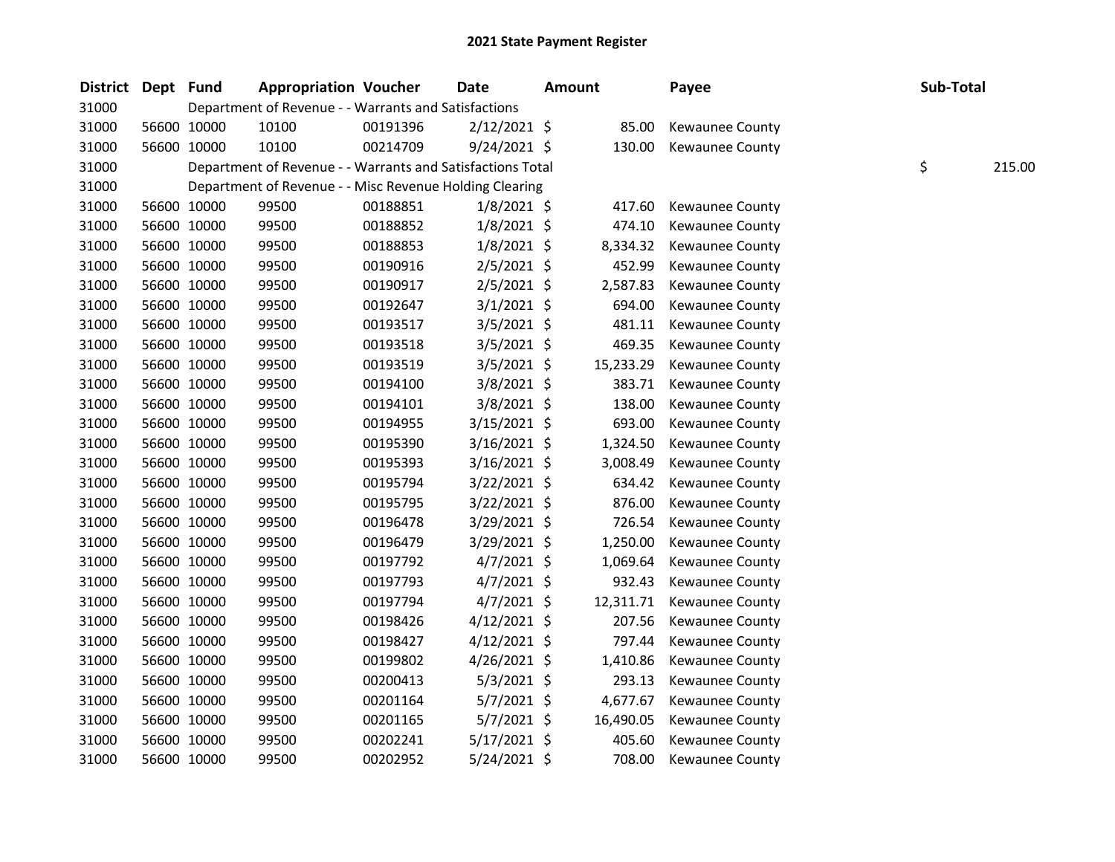| District | Dept Fund |             | <b>Appropriation Voucher</b>                               |          | <b>Date</b>    | <b>Amount</b> |           | Payee                  | Sub-Total |        |
|----------|-----------|-------------|------------------------------------------------------------|----------|----------------|---------------|-----------|------------------------|-----------|--------|
| 31000    |           |             | Department of Revenue - - Warrants and Satisfactions       |          |                |               |           |                        |           |        |
| 31000    |           | 56600 10000 | 10100                                                      | 00191396 | $2/12/2021$ \$ |               | 85.00     | Kewaunee County        |           |        |
| 31000    |           | 56600 10000 | 10100                                                      | 00214709 | $9/24/2021$ \$ |               | 130.00    | Kewaunee County        |           |        |
| 31000    |           |             | Department of Revenue - - Warrants and Satisfactions Total |          |                |               |           |                        | \$        | 215.00 |
| 31000    |           |             | Department of Revenue - - Misc Revenue Holding Clearing    |          |                |               |           |                        |           |        |
| 31000    |           | 56600 10000 | 99500                                                      | 00188851 | $1/8/2021$ \$  |               | 417.60    | Kewaunee County        |           |        |
| 31000    |           | 56600 10000 | 99500                                                      | 00188852 | $1/8/2021$ \$  |               | 474.10    | Kewaunee County        |           |        |
| 31000    |           | 56600 10000 | 99500                                                      | 00188853 | $1/8/2021$ \$  |               | 8,334.32  | Kewaunee County        |           |        |
| 31000    |           | 56600 10000 | 99500                                                      | 00190916 | 2/5/2021 \$    |               | 452.99    | Kewaunee County        |           |        |
| 31000    |           | 56600 10000 | 99500                                                      | 00190917 | 2/5/2021 \$    |               | 2,587.83  | Kewaunee County        |           |        |
| 31000    |           | 56600 10000 | 99500                                                      | 00192647 | $3/1/2021$ \$  |               | 694.00    | Kewaunee County        |           |        |
| 31000    |           | 56600 10000 | 99500                                                      | 00193517 | 3/5/2021 \$    |               | 481.11    | Kewaunee County        |           |        |
| 31000    |           | 56600 10000 | 99500                                                      | 00193518 | 3/5/2021 \$    |               | 469.35    | Kewaunee County        |           |        |
| 31000    |           | 56600 10000 | 99500                                                      | 00193519 | 3/5/2021 \$    |               | 15,233.29 | Kewaunee County        |           |        |
| 31000    |           | 56600 10000 | 99500                                                      | 00194100 | 3/8/2021 \$    |               | 383.71    | Kewaunee County        |           |        |
| 31000    |           | 56600 10000 | 99500                                                      | 00194101 | 3/8/2021 \$    |               | 138.00    | Kewaunee County        |           |        |
| 31000    |           | 56600 10000 | 99500                                                      | 00194955 | $3/15/2021$ \$ |               | 693.00    | <b>Kewaunee County</b> |           |        |
| 31000    |           | 56600 10000 | 99500                                                      | 00195390 | $3/16/2021$ \$ |               | 1,324.50  | Kewaunee County        |           |        |
| 31000    |           | 56600 10000 | 99500                                                      | 00195393 | $3/16/2021$ \$ |               | 3,008.49  | Kewaunee County        |           |        |
| 31000    |           | 56600 10000 | 99500                                                      | 00195794 | 3/22/2021 \$   |               | 634.42    | Kewaunee County        |           |        |
| 31000    |           | 56600 10000 | 99500                                                      | 00195795 | $3/22/2021$ \$ |               | 876.00    | Kewaunee County        |           |        |
| 31000    |           | 56600 10000 | 99500                                                      | 00196478 | 3/29/2021 \$   |               | 726.54    | Kewaunee County        |           |        |
| 31000    |           | 56600 10000 | 99500                                                      | 00196479 | 3/29/2021 \$   |               | 1,250.00  | Kewaunee County        |           |        |
| 31000    |           | 56600 10000 | 99500                                                      | 00197792 | $4/7/2021$ \$  |               | 1,069.64  | Kewaunee County        |           |        |
| 31000    |           | 56600 10000 | 99500                                                      | 00197793 | $4/7/2021$ \$  |               | 932.43    | Kewaunee County        |           |        |
| 31000    |           | 56600 10000 | 99500                                                      | 00197794 | $4/7/2021$ \$  |               | 12,311.71 | Kewaunee County        |           |        |
| 31000    |           | 56600 10000 | 99500                                                      | 00198426 | $4/12/2021$ \$ |               | 207.56    | Kewaunee County        |           |        |
| 31000    |           | 56600 10000 | 99500                                                      | 00198427 | $4/12/2021$ \$ |               | 797.44    | Kewaunee County        |           |        |
| 31000    |           | 56600 10000 | 99500                                                      | 00199802 | $4/26/2021$ \$ |               | 1,410.86  | Kewaunee County        |           |        |
| 31000    |           | 56600 10000 | 99500                                                      | 00200413 | $5/3/2021$ \$  |               | 293.13    | Kewaunee County        |           |        |
| 31000    |           | 56600 10000 | 99500                                                      | 00201164 | 5/7/2021 \$    |               | 4,677.67  | Kewaunee County        |           |        |
| 31000    |           | 56600 10000 | 99500                                                      | 00201165 | $5/7/2021$ \$  |               | 16,490.05 | Kewaunee County        |           |        |
| 31000    |           | 56600 10000 | 99500                                                      | 00202241 | $5/17/2021$ \$ |               | 405.60    | Kewaunee County        |           |        |
| 31000    |           | 56600 10000 | 99500                                                      | 00202952 | 5/24/2021 \$   |               | 708.00    | <b>Kewaunee County</b> |           |        |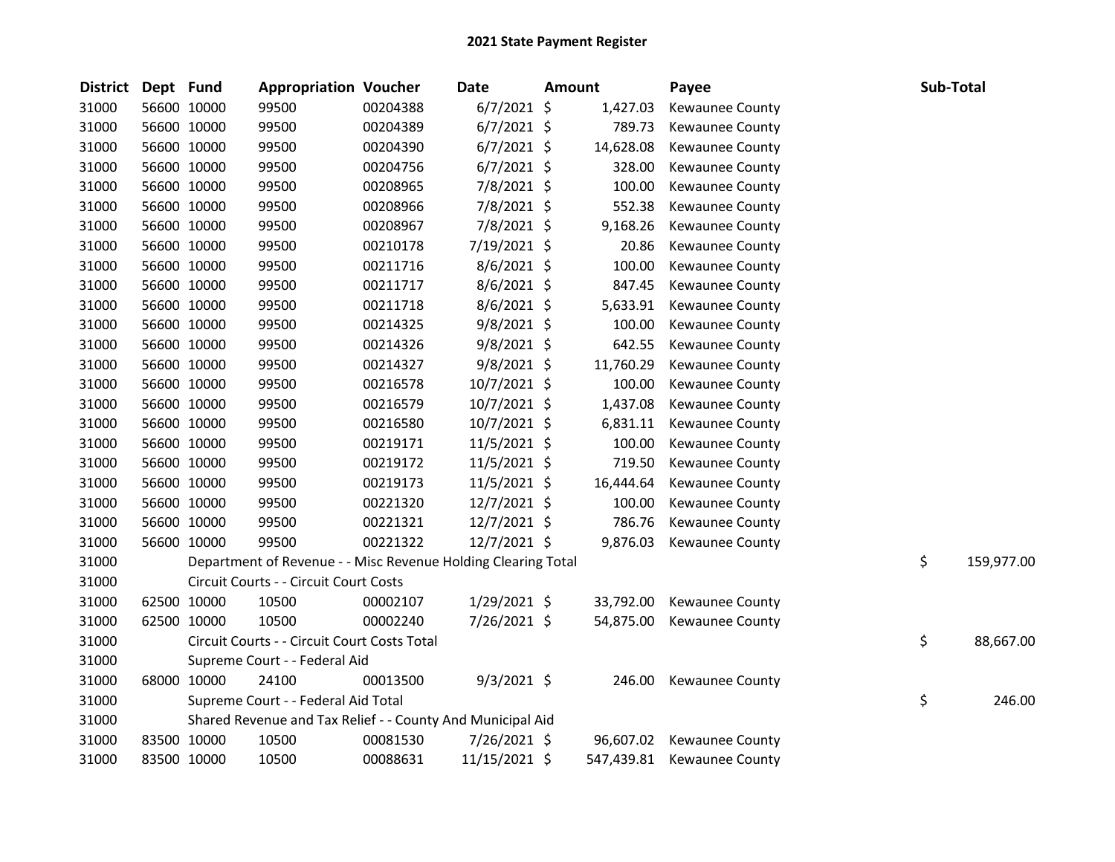| <b>District</b> | Dept Fund |             | <b>Appropriation Voucher</b>                                  |          | Date           | Amount |           | Payee                      | Sub-Total |            |
|-----------------|-----------|-------------|---------------------------------------------------------------|----------|----------------|--------|-----------|----------------------------|-----------|------------|
| 31000           |           | 56600 10000 | 99500                                                         | 00204388 | $6/7/2021$ \$  |        | 1,427.03  | Kewaunee County            |           |            |
| 31000           |           | 56600 10000 | 99500                                                         | 00204389 | $6/7/2021$ \$  |        | 789.73    | Kewaunee County            |           |            |
| 31000           |           | 56600 10000 | 99500                                                         | 00204390 | $6/7/2021$ \$  |        | 14,628.08 | Kewaunee County            |           |            |
| 31000           |           | 56600 10000 | 99500                                                         | 00204756 | $6/7/2021$ \$  |        | 328.00    | Kewaunee County            |           |            |
| 31000           |           | 56600 10000 | 99500                                                         | 00208965 | 7/8/2021 \$    |        | 100.00    | <b>Kewaunee County</b>     |           |            |
| 31000           |           | 56600 10000 | 99500                                                         | 00208966 | 7/8/2021 \$    |        | 552.38    | Kewaunee County            |           |            |
| 31000           |           | 56600 10000 | 99500                                                         | 00208967 | 7/8/2021 \$    |        | 9,168.26  | Kewaunee County            |           |            |
| 31000           |           | 56600 10000 | 99500                                                         | 00210178 | 7/19/2021 \$   |        | 20.86     | Kewaunee County            |           |            |
| 31000           |           | 56600 10000 | 99500                                                         | 00211716 | 8/6/2021 \$    |        | 100.00    | Kewaunee County            |           |            |
| 31000           |           | 56600 10000 | 99500                                                         | 00211717 | 8/6/2021 \$    |        | 847.45    | Kewaunee County            |           |            |
| 31000           |           | 56600 10000 | 99500                                                         | 00211718 | $8/6/2021$ \$  |        | 5,633.91  | Kewaunee County            |           |            |
| 31000           |           | 56600 10000 | 99500                                                         | 00214325 | $9/8/2021$ \$  |        | 100.00    | Kewaunee County            |           |            |
| 31000           |           | 56600 10000 | 99500                                                         | 00214326 | $9/8/2021$ \$  |        | 642.55    | Kewaunee County            |           |            |
| 31000           |           | 56600 10000 | 99500                                                         | 00214327 | 9/8/2021 \$    |        | 11,760.29 | Kewaunee County            |           |            |
| 31000           |           | 56600 10000 | 99500                                                         | 00216578 | 10/7/2021 \$   |        | 100.00    | Kewaunee County            |           |            |
| 31000           |           | 56600 10000 | 99500                                                         | 00216579 | 10/7/2021 \$   |        | 1,437.08  | Kewaunee County            |           |            |
| 31000           |           | 56600 10000 | 99500                                                         | 00216580 | 10/7/2021 \$   |        | 6,831.11  | Kewaunee County            |           |            |
| 31000           |           | 56600 10000 | 99500                                                         | 00219171 | 11/5/2021 \$   |        | 100.00    | Kewaunee County            |           |            |
| 31000           |           | 56600 10000 | 99500                                                         | 00219172 | 11/5/2021 \$   |        | 719.50    | Kewaunee County            |           |            |
| 31000           |           | 56600 10000 | 99500                                                         | 00219173 | 11/5/2021 \$   |        | 16,444.64 | Kewaunee County            |           |            |
| 31000           |           | 56600 10000 | 99500                                                         | 00221320 | $12/7/2021$ \$ |        | 100.00    | Kewaunee County            |           |            |
| 31000           |           | 56600 10000 | 99500                                                         | 00221321 | $12/7/2021$ \$ |        | 786.76    | Kewaunee County            |           |            |
| 31000           |           | 56600 10000 | 99500                                                         | 00221322 | 12/7/2021 \$   |        | 9,876.03  | Kewaunee County            |           |            |
| 31000           |           |             | Department of Revenue - - Misc Revenue Holding Clearing Total |          |                |        |           |                            | \$        | 159,977.00 |
| 31000           |           |             | Circuit Courts - - Circuit Court Costs                        |          |                |        |           |                            |           |            |
| 31000           |           | 62500 10000 | 10500                                                         | 00002107 | 1/29/2021 \$   |        | 33,792.00 | Kewaunee County            |           |            |
| 31000           |           | 62500 10000 | 10500                                                         | 00002240 | 7/26/2021 \$   |        | 54,875.00 | Kewaunee County            |           |            |
| 31000           |           |             | Circuit Courts - - Circuit Court Costs Total                  |          |                |        |           |                            | \$        | 88,667.00  |
| 31000           |           |             | Supreme Court - - Federal Aid                                 |          |                |        |           |                            |           |            |
| 31000           |           | 68000 10000 | 24100                                                         | 00013500 | $9/3/2021$ \$  |        | 246.00    | Kewaunee County            |           |            |
| 31000           |           |             | Supreme Court - - Federal Aid Total                           |          |                |        |           |                            | \$        | 246.00     |
| 31000           |           |             | Shared Revenue and Tax Relief - - County And Municipal Aid    |          |                |        |           |                            |           |            |
| 31000           |           | 83500 10000 | 10500                                                         | 00081530 | 7/26/2021 \$   |        | 96,607.02 | Kewaunee County            |           |            |
| 31000           |           | 83500 10000 | 10500                                                         | 00088631 | 11/15/2021 \$  |        |           | 547,439.81 Kewaunee County |           |            |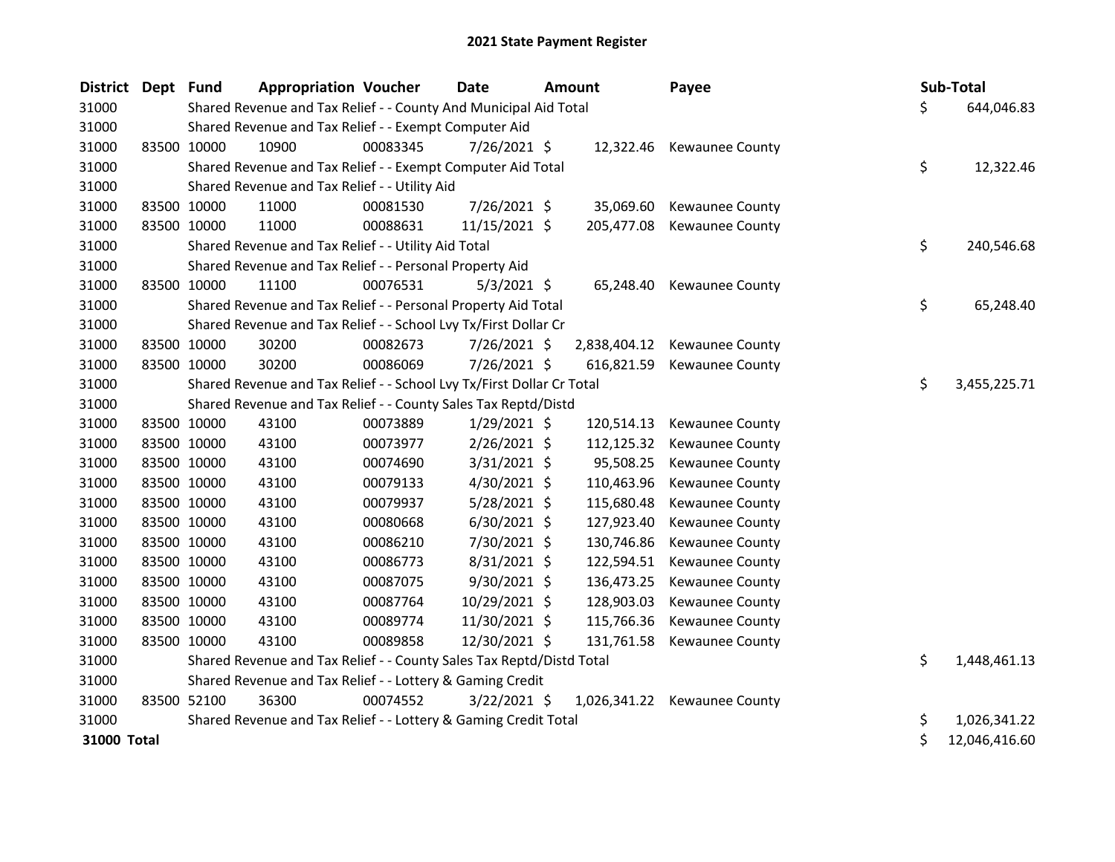| District Dept Fund |             | <b>Appropriation Voucher</b>                                          |          | <b>Date</b>    | <b>Amount</b> | Payee                        |    | Sub-Total     |
|--------------------|-------------|-----------------------------------------------------------------------|----------|----------------|---------------|------------------------------|----|---------------|
| 31000              |             | Shared Revenue and Tax Relief - - County And Municipal Aid Total      |          |                |               |                              | \$ | 644,046.83    |
| 31000              |             | Shared Revenue and Tax Relief - - Exempt Computer Aid                 |          |                |               |                              |    |               |
| 31000              | 83500 10000 | 10900                                                                 | 00083345 | 7/26/2021 \$   | 12,322.46     | Kewaunee County              |    |               |
| 31000              |             | Shared Revenue and Tax Relief - - Exempt Computer Aid Total           |          |                |               |                              | \$ | 12,322.46     |
| 31000              |             | Shared Revenue and Tax Relief - - Utility Aid                         |          |                |               |                              |    |               |
| 31000              | 83500 10000 | 11000                                                                 | 00081530 | 7/26/2021 \$   | 35,069.60     | Kewaunee County              |    |               |
| 31000              | 83500 10000 | 11000                                                                 | 00088631 | 11/15/2021 \$  | 205,477.08    | Kewaunee County              |    |               |
| 31000              |             | Shared Revenue and Tax Relief - - Utility Aid Total                   |          |                |               |                              | \$ | 240,546.68    |
| 31000              |             | Shared Revenue and Tax Relief - - Personal Property Aid               |          |                |               |                              |    |               |
| 31000              | 83500 10000 | 11100                                                                 | 00076531 | $5/3/2021$ \$  | 65,248.40     | Kewaunee County              |    |               |
| 31000              |             | Shared Revenue and Tax Relief - - Personal Property Aid Total         |          |                |               |                              | \$ | 65,248.40     |
| 31000              |             | Shared Revenue and Tax Relief - - School Lvy Tx/First Dollar Cr       |          |                |               |                              |    |               |
| 31000              | 83500 10000 | 30200                                                                 | 00082673 | 7/26/2021 \$   | 2,838,404.12  | Kewaunee County              |    |               |
| 31000              | 83500 10000 | 30200                                                                 | 00086069 | 7/26/2021 \$   | 616,821.59    | Kewaunee County              |    |               |
| 31000              |             | Shared Revenue and Tax Relief - - School Lvy Tx/First Dollar Cr Total |          |                |               |                              | \$ | 3,455,225.71  |
| 31000              |             | Shared Revenue and Tax Relief - - County Sales Tax Reptd/Distd        |          |                |               |                              |    |               |
| 31000              | 83500 10000 | 43100                                                                 | 00073889 | $1/29/2021$ \$ | 120,514.13    | Kewaunee County              |    |               |
| 31000              | 83500 10000 | 43100                                                                 | 00073977 | $2/26/2021$ \$ | 112,125.32    | Kewaunee County              |    |               |
| 31000              | 83500 10000 | 43100                                                                 | 00074690 | 3/31/2021 \$   | 95,508.25     | Kewaunee County              |    |               |
| 31000              | 83500 10000 | 43100                                                                 | 00079133 | 4/30/2021 \$   | 110,463.96    | Kewaunee County              |    |               |
| 31000              | 83500 10000 | 43100                                                                 | 00079937 | 5/28/2021 \$   | 115,680.48    | Kewaunee County              |    |               |
| 31000              | 83500 10000 | 43100                                                                 | 00080668 | $6/30/2021$ \$ | 127,923.40    | Kewaunee County              |    |               |
| 31000              | 83500 10000 | 43100                                                                 | 00086210 | 7/30/2021 \$   | 130,746.86    | Kewaunee County              |    |               |
| 31000              | 83500 10000 | 43100                                                                 | 00086773 | 8/31/2021 \$   | 122,594.51    | Kewaunee County              |    |               |
| 31000              | 83500 10000 | 43100                                                                 | 00087075 | 9/30/2021 \$   | 136,473.25    | Kewaunee County              |    |               |
| 31000              | 83500 10000 | 43100                                                                 | 00087764 | 10/29/2021 \$  | 128,903.03    | Kewaunee County              |    |               |
| 31000              | 83500 10000 | 43100                                                                 | 00089774 | 11/30/2021 \$  | 115,766.36    | Kewaunee County              |    |               |
| 31000              | 83500 10000 | 43100                                                                 | 00089858 | 12/30/2021 \$  | 131,761.58    | Kewaunee County              |    |               |
| 31000              |             | Shared Revenue and Tax Relief - - County Sales Tax Reptd/Distd Total  |          |                |               |                              | \$ | 1,448,461.13  |
| 31000              |             | Shared Revenue and Tax Relief - - Lottery & Gaming Credit             |          |                |               |                              |    |               |
| 31000              | 83500 52100 | 36300                                                                 | 00074552 | 3/22/2021 \$   |               | 1,026,341.22 Kewaunee County |    |               |
| 31000              |             | Shared Revenue and Tax Relief - - Lottery & Gaming Credit Total       |          |                |               |                              | \$ | 1,026,341.22  |
| 31000 Total        |             |                                                                       |          |                |               |                              | \$ | 12,046,416.60 |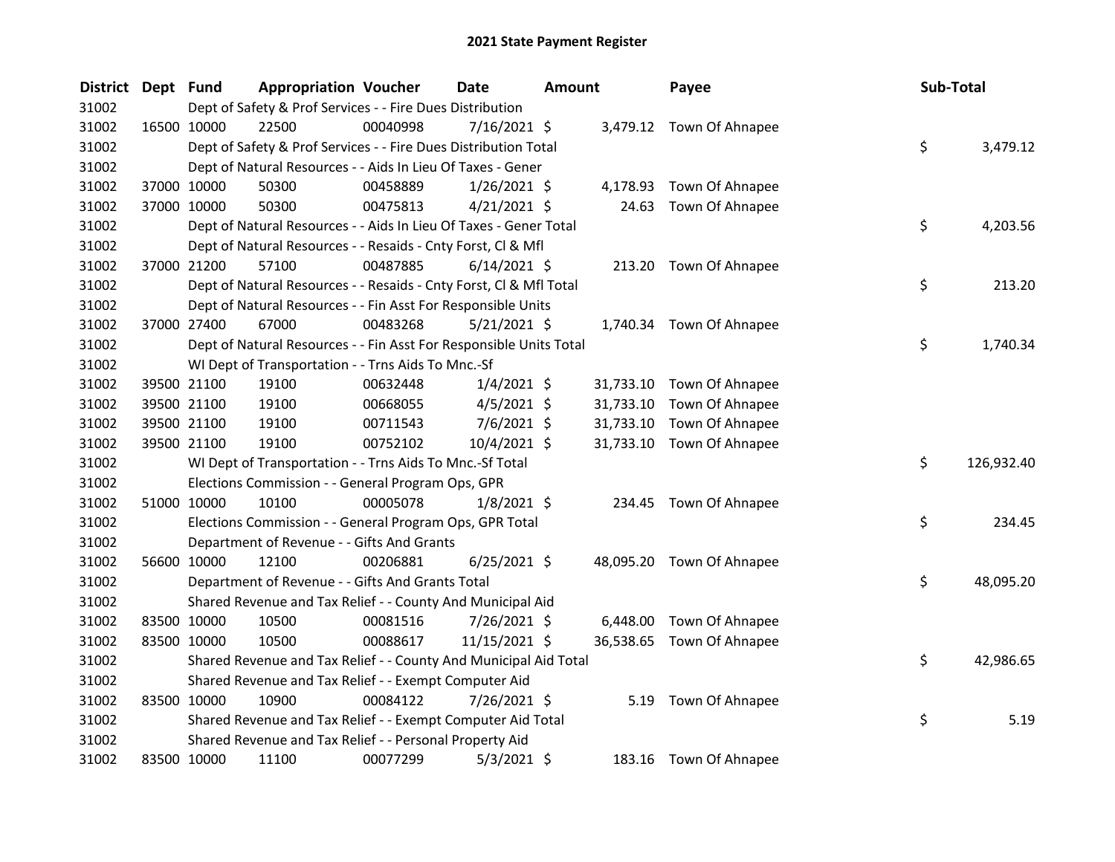| <b>District</b> | Dept Fund |             | <b>Appropriation Voucher</b>                                       |          | Date           | Amount |           | Payee                     | Sub-Total |            |
|-----------------|-----------|-------------|--------------------------------------------------------------------|----------|----------------|--------|-----------|---------------------------|-----------|------------|
| 31002           |           |             | Dept of Safety & Prof Services - - Fire Dues Distribution          |          |                |        |           |                           |           |            |
| 31002           |           | 16500 10000 | 22500                                                              | 00040998 | 7/16/2021 \$   |        |           | 3,479.12 Town Of Ahnapee  |           |            |
| 31002           |           |             | Dept of Safety & Prof Services - - Fire Dues Distribution Total    |          |                |        |           |                           | \$        | 3,479.12   |
| 31002           |           |             | Dept of Natural Resources - - Aids In Lieu Of Taxes - Gener        |          |                |        |           |                           |           |            |
| 31002           |           | 37000 10000 | 50300                                                              | 00458889 | $1/26/2021$ \$ |        | 4,178.93  | Town Of Ahnapee           |           |            |
| 31002           |           | 37000 10000 | 50300                                                              | 00475813 | $4/21/2021$ \$ |        | 24.63     | Town Of Ahnapee           |           |            |
| 31002           |           |             | Dept of Natural Resources - - Aids In Lieu Of Taxes - Gener Total  |          |                |        |           |                           | \$        | 4,203.56   |
| 31002           |           |             | Dept of Natural Resources - - Resaids - Cnty Forst, Cl & Mfl       |          |                |        |           |                           |           |            |
| 31002           |           | 37000 21200 | 57100                                                              | 00487885 | $6/14/2021$ \$ |        |           | 213.20 Town Of Ahnapee    |           |            |
| 31002           |           |             | Dept of Natural Resources - - Resaids - Cnty Forst, CI & Mfl Total |          |                |        |           |                           | \$        | 213.20     |
| 31002           |           |             | Dept of Natural Resources - - Fin Asst For Responsible Units       |          |                |        |           |                           |           |            |
| 31002           |           | 37000 27400 | 67000                                                              | 00483268 | $5/21/2021$ \$ |        |           | 1,740.34 Town Of Ahnapee  |           |            |
| 31002           |           |             | Dept of Natural Resources - - Fin Asst For Responsible Units Total |          |                |        |           |                           | \$        | 1,740.34   |
| 31002           |           |             | WI Dept of Transportation - - Trns Aids To Mnc.-Sf                 |          |                |        |           |                           |           |            |
| 31002           |           | 39500 21100 | 19100                                                              | 00632448 | $1/4/2021$ \$  |        |           | 31,733.10 Town Of Ahnapee |           |            |
| 31002           |           | 39500 21100 | 19100                                                              | 00668055 | $4/5/2021$ \$  |        | 31,733.10 | Town Of Ahnapee           |           |            |
| 31002           |           | 39500 21100 | 19100                                                              | 00711543 | $7/6/2021$ \$  |        | 31,733.10 | Town Of Ahnapee           |           |            |
| 31002           |           | 39500 21100 | 19100                                                              | 00752102 | 10/4/2021 \$   |        |           | 31,733.10 Town Of Ahnapee |           |            |
| 31002           |           |             | WI Dept of Transportation - - Trns Aids To Mnc.-Sf Total           |          |                |        |           |                           | \$        | 126,932.40 |
| 31002           |           |             | Elections Commission - - General Program Ops, GPR                  |          |                |        |           |                           |           |            |
| 31002           |           | 51000 10000 | 10100                                                              | 00005078 | $1/8/2021$ \$  |        |           | 234.45 Town Of Ahnapee    |           |            |
| 31002           |           |             | Elections Commission - - General Program Ops, GPR Total            |          |                |        |           |                           | \$        | 234.45     |
| 31002           |           |             | Department of Revenue - - Gifts And Grants                         |          |                |        |           |                           |           |            |
| 31002           |           | 56600 10000 | 12100                                                              | 00206881 | $6/25/2021$ \$ |        |           | 48,095.20 Town Of Ahnapee |           |            |
| 31002           |           |             | Department of Revenue - - Gifts And Grants Total                   |          |                |        |           |                           | \$        | 48,095.20  |
| 31002           |           |             | Shared Revenue and Tax Relief - - County And Municipal Aid         |          |                |        |           |                           |           |            |
| 31002           |           | 83500 10000 | 10500                                                              | 00081516 | $7/26/2021$ \$ |        | 6,448.00  | Town Of Ahnapee           |           |            |
| 31002           |           | 83500 10000 | 10500                                                              | 00088617 | 11/15/2021 \$  |        |           | 36,538.65 Town Of Ahnapee |           |            |
| 31002           |           |             | Shared Revenue and Tax Relief - - County And Municipal Aid Total   |          |                |        |           |                           | \$        | 42,986.65  |
| 31002           |           |             | Shared Revenue and Tax Relief - - Exempt Computer Aid              |          |                |        |           |                           |           |            |
| 31002           |           | 83500 10000 | 10900                                                              | 00084122 | 7/26/2021 \$   |        | 5.19      | Town Of Ahnapee           |           |            |
| 31002           |           |             | Shared Revenue and Tax Relief - - Exempt Computer Aid Total        |          |                |        |           |                           | \$        | 5.19       |
| 31002           |           |             | Shared Revenue and Tax Relief - - Personal Property Aid            |          |                |        |           |                           |           |            |
| 31002           |           | 83500 10000 | 11100                                                              | 00077299 | $5/3/2021$ \$  |        |           | 183.16 Town Of Ahnapee    |           |            |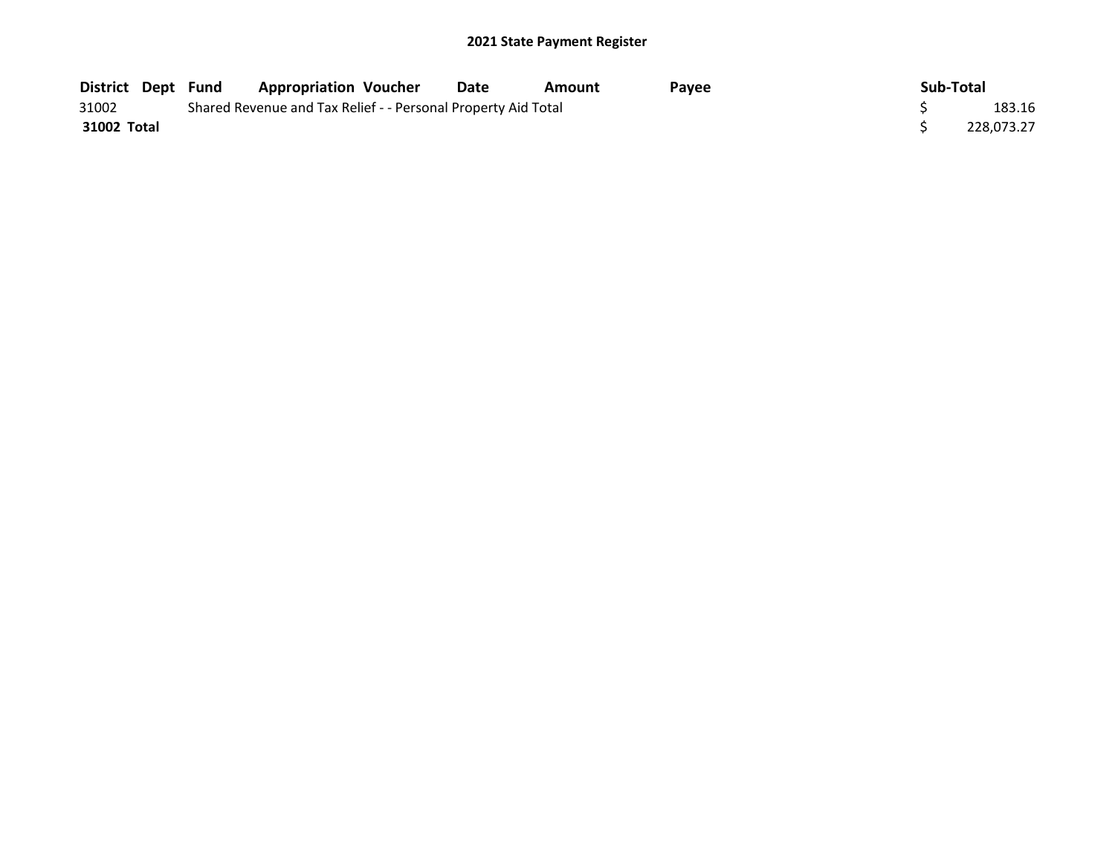| <b>District Dept Fund</b> |  | <b>Appropriation Voucher</b>                                  | Date | Amount | Pavee | Sub-Total  |
|---------------------------|--|---------------------------------------------------------------|------|--------|-------|------------|
| 31002                     |  | Shared Revenue and Tax Relief - - Personal Property Aid Total |      |        |       | 183.16     |
| 31002 Total               |  |                                                               |      |        |       | 228.073.27 |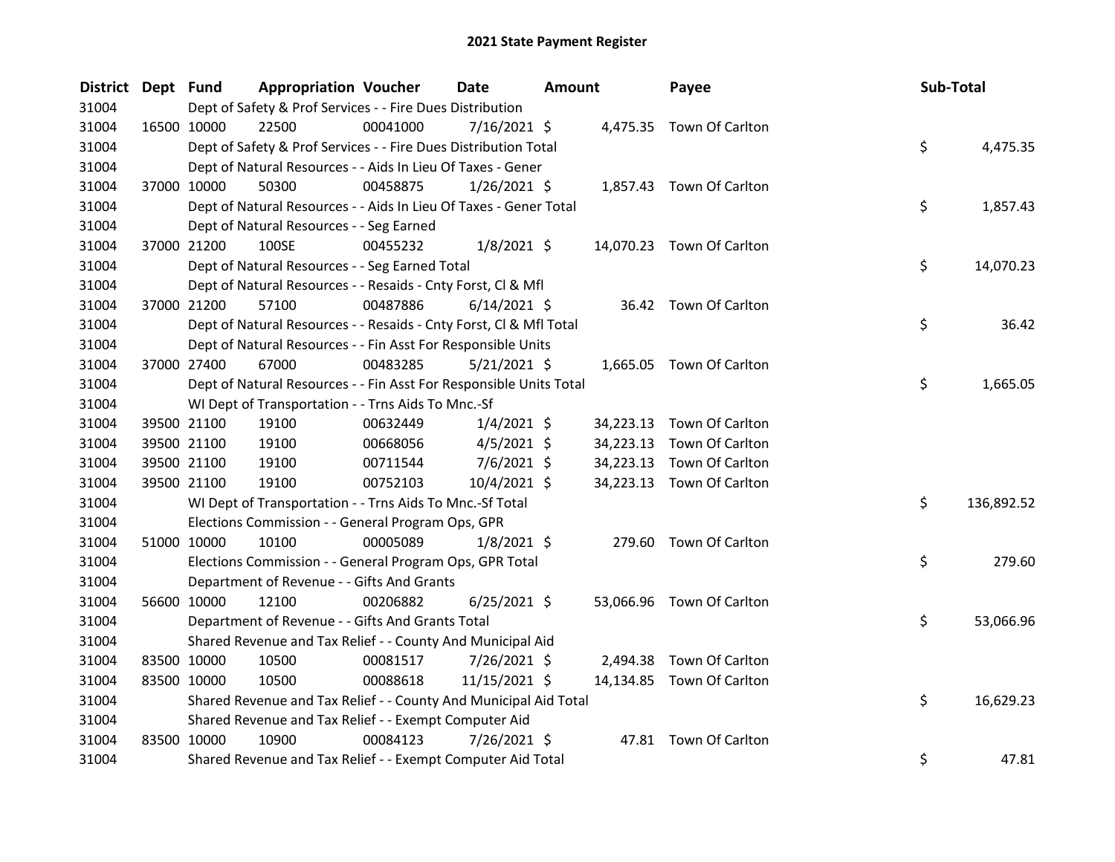| District Dept Fund |             | <b>Appropriation Voucher</b>                                       |          | Date           | <b>Amount</b> |           | Payee                     | Sub-Total |            |
|--------------------|-------------|--------------------------------------------------------------------|----------|----------------|---------------|-----------|---------------------------|-----------|------------|
| 31004              |             | Dept of Safety & Prof Services - - Fire Dues Distribution          |          |                |               |           |                           |           |            |
| 31004              |             | 16500 10000<br>22500                                               | 00041000 | 7/16/2021 \$   |               |           | 4,475.35 Town Of Carlton  |           |            |
| 31004              |             | Dept of Safety & Prof Services - - Fire Dues Distribution Total    |          |                |               |           |                           | \$        | 4,475.35   |
| 31004              |             | Dept of Natural Resources - - Aids In Lieu Of Taxes - Gener        |          |                |               |           |                           |           |            |
| 31004              |             | 37000 10000<br>50300                                               | 00458875 | $1/26/2021$ \$ |               |           | 1,857.43 Town Of Carlton  |           |            |
| 31004              |             | Dept of Natural Resources - - Aids In Lieu Of Taxes - Gener Total  |          |                |               |           |                           | \$        | 1,857.43   |
| 31004              |             | Dept of Natural Resources - - Seg Earned                           |          |                |               |           |                           |           |            |
| 31004              |             | 37000 21200<br>100SE                                               | 00455232 | $1/8/2021$ \$  |               |           | 14,070.23 Town Of Carlton |           |            |
| 31004              |             | Dept of Natural Resources - - Seg Earned Total                     |          |                |               |           |                           | \$        | 14,070.23  |
| 31004              |             | Dept of Natural Resources - - Resaids - Cnty Forst, Cl & Mfl       |          |                |               |           |                           |           |            |
| 31004              |             | 37000 21200<br>57100                                               | 00487886 | $6/14/2021$ \$ |               |           | 36.42 Town Of Carlton     |           |            |
| 31004              |             | Dept of Natural Resources - - Resaids - Cnty Forst, Cl & Mfl Total |          |                |               |           |                           | \$        | 36.42      |
| 31004              |             | Dept of Natural Resources - - Fin Asst For Responsible Units       |          |                |               |           |                           |           |            |
| 31004              |             | 37000 27400<br>67000                                               | 00483285 | $5/21/2021$ \$ |               |           | 1,665.05 Town Of Carlton  |           |            |
| 31004              |             | Dept of Natural Resources - - Fin Asst For Responsible Units Total |          |                |               |           |                           | \$        | 1,665.05   |
| 31004              |             | WI Dept of Transportation - - Trns Aids To Mnc.-Sf                 |          |                |               |           |                           |           |            |
| 31004              |             | 39500 21100<br>19100                                               | 00632449 | $1/4/2021$ \$  |               | 34,223.13 | Town Of Carlton           |           |            |
| 31004              |             | 39500 21100<br>19100                                               | 00668056 | $4/5/2021$ \$  |               | 34,223.13 | Town Of Carlton           |           |            |
| 31004              |             | 39500 21100<br>19100                                               | 00711544 | $7/6/2021$ \$  |               | 34,223.13 | Town Of Carlton           |           |            |
| 31004              |             | 39500 21100<br>19100                                               | 00752103 | 10/4/2021 \$   |               |           | 34,223.13 Town Of Carlton |           |            |
| 31004              |             | WI Dept of Transportation - - Trns Aids To Mnc.-Sf Total           |          |                |               |           |                           | \$        | 136,892.52 |
| 31004              |             | Elections Commission - - General Program Ops, GPR                  |          |                |               |           |                           |           |            |
| 31004              |             | 51000 10000<br>10100                                               | 00005089 | $1/8/2021$ \$  |               |           | 279.60 Town Of Carlton    |           |            |
| 31004              |             | Elections Commission - - General Program Ops, GPR Total            |          |                |               |           |                           | \$        | 279.60     |
| 31004              |             | Department of Revenue - - Gifts And Grants                         |          |                |               |           |                           |           |            |
| 31004              |             | 56600 10000<br>12100                                               | 00206882 | $6/25/2021$ \$ |               |           | 53,066.96 Town Of Carlton |           |            |
| 31004              |             | Department of Revenue - - Gifts And Grants Total                   |          |                |               |           |                           | \$        | 53,066.96  |
| 31004              |             | Shared Revenue and Tax Relief - - County And Municipal Aid         |          |                |               |           |                           |           |            |
| 31004              |             | 83500 10000<br>10500                                               | 00081517 | 7/26/2021 \$   |               | 2,494.38  | Town Of Carlton           |           |            |
| 31004              |             | 83500 10000<br>10500                                               | 00088618 | 11/15/2021 \$  |               |           | 14,134.85 Town Of Carlton |           |            |
| 31004              |             | Shared Revenue and Tax Relief - - County And Municipal Aid Total   |          |                |               |           |                           | \$        | 16,629.23  |
| 31004              |             | Shared Revenue and Tax Relief - - Exempt Computer Aid              |          |                |               |           |                           |           |            |
| 31004              | 83500 10000 | 10900                                                              | 00084123 | $7/26/2021$ \$ |               |           | 47.81 Town Of Carlton     |           |            |
| 31004              |             | Shared Revenue and Tax Relief - - Exempt Computer Aid Total        |          |                |               |           |                           | \$        | 47.81      |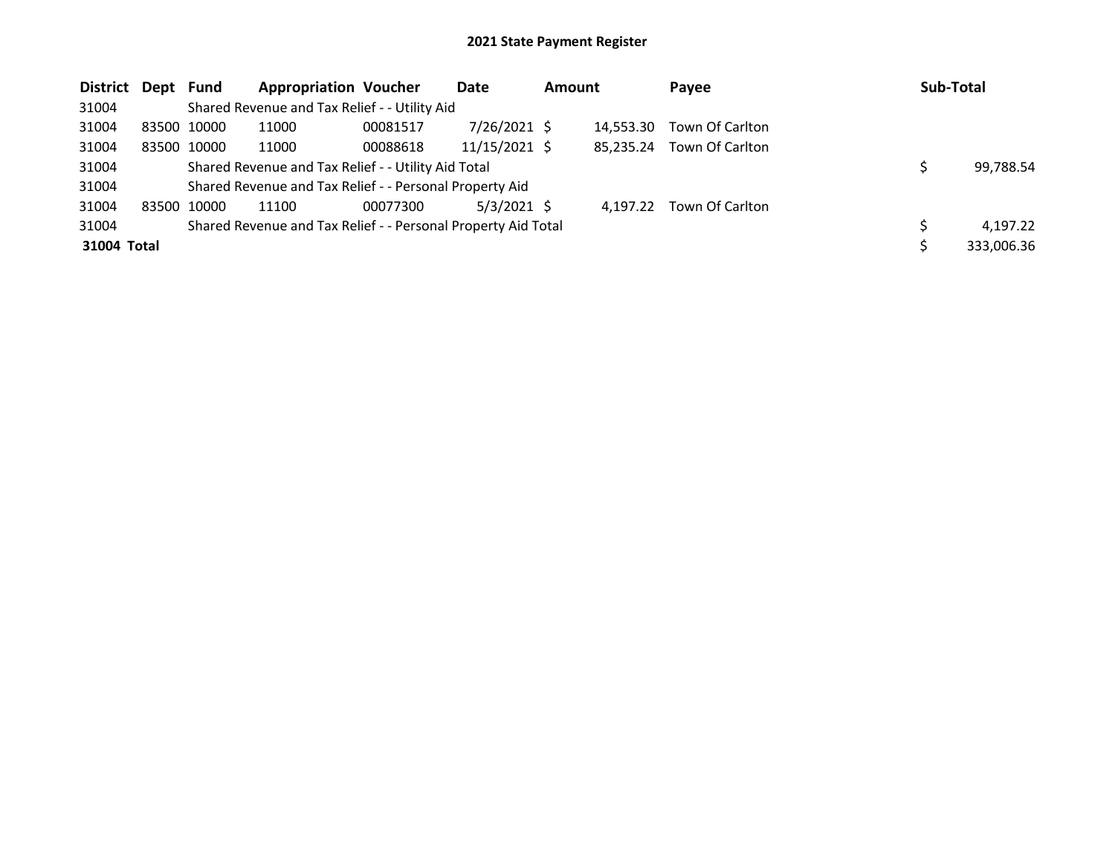| District Dept Fund |             | <b>Appropriation Voucher</b>                                  |          | Date          | <b>Amount</b> |           | Payee           | Sub-Total  |
|--------------------|-------------|---------------------------------------------------------------|----------|---------------|---------------|-----------|-----------------|------------|
| 31004              |             | Shared Revenue and Tax Relief - - Utility Aid                 |          |               |               |           |                 |            |
| 31004              | 83500 10000 | 11000                                                         | 00081517 | 7/26/2021 \$  |               | 14.553.30 | Town Of Carlton |            |
| 31004              | 83500 10000 | 11000                                                         | 00088618 | 11/15/2021 \$ |               | 85.235.24 | Town Of Carlton |            |
| 31004              |             | Shared Revenue and Tax Relief - - Utility Aid Total           |          |               |               |           |                 | 99,788.54  |
| 31004              |             | Shared Revenue and Tax Relief - - Personal Property Aid       |          |               |               |           |                 |            |
| 31004              | 83500 10000 | 11100                                                         | 00077300 | $5/3/2021$ \$ |               | 4.197.22  | Town Of Carlton |            |
| 31004              |             | Shared Revenue and Tax Relief - - Personal Property Aid Total |          |               |               |           |                 | 4,197.22   |
| 31004 Total        |             |                                                               |          |               |               |           |                 | 333,006.36 |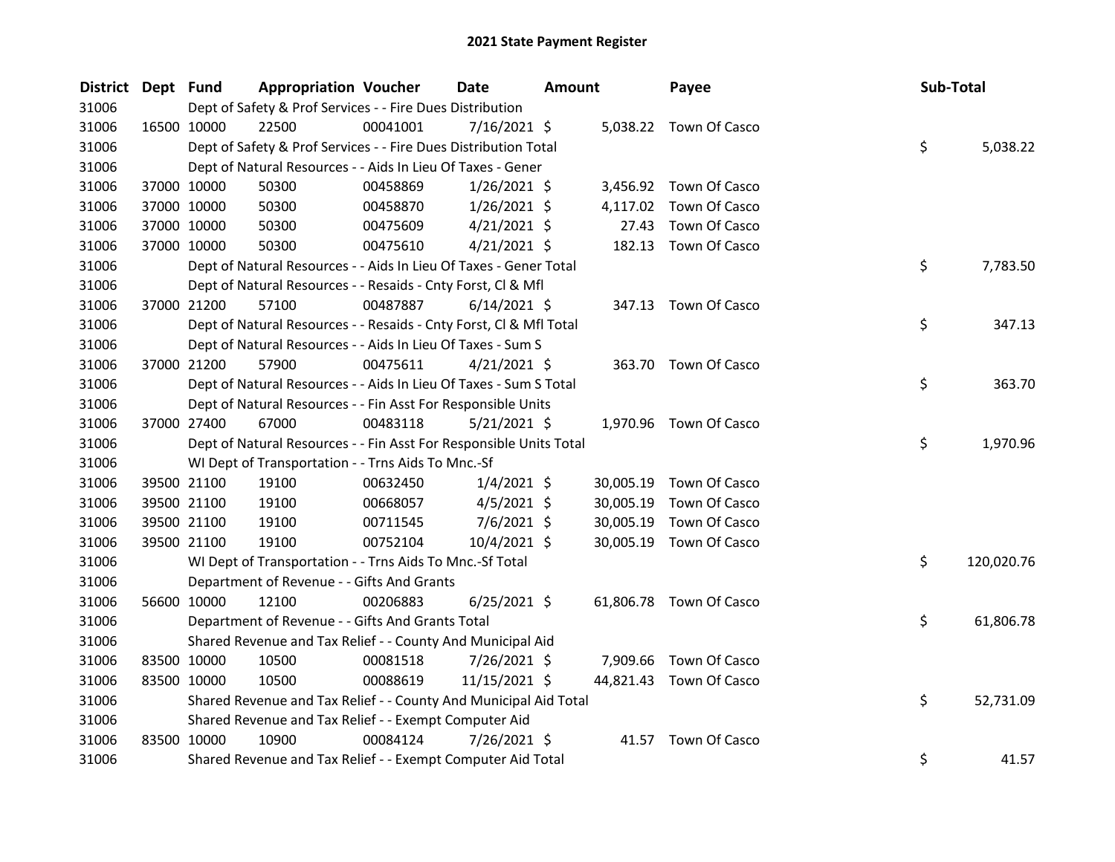| <b>District</b> | Dept Fund |             | <b>Appropriation Voucher</b>                                       |          | Date           | <b>Amount</b> |           | Payee                   | Sub-Total |            |
|-----------------|-----------|-------------|--------------------------------------------------------------------|----------|----------------|---------------|-----------|-------------------------|-----------|------------|
| 31006           |           |             | Dept of Safety & Prof Services - - Fire Dues Distribution          |          |                |               |           |                         |           |            |
| 31006           |           | 16500 10000 | 22500                                                              | 00041001 | $7/16/2021$ \$ |               |           | 5,038.22 Town Of Casco  |           |            |
| 31006           |           |             | Dept of Safety & Prof Services - - Fire Dues Distribution Total    |          |                |               |           |                         | \$        | 5,038.22   |
| 31006           |           |             | Dept of Natural Resources - - Aids In Lieu Of Taxes - Gener        |          |                |               |           |                         |           |            |
| 31006           |           | 37000 10000 | 50300                                                              | 00458869 | $1/26/2021$ \$ |               |           | 3,456.92 Town Of Casco  |           |            |
| 31006           |           | 37000 10000 | 50300                                                              | 00458870 | $1/26/2021$ \$ |               | 4,117.02  | Town Of Casco           |           |            |
| 31006           |           | 37000 10000 | 50300                                                              | 00475609 | $4/21/2021$ \$ |               | 27.43     | Town Of Casco           |           |            |
| 31006           |           | 37000 10000 | 50300                                                              | 00475610 | $4/21/2021$ \$ |               | 182.13    | Town Of Casco           |           |            |
| 31006           |           |             | Dept of Natural Resources - - Aids In Lieu Of Taxes - Gener Total  |          |                |               |           |                         | \$        | 7,783.50   |
| 31006           |           |             | Dept of Natural Resources - - Resaids - Cnty Forst, Cl & Mfl       |          |                |               |           |                         |           |            |
| 31006           |           | 37000 21200 | 57100                                                              | 00487887 | $6/14/2021$ \$ |               |           | 347.13 Town Of Casco    |           |            |
| 31006           |           |             | Dept of Natural Resources - - Resaids - Cnty Forst, CI & Mfl Total |          |                |               |           |                         | \$        | 347.13     |
| 31006           |           |             | Dept of Natural Resources - - Aids In Lieu Of Taxes - Sum S        |          |                |               |           |                         |           |            |
| 31006           |           | 37000 21200 | 57900                                                              | 00475611 | $4/21/2021$ \$ |               |           | 363.70 Town Of Casco    |           |            |
| 31006           |           |             | Dept of Natural Resources - - Aids In Lieu Of Taxes - Sum S Total  |          |                |               |           |                         | \$        | 363.70     |
| 31006           |           |             | Dept of Natural Resources - - Fin Asst For Responsible Units       |          |                |               |           |                         |           |            |
| 31006           |           | 37000 27400 | 67000                                                              | 00483118 | $5/21/2021$ \$ |               |           | 1,970.96 Town Of Casco  |           |            |
| 31006           |           |             | Dept of Natural Resources - - Fin Asst For Responsible Units Total |          |                |               |           |                         | \$        | 1,970.96   |
| 31006           |           |             | WI Dept of Transportation - - Trns Aids To Mnc.-Sf                 |          |                |               |           |                         |           |            |
| 31006           |           | 39500 21100 | 19100                                                              | 00632450 | $1/4/2021$ \$  |               | 30,005.19 | Town Of Casco           |           |            |
| 31006           |           | 39500 21100 | 19100                                                              | 00668057 | $4/5/2021$ \$  |               | 30,005.19 | Town Of Casco           |           |            |
| 31006           |           | 39500 21100 | 19100                                                              | 00711545 | $7/6/2021$ \$  |               | 30,005.19 | Town Of Casco           |           |            |
| 31006           |           | 39500 21100 | 19100                                                              | 00752104 | 10/4/2021 \$   |               |           | 30,005.19 Town Of Casco |           |            |
| 31006           |           |             | WI Dept of Transportation - - Trns Aids To Mnc.-Sf Total           |          |                |               |           |                         | \$        | 120,020.76 |
| 31006           |           |             | Department of Revenue - - Gifts And Grants                         |          |                |               |           |                         |           |            |
| 31006           |           | 56600 10000 | 12100                                                              | 00206883 | $6/25/2021$ \$ |               |           | 61,806.78 Town Of Casco |           |            |
| 31006           |           |             | Department of Revenue - - Gifts And Grants Total                   |          |                |               |           |                         | \$        | 61,806.78  |
| 31006           |           |             | Shared Revenue and Tax Relief - - County And Municipal Aid         |          |                |               |           |                         |           |            |
| 31006           |           | 83500 10000 | 10500                                                              | 00081518 | 7/26/2021 \$   |               |           | 7,909.66 Town Of Casco  |           |            |
| 31006           |           | 83500 10000 | 10500                                                              | 00088619 | 11/15/2021 \$  |               |           | 44,821.43 Town Of Casco |           |            |
| 31006           |           |             | Shared Revenue and Tax Relief - - County And Municipal Aid Total   |          |                |               |           |                         | \$        | 52,731.09  |
| 31006           |           |             | Shared Revenue and Tax Relief - - Exempt Computer Aid              |          |                |               |           |                         |           |            |
| 31006           |           | 83500 10000 | 10900                                                              | 00084124 | 7/26/2021 \$   |               |           | 41.57 Town Of Casco     |           |            |
| 31006           |           |             | Shared Revenue and Tax Relief - - Exempt Computer Aid Total        |          |                |               |           |                         | \$        | 41.57      |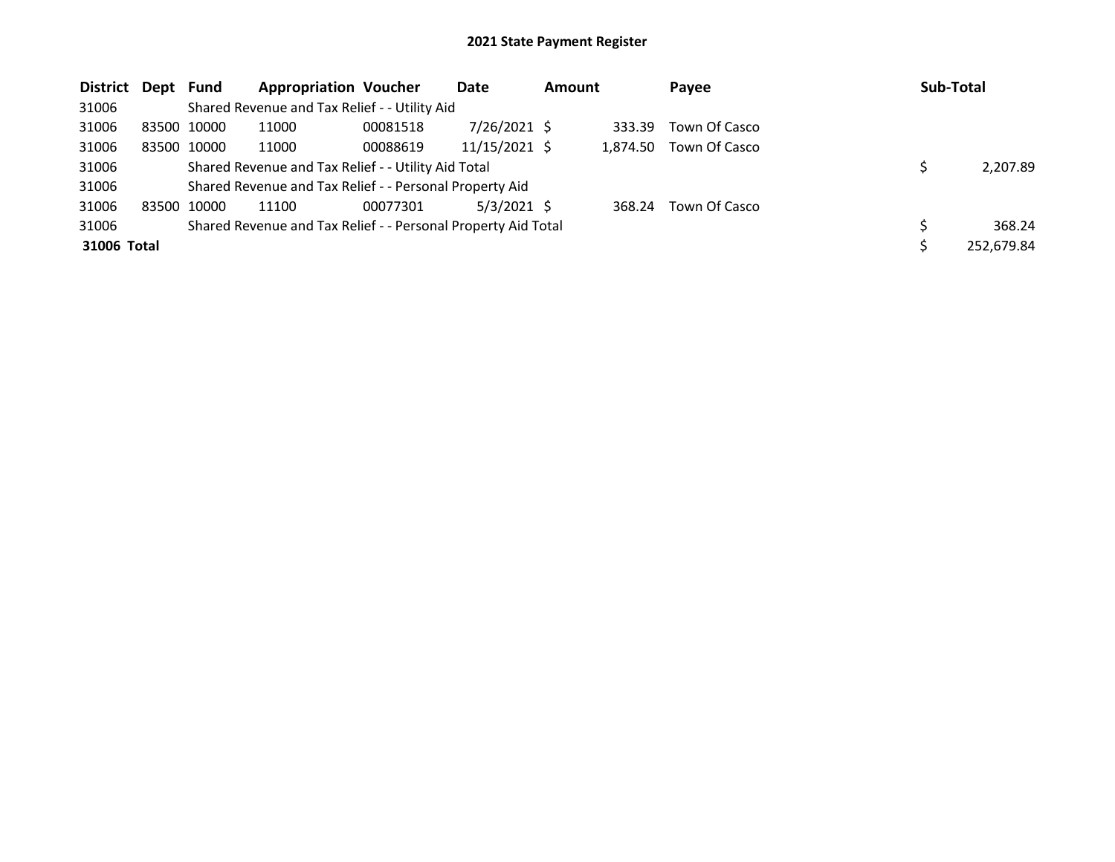| District Dept Fund |       |             | <b>Appropriation Voucher</b>                                  |          | Date           | <b>Amount</b> |          | Payee         | Sub-Total  |
|--------------------|-------|-------------|---------------------------------------------------------------|----------|----------------|---------------|----------|---------------|------------|
| 31006              |       |             | Shared Revenue and Tax Relief - - Utility Aid                 |          |                |               |          |               |            |
| 31006              |       | 83500 10000 | 11000                                                         | 00081518 | $7/26/2021$ \$ |               | 333.39   | Town Of Casco |            |
| 31006              |       | 83500 10000 | 11000                                                         | 00088619 | 11/15/2021 \$  |               | 1.874.50 | Town Of Casco |            |
| 31006              |       |             | Shared Revenue and Tax Relief - - Utility Aid Total           |          |                |               |          |               | 2,207.89   |
| 31006              |       |             | Shared Revenue and Tax Relief - - Personal Property Aid       |          |                |               |          |               |            |
| 31006              | 83500 | 10000       | 11100                                                         | 00077301 | $5/3/2021$ \$  |               | 368.24   | Town Of Casco |            |
| 31006              |       |             | Shared Revenue and Tax Relief - - Personal Property Aid Total |          |                |               |          |               | 368.24     |
| 31006 Total        |       |             |                                                               |          |                |               |          |               | 252,679.84 |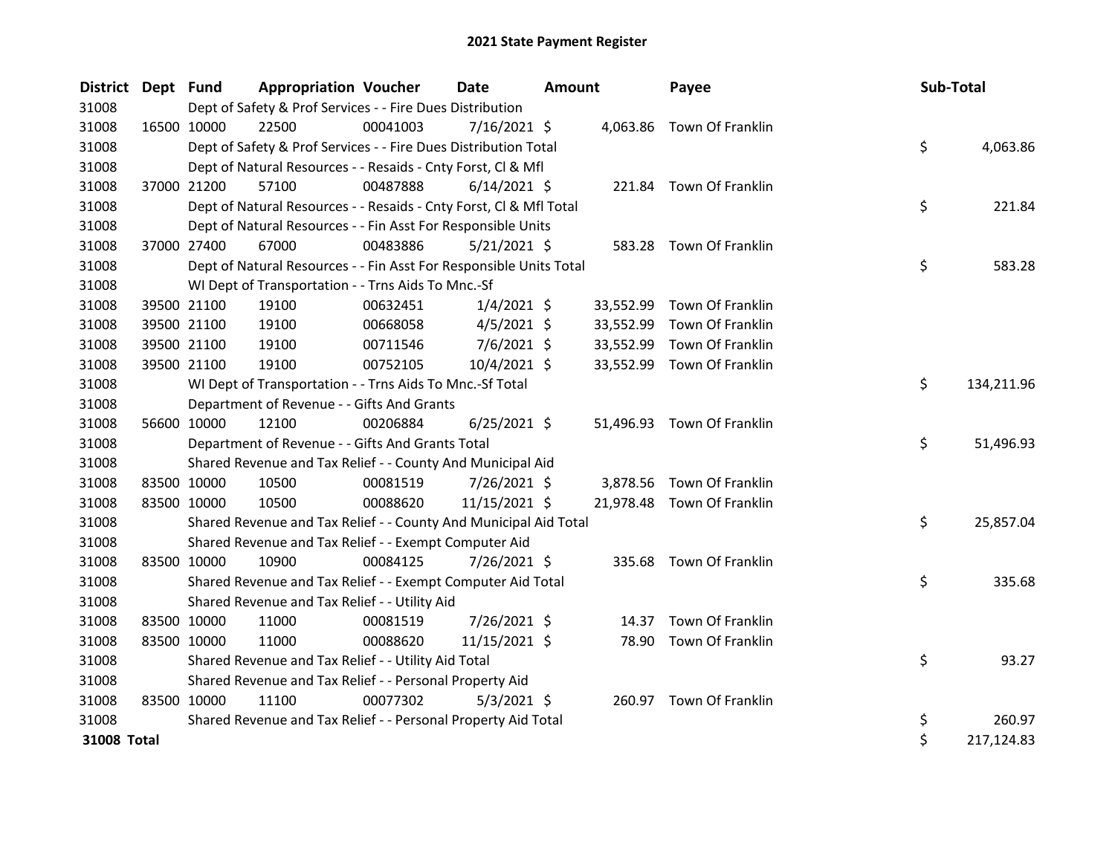| <b>District</b> | Dept Fund   |             | <b>Appropriation Voucher</b>                                       |          | <b>Date</b>    | <b>Amount</b> |           | Payee                      | Sub-Total |            |
|-----------------|-------------|-------------|--------------------------------------------------------------------|----------|----------------|---------------|-----------|----------------------------|-----------|------------|
| 31008           |             |             | Dept of Safety & Prof Services - - Fire Dues Distribution          |          |                |               |           |                            |           |            |
| 31008           | 16500 10000 |             | 22500                                                              | 00041003 | $7/16/2021$ \$ |               |           | 4,063.86 Town Of Franklin  |           |            |
| 31008           |             |             | Dept of Safety & Prof Services - - Fire Dues Distribution Total    |          |                |               |           |                            | \$        | 4,063.86   |
| 31008           |             |             | Dept of Natural Resources - - Resaids - Cnty Forst, Cl & Mfl       |          |                |               |           |                            |           |            |
| 31008           | 37000 21200 |             | 57100                                                              | 00487888 | $6/14/2021$ \$ |               |           | 221.84 Town Of Franklin    |           |            |
| 31008           |             |             | Dept of Natural Resources - - Resaids - Cnty Forst, CI & Mfl Total |          |                |               |           |                            | \$        | 221.84     |
| 31008           |             |             | Dept of Natural Resources - - Fin Asst For Responsible Units       |          |                |               |           |                            |           |            |
| 31008           |             | 37000 27400 | 67000                                                              | 00483886 | $5/21/2021$ \$ |               |           | 583.28 Town Of Franklin    |           |            |
| 31008           |             |             | Dept of Natural Resources - - Fin Asst For Responsible Units Total |          |                |               |           |                            | \$        | 583.28     |
| 31008           |             |             | WI Dept of Transportation - - Trns Aids To Mnc.-Sf                 |          |                |               |           |                            |           |            |
| 31008           |             | 39500 21100 | 19100                                                              | 00632451 | $1/4/2021$ \$  |               | 33,552.99 | Town Of Franklin           |           |            |
| 31008           | 39500 21100 |             | 19100                                                              | 00668058 | $4/5/2021$ \$  |               | 33,552.99 | Town Of Franklin           |           |            |
| 31008           | 39500 21100 |             | 19100                                                              | 00711546 | $7/6/2021$ \$  |               | 33,552.99 | Town Of Franklin           |           |            |
| 31008           | 39500 21100 |             | 19100                                                              | 00752105 | 10/4/2021 \$   |               | 33,552.99 | Town Of Franklin           |           |            |
| 31008           |             |             | WI Dept of Transportation - - Trns Aids To Mnc.-Sf Total           |          |                |               |           |                            | \$        | 134,211.96 |
| 31008           |             |             | Department of Revenue - - Gifts And Grants                         |          |                |               |           |                            |           |            |
| 31008           |             | 56600 10000 | 12100                                                              | 00206884 | $6/25/2021$ \$ |               |           | 51,496.93 Town Of Franklin |           |            |
| 31008           |             |             | Department of Revenue - - Gifts And Grants Total                   |          |                |               |           |                            | \$        | 51,496.93  |
| 31008           |             |             | Shared Revenue and Tax Relief - - County And Municipal Aid         |          |                |               |           |                            |           |            |
| 31008           | 83500 10000 |             | 10500                                                              | 00081519 | $7/26/2021$ \$ |               | 3,878.56  | Town Of Franklin           |           |            |
| 31008           | 83500 10000 |             | 10500                                                              | 00088620 | 11/15/2021 \$  |               |           | 21,978.48 Town Of Franklin |           |            |
| 31008           |             |             | Shared Revenue and Tax Relief - - County And Municipal Aid Total   |          |                |               |           |                            | \$        | 25,857.04  |
| 31008           |             |             | Shared Revenue and Tax Relief - - Exempt Computer Aid              |          |                |               |           |                            |           |            |
| 31008           | 83500 10000 |             | 10900                                                              | 00084125 | 7/26/2021 \$   |               |           | 335.68 Town Of Franklin    |           |            |
| 31008           |             |             | Shared Revenue and Tax Relief - - Exempt Computer Aid Total        |          |                |               |           |                            | \$        | 335.68     |
| 31008           |             |             | Shared Revenue and Tax Relief - - Utility Aid                      |          |                |               |           |                            |           |            |
| 31008           | 83500 10000 |             | 11000                                                              | 00081519 | 7/26/2021 \$   |               | 14.37     | Town Of Franklin           |           |            |
| 31008           | 83500 10000 |             | 11000                                                              | 00088620 | 11/15/2021 \$  |               | 78.90     | Town Of Franklin           |           |            |
| 31008           |             |             | Shared Revenue and Tax Relief - - Utility Aid Total                |          |                |               |           |                            | \$        | 93.27      |
| 31008           |             |             | Shared Revenue and Tax Relief - - Personal Property Aid            |          |                |               |           |                            |           |            |
| 31008           | 83500 10000 |             | 11100                                                              | 00077302 | $5/3/2021$ \$  |               |           | 260.97 Town Of Franklin    |           |            |
| 31008           |             |             | Shared Revenue and Tax Relief - - Personal Property Aid Total      |          |                |               |           |                            | \$        | 260.97     |
| 31008 Total     |             |             |                                                                    |          |                |               |           |                            | \$        | 217,124.83 |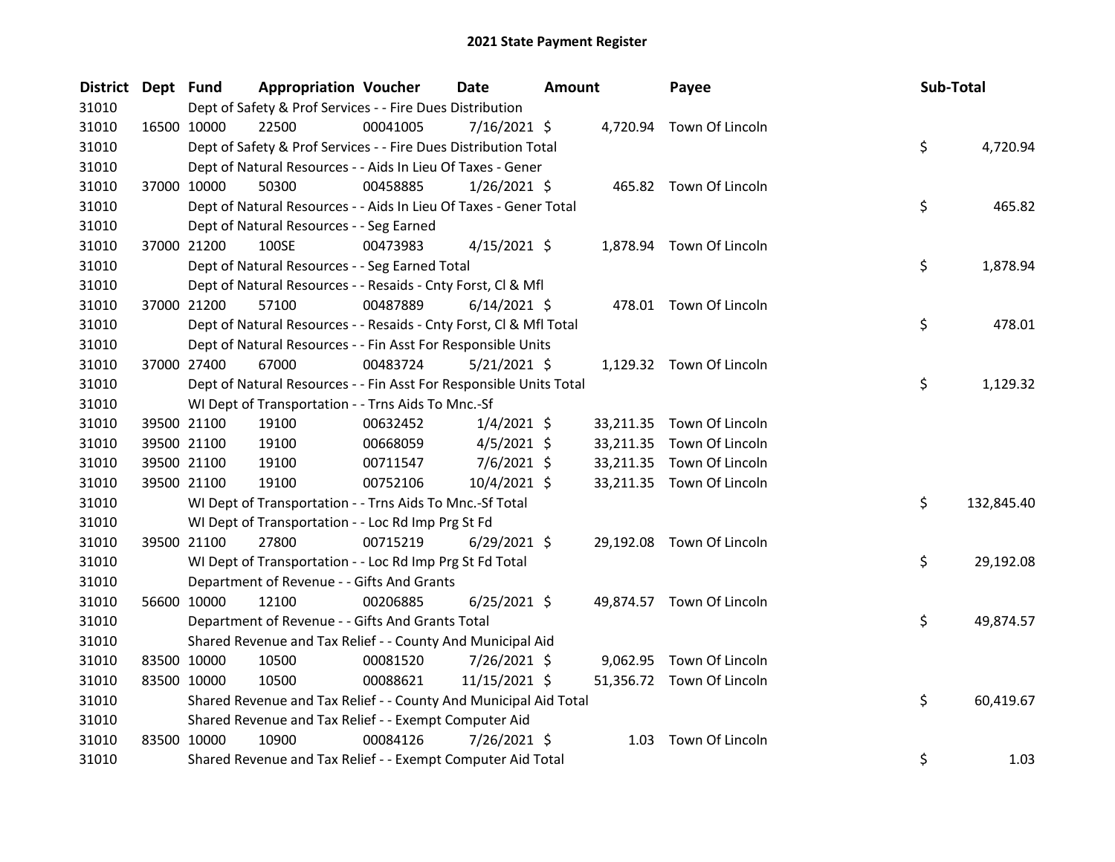| District Dept Fund |             | <b>Appropriation Voucher</b>                                       |          | Date           | <b>Amount</b> |      | Payee                     | Sub-Total |            |
|--------------------|-------------|--------------------------------------------------------------------|----------|----------------|---------------|------|---------------------------|-----------|------------|
| 31010              |             | Dept of Safety & Prof Services - - Fire Dues Distribution          |          |                |               |      |                           |           |            |
| 31010              |             | 16500 10000<br>22500                                               | 00041005 | 7/16/2021 \$   |               |      | 4,720.94 Town Of Lincoln  |           |            |
| 31010              |             | Dept of Safety & Prof Services - - Fire Dues Distribution Total    |          |                |               |      |                           | \$        | 4,720.94   |
| 31010              |             | Dept of Natural Resources - - Aids In Lieu Of Taxes - Gener        |          |                |               |      |                           |           |            |
| 31010              |             | 37000 10000<br>50300                                               | 00458885 | $1/26/2021$ \$ |               |      | 465.82 Town Of Lincoln    |           |            |
| 31010              |             | Dept of Natural Resources - - Aids In Lieu Of Taxes - Gener Total  |          |                |               |      |                           | \$        | 465.82     |
| 31010              |             | Dept of Natural Resources - - Seg Earned                           |          |                |               |      |                           |           |            |
| 31010              |             | 37000 21200<br>100SE                                               | 00473983 | $4/15/2021$ \$ |               |      | 1,878.94 Town Of Lincoln  |           |            |
| 31010              |             | Dept of Natural Resources - - Seg Earned Total                     |          |                |               |      |                           | \$        | 1,878.94   |
| 31010              |             | Dept of Natural Resources - - Resaids - Cnty Forst, Cl & Mfl       |          |                |               |      |                           |           |            |
| 31010              |             | 37000 21200<br>57100                                               | 00487889 | $6/14/2021$ \$ |               |      | 478.01 Town Of Lincoln    |           |            |
| 31010              |             | Dept of Natural Resources - - Resaids - Cnty Forst, Cl & Mfl Total |          |                |               |      |                           | \$        | 478.01     |
| 31010              |             | Dept of Natural Resources - - Fin Asst For Responsible Units       |          |                |               |      |                           |           |            |
| 31010              |             | 37000 27400<br>67000                                               | 00483724 | $5/21/2021$ \$ |               |      | 1,129.32 Town Of Lincoln  |           |            |
| 31010              |             | Dept of Natural Resources - - Fin Asst For Responsible Units Total |          |                |               |      |                           | \$        | 1,129.32   |
| 31010              |             | WI Dept of Transportation - - Trns Aids To Mnc.-Sf                 |          |                |               |      |                           |           |            |
| 31010              |             | 39500 21100<br>19100                                               | 00632452 | $1/4/2021$ \$  |               |      | 33,211.35 Town Of Lincoln |           |            |
| 31010              |             | 39500 21100<br>19100                                               | 00668059 | $4/5/2021$ \$  |               |      | 33,211.35 Town Of Lincoln |           |            |
| 31010              |             | 39500 21100<br>19100                                               | 00711547 | $7/6/2021$ \$  |               |      | 33,211.35 Town Of Lincoln |           |            |
| 31010              |             | 39500 21100<br>19100                                               | 00752106 | 10/4/2021 \$   |               |      | 33,211.35 Town Of Lincoln |           |            |
| 31010              |             | WI Dept of Transportation - - Trns Aids To Mnc.-Sf Total           |          |                |               |      |                           | \$        | 132,845.40 |
| 31010              |             | WI Dept of Transportation - - Loc Rd Imp Prg St Fd                 |          |                |               |      |                           |           |            |
| 31010              |             | 27800<br>39500 21100                                               | 00715219 | $6/29/2021$ \$ |               |      | 29,192.08 Town Of Lincoln |           |            |
| 31010              |             | WI Dept of Transportation - - Loc Rd Imp Prg St Fd Total           |          |                |               |      |                           | \$        | 29,192.08  |
| 31010              |             | Department of Revenue - - Gifts And Grants                         |          |                |               |      |                           |           |            |
| 31010              |             | 56600 10000<br>12100                                               | 00206885 | $6/25/2021$ \$ |               |      | 49,874.57 Town Of Lincoln |           |            |
| 31010              |             | Department of Revenue - - Gifts And Grants Total                   |          |                |               |      |                           | \$        | 49,874.57  |
| 31010              |             | Shared Revenue and Tax Relief - - County And Municipal Aid         |          |                |               |      |                           |           |            |
| 31010              |             | 83500 10000<br>10500                                               | 00081520 | 7/26/2021 \$   |               |      | 9,062.95 Town Of Lincoln  |           |            |
| 31010              |             | 83500 10000<br>10500                                               | 00088621 | 11/15/2021 \$  |               |      | 51,356.72 Town Of Lincoln |           |            |
| 31010              |             | Shared Revenue and Tax Relief - - County And Municipal Aid Total   |          |                |               |      |                           | \$        | 60,419.67  |
| 31010              |             | Shared Revenue and Tax Relief - - Exempt Computer Aid              |          |                |               |      |                           |           |            |
| 31010              | 83500 10000 | 10900                                                              | 00084126 | $7/26/2021$ \$ |               | 1.03 | Town Of Lincoln           |           |            |
| 31010              |             | Shared Revenue and Tax Relief - - Exempt Computer Aid Total        |          |                |               |      |                           | \$        | 1.03       |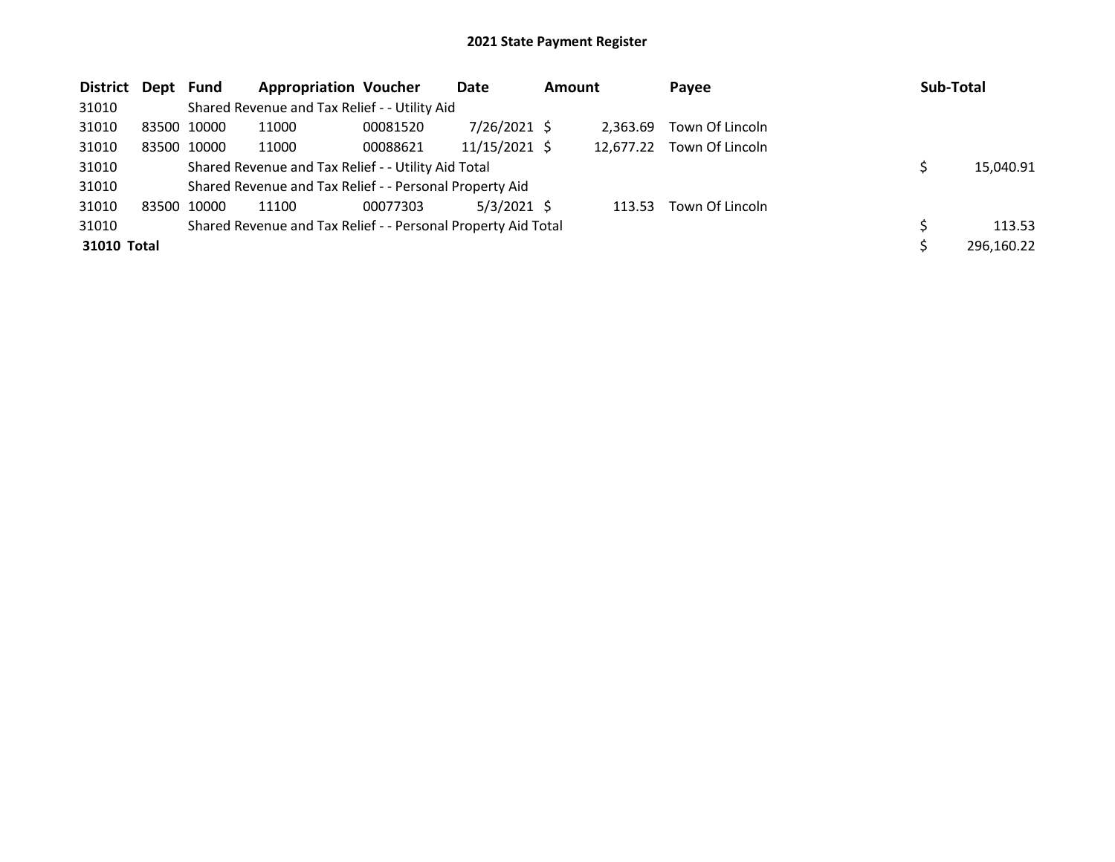| District Dept Fund |             |             | <b>Appropriation Voucher</b>                                  |          | Date            | <b>Amount</b> |           | Payee           | Sub-Total |            |
|--------------------|-------------|-------------|---------------------------------------------------------------|----------|-----------------|---------------|-----------|-----------------|-----------|------------|
| 31010              |             |             | Shared Revenue and Tax Relief - - Utility Aid                 |          |                 |               |           |                 |           |            |
| 31010              |             | 83500 10000 | 11000                                                         | 00081520 | $7/26/2021$ \$  |               | 2.363.69  | Town Of Lincoln |           |            |
| 31010              |             | 83500 10000 | 11000                                                         | 00088621 | $11/15/2021$ \$ |               | 12.677.22 | Town Of Lincoln |           |            |
| 31010              |             |             | Shared Revenue and Tax Relief - - Utility Aid Total           |          |                 |               |           |                 |           | 15,040.91  |
| 31010              |             |             | Shared Revenue and Tax Relief - - Personal Property Aid       |          |                 |               |           |                 |           |            |
| 31010              | 83500 10000 |             | 11100                                                         | 00077303 | $5/3/2021$ \$   |               | 113.53    | Town Of Lincoln |           |            |
| 31010              |             |             | Shared Revenue and Tax Relief - - Personal Property Aid Total |          |                 |               |           |                 |           | 113.53     |
| 31010 Total        |             |             |                                                               |          |                 |               |           |                 |           | 296,160.22 |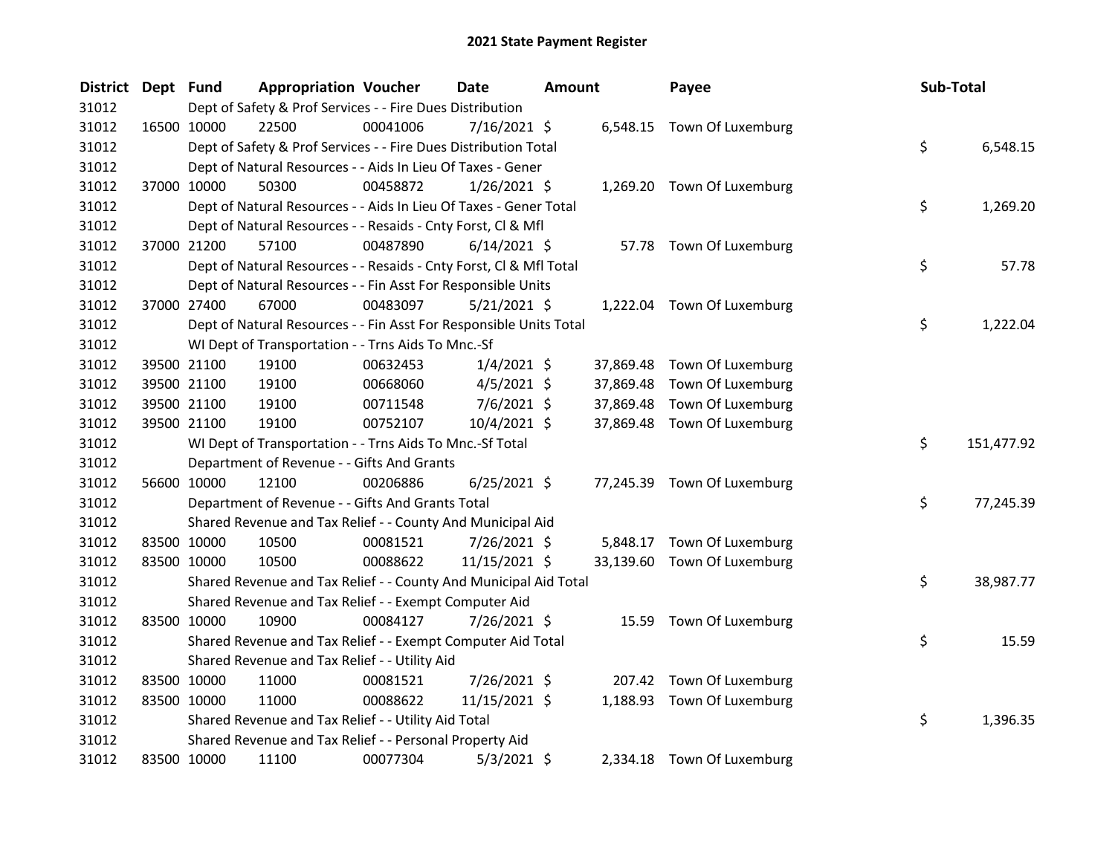| <b>District</b> | Dept Fund |             | <b>Appropriation Voucher</b>                                       |          | <b>Date</b>    | <b>Amount</b> |           | Payee                       | Sub-Total |            |
|-----------------|-----------|-------------|--------------------------------------------------------------------|----------|----------------|---------------|-----------|-----------------------------|-----------|------------|
| 31012           |           |             | Dept of Safety & Prof Services - - Fire Dues Distribution          |          |                |               |           |                             |           |            |
| 31012           |           | 16500 10000 | 22500                                                              | 00041006 | 7/16/2021 \$   |               |           | 6,548.15 Town Of Luxemburg  |           |            |
| 31012           |           |             | Dept of Safety & Prof Services - - Fire Dues Distribution Total    |          |                |               |           |                             | \$        | 6,548.15   |
| 31012           |           |             | Dept of Natural Resources - - Aids In Lieu Of Taxes - Gener        |          |                |               |           |                             |           |            |
| 31012           |           | 37000 10000 | 50300                                                              | 00458872 | $1/26/2021$ \$ |               |           | 1,269.20 Town Of Luxemburg  |           |            |
| 31012           |           |             | Dept of Natural Resources - - Aids In Lieu Of Taxes - Gener Total  |          |                |               |           |                             | \$        | 1,269.20   |
| 31012           |           |             | Dept of Natural Resources - - Resaids - Cnty Forst, Cl & Mfl       |          |                |               |           |                             |           |            |
| 31012           |           | 37000 21200 | 57100                                                              | 00487890 | $6/14/2021$ \$ |               |           | 57.78 Town Of Luxemburg     |           |            |
| 31012           |           |             | Dept of Natural Resources - - Resaids - Cnty Forst, Cl & Mfl Total |          |                |               |           |                             | \$        | 57.78      |
| 31012           |           |             | Dept of Natural Resources - - Fin Asst For Responsible Units       |          |                |               |           |                             |           |            |
| 31012           |           | 37000 27400 | 67000                                                              | 00483097 | 5/21/2021 \$   |               |           | 1,222.04 Town Of Luxemburg  |           |            |
| 31012           |           |             | Dept of Natural Resources - - Fin Asst For Responsible Units Total |          |                |               |           |                             | \$        | 1,222.04   |
| 31012           |           |             | WI Dept of Transportation - - Trns Aids To Mnc.-Sf                 |          |                |               |           |                             |           |            |
| 31012           |           | 39500 21100 | 19100                                                              | 00632453 | $1/4/2021$ \$  |               | 37,869.48 | Town Of Luxemburg           |           |            |
| 31012           |           | 39500 21100 | 19100                                                              | 00668060 | $4/5/2021$ \$  |               | 37,869.48 | Town Of Luxemburg           |           |            |
| 31012           |           | 39500 21100 | 19100                                                              | 00711548 | $7/6/2021$ \$  |               | 37,869.48 | Town Of Luxemburg           |           |            |
| 31012           |           | 39500 21100 | 19100                                                              | 00752107 | 10/4/2021 \$   |               |           | 37,869.48 Town Of Luxemburg |           |            |
| 31012           |           |             | WI Dept of Transportation - - Trns Aids To Mnc.-Sf Total           |          |                |               |           |                             | \$        | 151,477.92 |
| 31012           |           |             | Department of Revenue - - Gifts And Grants                         |          |                |               |           |                             |           |            |
| 31012           |           | 56600 10000 | 12100                                                              | 00206886 | $6/25/2021$ \$ |               |           | 77,245.39 Town Of Luxemburg |           |            |
| 31012           |           |             | Department of Revenue - - Gifts And Grants Total                   |          |                |               |           |                             | \$        | 77,245.39  |
| 31012           |           |             | Shared Revenue and Tax Relief - - County And Municipal Aid         |          |                |               |           |                             |           |            |
| 31012           |           | 83500 10000 | 10500                                                              | 00081521 | 7/26/2021 \$   |               |           | 5,848.17 Town Of Luxemburg  |           |            |
| 31012           |           | 83500 10000 | 10500                                                              | 00088622 | 11/15/2021 \$  |               |           | 33,139.60 Town Of Luxemburg |           |            |
| 31012           |           |             | Shared Revenue and Tax Relief - - County And Municipal Aid Total   |          |                |               |           |                             | \$        | 38,987.77  |
| 31012           |           |             | Shared Revenue and Tax Relief - - Exempt Computer Aid              |          |                |               |           |                             |           |            |
| 31012           |           | 83500 10000 | 10900                                                              | 00084127 | 7/26/2021 \$   |               |           | 15.59 Town Of Luxemburg     |           |            |
| 31012           |           |             | Shared Revenue and Tax Relief - - Exempt Computer Aid Total        |          |                |               |           |                             | \$        | 15.59      |
| 31012           |           |             | Shared Revenue and Tax Relief - - Utility Aid                      |          |                |               |           |                             |           |            |
| 31012           |           | 83500 10000 | 11000                                                              | 00081521 | 7/26/2021 \$   |               |           | 207.42 Town Of Luxemburg    |           |            |
| 31012           |           | 83500 10000 | 11000                                                              | 00088622 | 11/15/2021 \$  |               |           | 1,188.93 Town Of Luxemburg  |           |            |
| 31012           |           |             | Shared Revenue and Tax Relief - - Utility Aid Total                |          |                |               |           |                             | \$        | 1,396.35   |
| 31012           |           |             | Shared Revenue and Tax Relief - - Personal Property Aid            |          |                |               |           |                             |           |            |
| 31012           |           | 83500 10000 | 11100                                                              | 00077304 | $5/3/2021$ \$  |               |           | 2,334.18 Town Of Luxemburg  |           |            |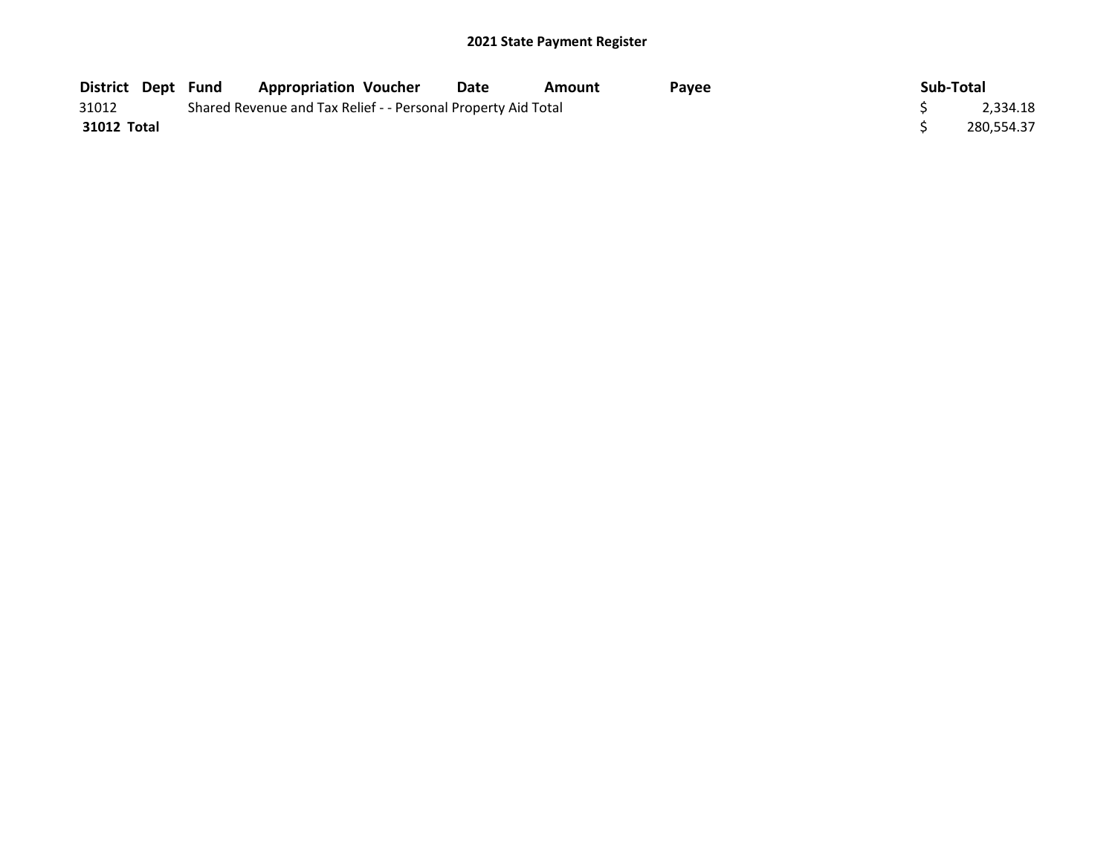| <b>District Dept Fund</b> |  | <b>Appropriation Voucher</b>                                  | Date | Amount | Pavee | Sub-Total |            |
|---------------------------|--|---------------------------------------------------------------|------|--------|-------|-----------|------------|
| 31012                     |  | Shared Revenue and Tax Relief - - Personal Property Aid Total |      |        |       |           | 2,334.18   |
| 31012 Total               |  |                                                               |      |        |       |           | 280,554.37 |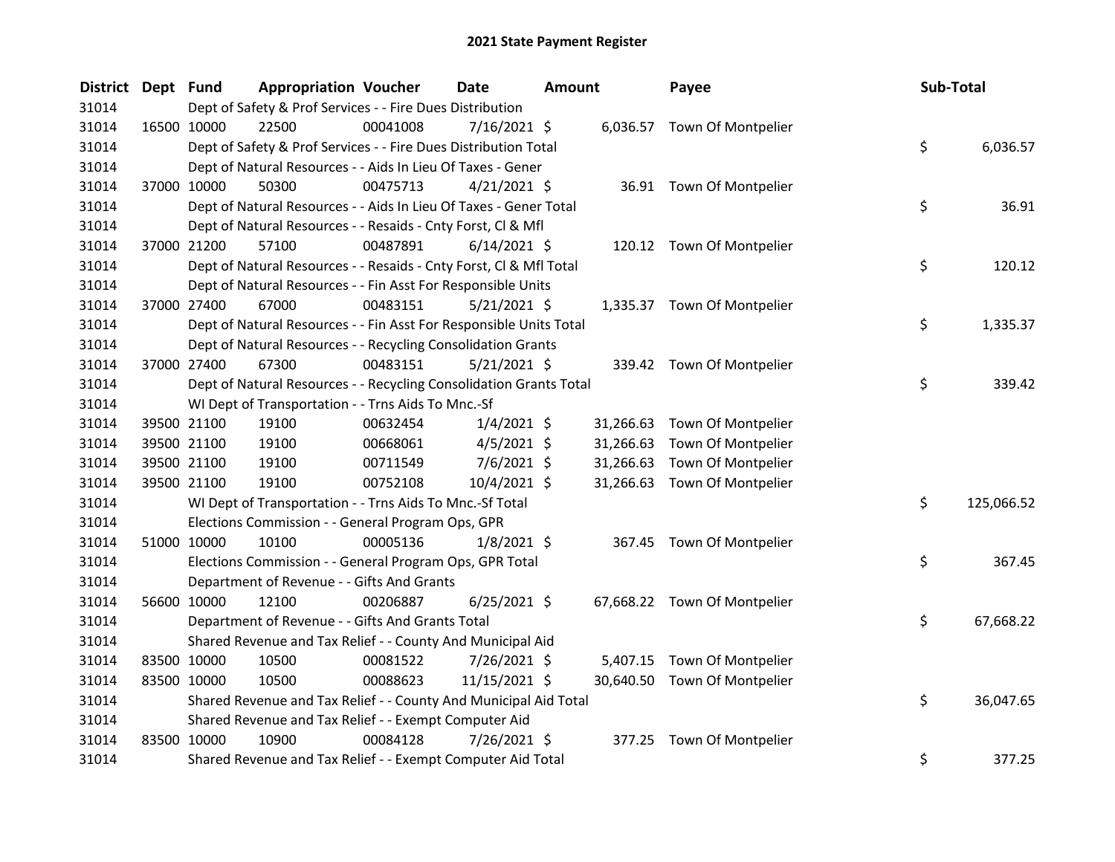| <b>District</b> | Dept Fund   | <b>Appropriation Voucher</b>                                       |          | Date           | <b>Amount</b> |           | Payee                        | Sub-Total        |
|-----------------|-------------|--------------------------------------------------------------------|----------|----------------|---------------|-----------|------------------------------|------------------|
| 31014           |             | Dept of Safety & Prof Services - - Fire Dues Distribution          |          |                |               |           |                              |                  |
| 31014           |             | 16500 10000<br>22500                                               | 00041008 | 7/16/2021 \$   |               |           | 6,036.57 Town Of Montpelier  |                  |
| 31014           |             | Dept of Safety & Prof Services - - Fire Dues Distribution Total    |          |                |               |           |                              | \$<br>6,036.57   |
| 31014           |             | Dept of Natural Resources - - Aids In Lieu Of Taxes - Gener        |          |                |               |           |                              |                  |
| 31014           |             | 37000 10000<br>50300                                               | 00475713 | $4/21/2021$ \$ |               |           | 36.91 Town Of Montpelier     |                  |
| 31014           |             | Dept of Natural Resources - - Aids In Lieu Of Taxes - Gener Total  |          |                |               |           |                              | \$<br>36.91      |
| 31014           |             | Dept of Natural Resources - - Resaids - Cnty Forst, Cl & Mfl       |          |                |               |           |                              |                  |
| 31014           |             | 37000 21200<br>57100                                               | 00487891 | $6/14/2021$ \$ |               |           | 120.12 Town Of Montpelier    |                  |
| 31014           |             | Dept of Natural Resources - - Resaids - Cnty Forst, Cl & Mfl Total |          |                |               |           |                              | \$<br>120.12     |
| 31014           |             | Dept of Natural Resources - - Fin Asst For Responsible Units       |          |                |               |           |                              |                  |
| 31014           |             | 67000<br>37000 27400                                               | 00483151 | $5/21/2021$ \$ |               |           | 1,335.37 Town Of Montpelier  |                  |
| 31014           |             | Dept of Natural Resources - - Fin Asst For Responsible Units Total |          |                |               |           |                              | \$<br>1,335.37   |
| 31014           |             | Dept of Natural Resources - - Recycling Consolidation Grants       |          |                |               |           |                              |                  |
| 31014           | 37000 27400 | 67300                                                              | 00483151 | $5/21/2021$ \$ |               |           | 339.42 Town Of Montpelier    |                  |
| 31014           |             | Dept of Natural Resources - - Recycling Consolidation Grants Total |          |                |               |           |                              | \$<br>339.42     |
| 31014           |             | WI Dept of Transportation - - Trns Aids To Mnc.-Sf                 |          |                |               |           |                              |                  |
| 31014           |             | 39500 21100<br>19100                                               | 00632454 | $1/4/2021$ \$  |               | 31,266.63 | Town Of Montpelier           |                  |
| 31014           | 39500 21100 | 19100                                                              | 00668061 | $4/5/2021$ \$  |               | 31,266.63 | Town Of Montpelier           |                  |
| 31014           | 39500 21100 | 19100                                                              | 00711549 | 7/6/2021 \$    |               | 31,266.63 | Town Of Montpelier           |                  |
| 31014           |             | 39500 21100<br>19100                                               | 00752108 | 10/4/2021 \$   |               | 31,266.63 | Town Of Montpelier           |                  |
| 31014           |             | WI Dept of Transportation - - Trns Aids To Mnc.-Sf Total           |          |                |               |           |                              | \$<br>125,066.52 |
| 31014           |             | Elections Commission - - General Program Ops, GPR                  |          |                |               |           |                              |                  |
| 31014           |             | 51000 10000<br>10100                                               | 00005136 | $1/8/2021$ \$  |               |           | 367.45 Town Of Montpelier    |                  |
| 31014           |             | Elections Commission - - General Program Ops, GPR Total            |          |                |               |           |                              | \$<br>367.45     |
| 31014           |             | Department of Revenue - - Gifts And Grants                         |          |                |               |           |                              |                  |
| 31014           |             | 56600 10000<br>12100                                               | 00206887 | $6/25/2021$ \$ |               |           | 67,668.22 Town Of Montpelier |                  |
| 31014           |             | Department of Revenue - - Gifts And Grants Total                   |          |                |               |           |                              | \$<br>67,668.22  |
| 31014           |             | Shared Revenue and Tax Relief - - County And Municipal Aid         |          |                |               |           |                              |                  |
| 31014           | 83500 10000 | 10500                                                              | 00081522 | 7/26/2021 \$   |               | 5,407.15  | Town Of Montpelier           |                  |
| 31014           |             | 83500 10000<br>10500                                               | 00088623 | 11/15/2021 \$  |               |           | 30,640.50 Town Of Montpelier |                  |
| 31014           |             | Shared Revenue and Tax Relief - - County And Municipal Aid Total   |          |                |               |           |                              | \$<br>36,047.65  |
| 31014           |             | Shared Revenue and Tax Relief - - Exempt Computer Aid              |          |                |               |           |                              |                  |
| 31014           | 83500 10000 | 10900                                                              | 00084128 | 7/26/2021 \$   |               | 377.25    | Town Of Montpelier           |                  |
| 31014           |             | Shared Revenue and Tax Relief - - Exempt Computer Aid Total        |          |                |               |           |                              | \$<br>377.25     |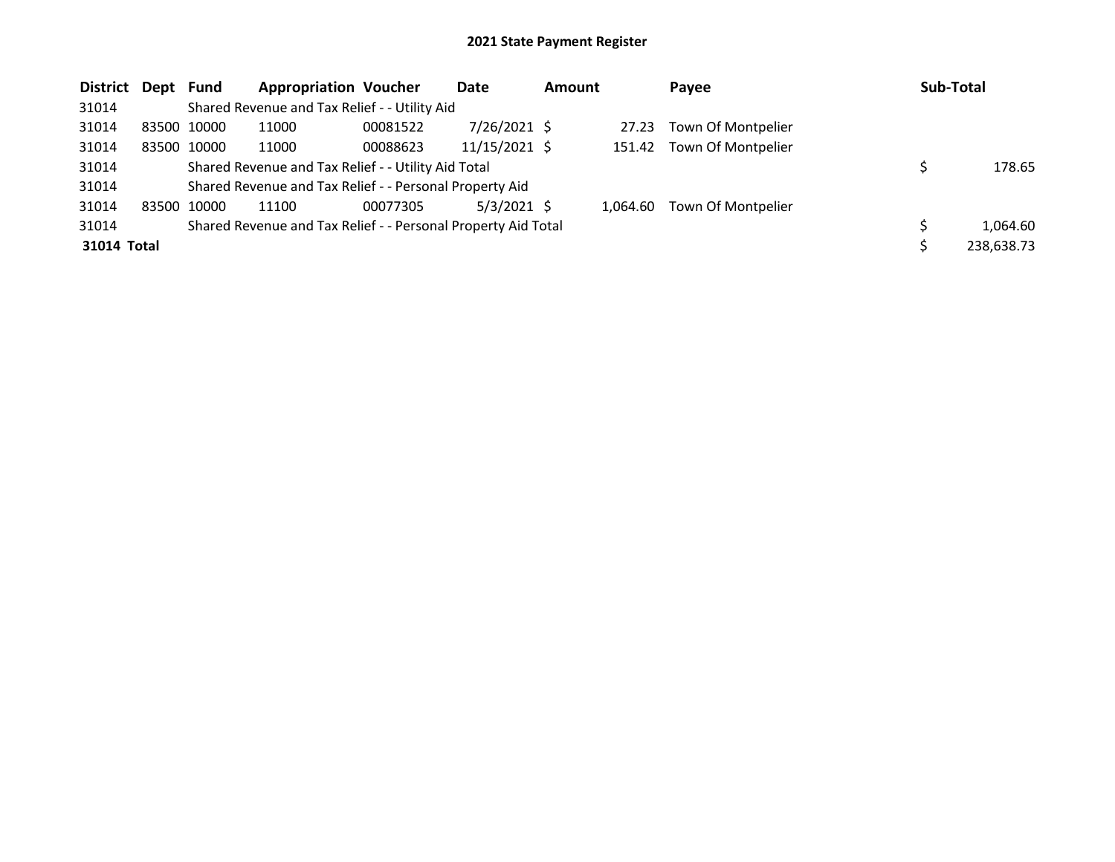| District Dept Fund |             | <b>Appropriation Voucher</b>                                  |          | Date           | <b>Amount</b> |          | Payee              | <b>Sub-Total</b> |
|--------------------|-------------|---------------------------------------------------------------|----------|----------------|---------------|----------|--------------------|------------------|
| 31014              |             | Shared Revenue and Tax Relief - - Utility Aid                 |          |                |               |          |                    |                  |
| 31014              | 83500 10000 | 11000                                                         | 00081522 | $7/26/2021$ \$ |               | 27.23    | Town Of Montpelier |                  |
| 31014              | 83500 10000 | 11000                                                         | 00088623 | 11/15/2021 \$  |               | 151.42   | Town Of Montpelier |                  |
| 31014              |             | Shared Revenue and Tax Relief - - Utility Aid Total           |          |                |               |          |                    | 178.65           |
| 31014              |             | Shared Revenue and Tax Relief - - Personal Property Aid       |          |                |               |          |                    |                  |
| 31014              | 83500 10000 | 11100                                                         | 00077305 | $5/3/2021$ \$  |               | 1.064.60 | Town Of Montpelier |                  |
| 31014              |             | Shared Revenue and Tax Relief - - Personal Property Aid Total |          |                |               |          |                    | 1,064.60         |
| 31014 Total        |             |                                                               |          |                |               |          |                    | 238,638.73       |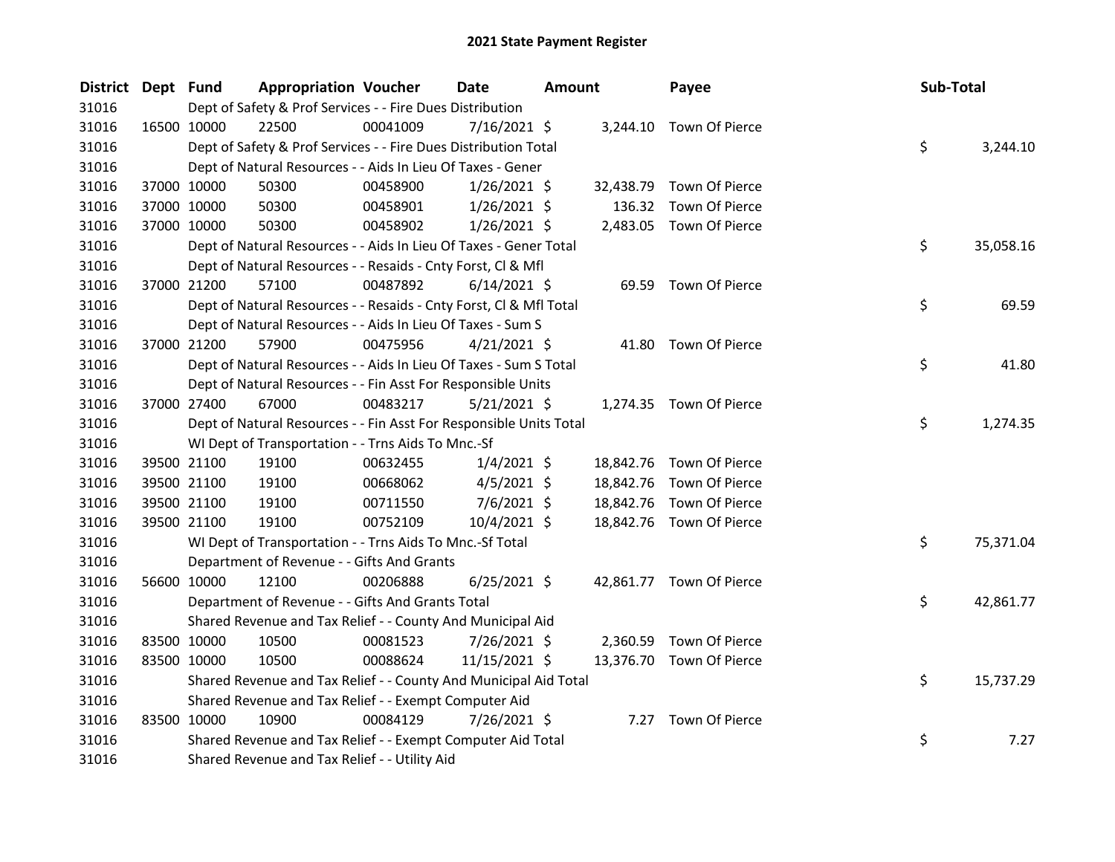| <b>District</b> | Dept Fund   |             | <b>Appropriation Voucher</b>                                       |          | <b>Date</b>    | Amount |           | Payee                    | Sub-Total |           |
|-----------------|-------------|-------------|--------------------------------------------------------------------|----------|----------------|--------|-----------|--------------------------|-----------|-----------|
| 31016           |             |             | Dept of Safety & Prof Services - - Fire Dues Distribution          |          |                |        |           |                          |           |           |
| 31016           |             | 16500 10000 | 22500                                                              | 00041009 | $7/16/2021$ \$ |        |           | 3,244.10 Town Of Pierce  |           |           |
| 31016           |             |             | Dept of Safety & Prof Services - - Fire Dues Distribution Total    |          |                |        |           |                          | \$        | 3,244.10  |
| 31016           |             |             | Dept of Natural Resources - - Aids In Lieu Of Taxes - Gener        |          |                |        |           |                          |           |           |
| 31016           |             | 37000 10000 | 50300                                                              | 00458900 | $1/26/2021$ \$ |        | 32,438.79 | Town Of Pierce           |           |           |
| 31016           |             | 37000 10000 | 50300                                                              | 00458901 | $1/26/2021$ \$ |        | 136.32    | Town Of Pierce           |           |           |
| 31016           |             | 37000 10000 | 50300                                                              | 00458902 | $1/26/2021$ \$ |        |           | 2,483.05 Town Of Pierce  |           |           |
| 31016           |             |             | Dept of Natural Resources - - Aids In Lieu Of Taxes - Gener Total  |          |                |        |           |                          | \$        | 35,058.16 |
| 31016           |             |             | Dept of Natural Resources - - Resaids - Cnty Forst, Cl & Mfl       |          |                |        |           |                          |           |           |
| 31016           |             | 37000 21200 | 57100                                                              | 00487892 | $6/14/2021$ \$ |        |           | 69.59 Town Of Pierce     |           |           |
| 31016           |             |             | Dept of Natural Resources - - Resaids - Cnty Forst, CI & Mfl Total |          |                |        |           |                          | \$        | 69.59     |
| 31016           |             |             | Dept of Natural Resources - - Aids In Lieu Of Taxes - Sum S        |          |                |        |           |                          |           |           |
| 31016           |             | 37000 21200 | 57900                                                              | 00475956 | $4/21/2021$ \$ |        |           | 41.80 Town Of Pierce     |           |           |
| 31016           |             |             | Dept of Natural Resources - - Aids In Lieu Of Taxes - Sum S Total  |          |                |        |           |                          | \$        | 41.80     |
| 31016           |             |             | Dept of Natural Resources - - Fin Asst For Responsible Units       |          |                |        |           |                          |           |           |
| 31016           | 37000 27400 |             | 67000                                                              | 00483217 | $5/21/2021$ \$ |        |           | 1,274.35 Town Of Pierce  |           |           |
| 31016           |             |             | Dept of Natural Resources - - Fin Asst For Responsible Units Total |          |                |        |           |                          | \$        | 1,274.35  |
| 31016           |             |             | WI Dept of Transportation - - Trns Aids To Mnc.-Sf                 |          |                |        |           |                          |           |           |
| 31016           |             | 39500 21100 | 19100                                                              | 00632455 | $1/4/2021$ \$  |        |           | 18,842.76 Town Of Pierce |           |           |
| 31016           |             | 39500 21100 | 19100                                                              | 00668062 | $4/5/2021$ \$  |        |           | 18,842.76 Town Of Pierce |           |           |
| 31016           |             | 39500 21100 | 19100                                                              | 00711550 | 7/6/2021 \$    |        | 18,842.76 | Town Of Pierce           |           |           |
| 31016           |             | 39500 21100 | 19100                                                              | 00752109 | 10/4/2021 \$   |        |           | 18,842.76 Town Of Pierce |           |           |
| 31016           |             |             | WI Dept of Transportation - - Trns Aids To Mnc.-Sf Total           |          |                |        |           |                          | \$        | 75,371.04 |
| 31016           |             |             | Department of Revenue - - Gifts And Grants                         |          |                |        |           |                          |           |           |
| 31016           |             | 56600 10000 | 12100                                                              | 00206888 | $6/25/2021$ \$ |        |           | 42,861.77 Town Of Pierce |           |           |
| 31016           |             |             | Department of Revenue - - Gifts And Grants Total                   |          |                |        |           |                          | \$        | 42,861.77 |
| 31016           |             |             | Shared Revenue and Tax Relief - - County And Municipal Aid         |          |                |        |           |                          |           |           |
| 31016           | 83500 10000 |             | 10500                                                              | 00081523 | 7/26/2021 \$   |        | 2,360.59  | Town Of Pierce           |           |           |
| 31016           |             | 83500 10000 | 10500                                                              | 00088624 | 11/15/2021 \$  |        |           | 13,376.70 Town Of Pierce |           |           |
| 31016           |             |             | Shared Revenue and Tax Relief - - County And Municipal Aid Total   |          |                |        |           |                          | \$        | 15,737.29 |
| 31016           |             |             | Shared Revenue and Tax Relief - - Exempt Computer Aid              |          |                |        |           |                          |           |           |
| 31016           |             | 83500 10000 | 10900                                                              | 00084129 | 7/26/2021 \$   |        |           | 7.27 Town Of Pierce      |           |           |
| 31016           |             |             | Shared Revenue and Tax Relief - - Exempt Computer Aid Total        |          |                |        |           |                          | \$        | 7.27      |
| 31016           |             |             | Shared Revenue and Tax Relief - - Utility Aid                      |          |                |        |           |                          |           |           |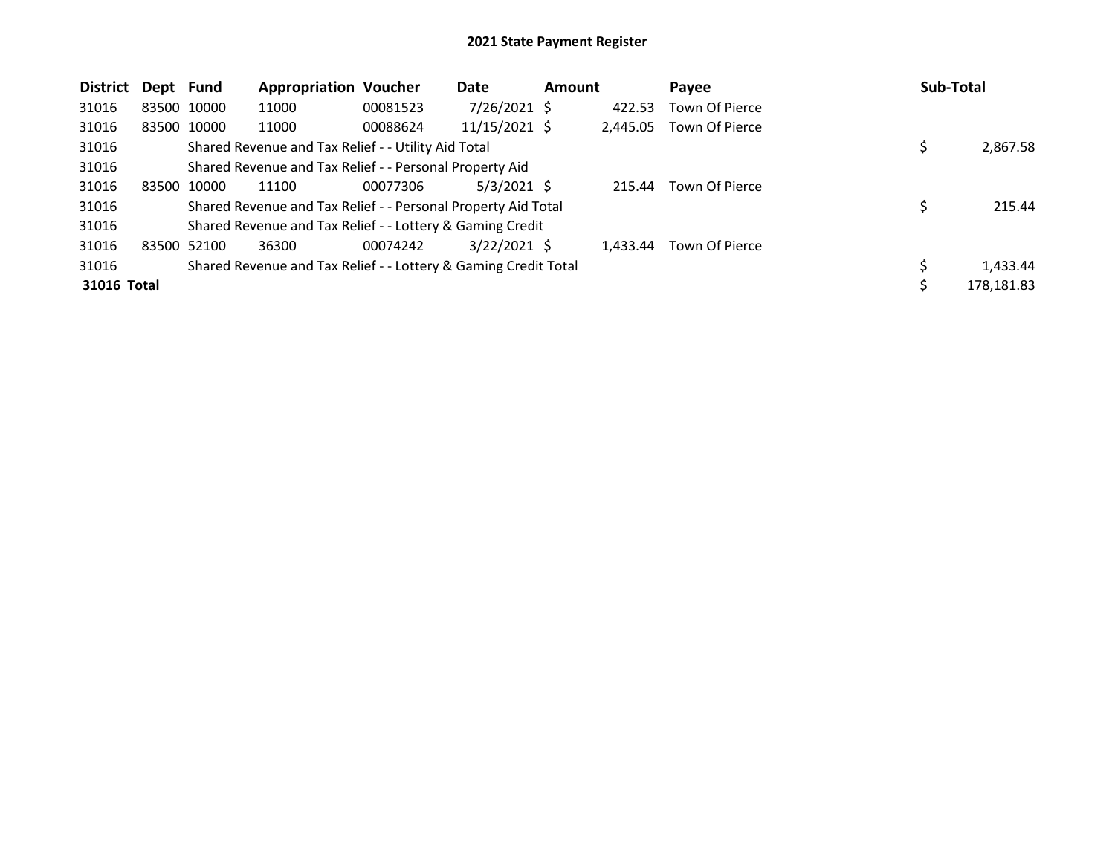| <b>District</b> | Dept Fund   |             | <b>Appropriation Voucher</b>                                    |          | Date            | <b>Amount</b> |          | Payee          | Sub-Total |            |
|-----------------|-------------|-------------|-----------------------------------------------------------------|----------|-----------------|---------------|----------|----------------|-----------|------------|
| 31016           |             | 83500 10000 | 11000                                                           | 00081523 | $7/26/2021$ \$  |               | 422.53   | Town Of Pierce |           |            |
| 31016           |             | 83500 10000 | 11000                                                           | 00088624 | $11/15/2021$ \$ |               | 2,445.05 | Town Of Pierce |           |            |
| 31016           |             |             | Shared Revenue and Tax Relief - - Utility Aid Total             |          |                 |               |          |                | \$        | 2,867.58   |
| 31016           |             |             | Shared Revenue and Tax Relief - - Personal Property Aid         |          |                 |               |          |                |           |            |
| 31016           | 83500 10000 |             | 11100                                                           | 00077306 | $5/3/2021$ \$   |               | 215.44   | Town Of Pierce |           |            |
| 31016           |             |             | Shared Revenue and Tax Relief - - Personal Property Aid Total   |          |                 |               |          |                | \$        | 215.44     |
| 31016           |             |             | Shared Revenue and Tax Relief - - Lottery & Gaming Credit       |          |                 |               |          |                |           |            |
| 31016           |             | 83500 52100 | 36300                                                           | 00074242 | $3/22/2021$ \$  |               | 1.433.44 | Town Of Pierce |           |            |
| 31016           |             |             | Shared Revenue and Tax Relief - - Lottery & Gaming Credit Total |          |                 |               |          |                |           | 1,433.44   |
| 31016 Total     |             |             |                                                                 |          |                 |               |          |                | \$        | 178,181.83 |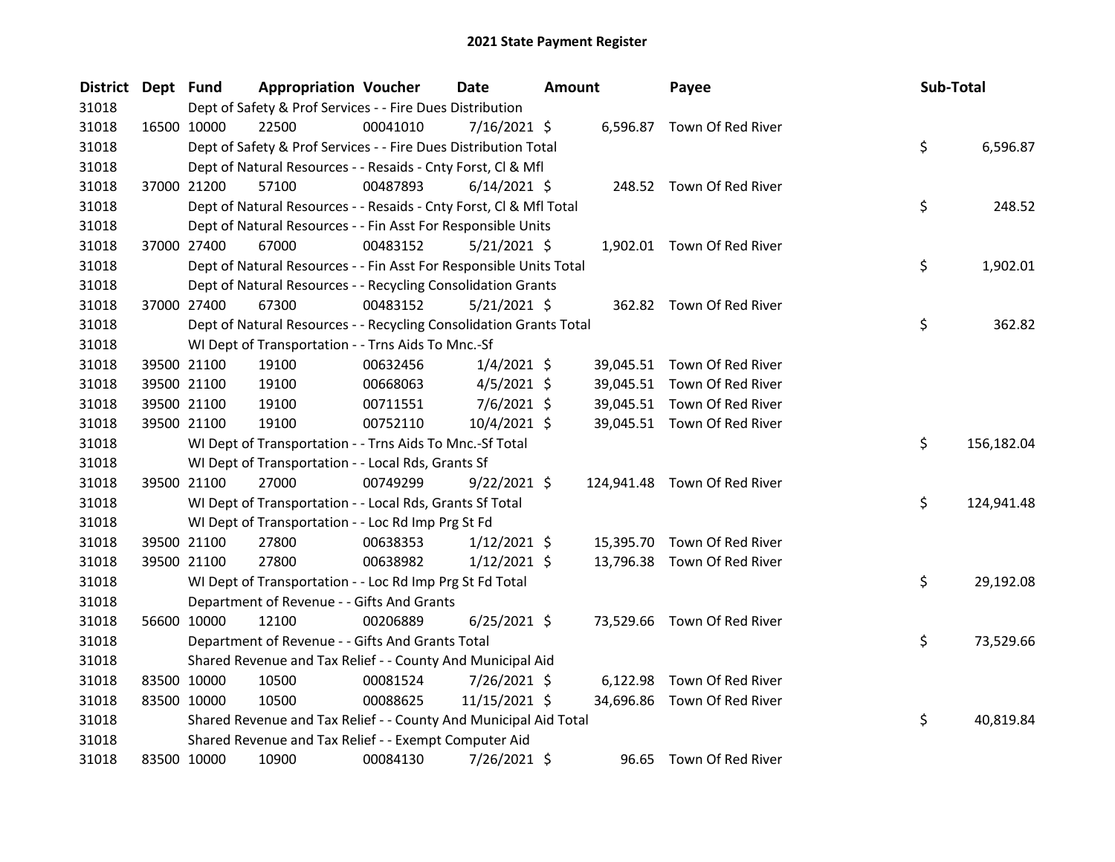| <b>District</b> | Dept Fund |             | <b>Appropriation Voucher</b>                                       |          | Date           | <b>Amount</b> |           | Payee                        | Sub-Total |            |
|-----------------|-----------|-------------|--------------------------------------------------------------------|----------|----------------|---------------|-----------|------------------------------|-----------|------------|
| 31018           |           |             | Dept of Safety & Prof Services - - Fire Dues Distribution          |          |                |               |           |                              |           |            |
| 31018           |           | 16500 10000 | 22500                                                              | 00041010 | 7/16/2021 \$   |               |           | 6,596.87 Town Of Red River   |           |            |
| 31018           |           |             | Dept of Safety & Prof Services - - Fire Dues Distribution Total    |          |                |               |           |                              | \$        | 6,596.87   |
| 31018           |           |             | Dept of Natural Resources - - Resaids - Cnty Forst, Cl & Mfl       |          |                |               |           |                              |           |            |
| 31018           |           | 37000 21200 | 57100                                                              | 00487893 | $6/14/2021$ \$ |               |           | 248.52 Town Of Red River     |           |            |
| 31018           |           |             | Dept of Natural Resources - - Resaids - Cnty Forst, Cl & Mfl Total |          |                |               |           |                              | \$        | 248.52     |
| 31018           |           |             | Dept of Natural Resources - - Fin Asst For Responsible Units       |          |                |               |           |                              |           |            |
| 31018           |           | 37000 27400 | 67000                                                              | 00483152 | $5/21/2021$ \$ |               |           | 1,902.01 Town Of Red River   |           |            |
| 31018           |           |             | Dept of Natural Resources - - Fin Asst For Responsible Units Total |          |                |               |           |                              | \$        | 1,902.01   |
| 31018           |           |             | Dept of Natural Resources - - Recycling Consolidation Grants       |          |                |               |           |                              |           |            |
| 31018           |           | 37000 27400 | 67300                                                              | 00483152 | $5/21/2021$ \$ |               |           | 362.82 Town Of Red River     |           |            |
| 31018           |           |             | Dept of Natural Resources - - Recycling Consolidation Grants Total |          |                |               |           |                              | \$        | 362.82     |
| 31018           |           |             | WI Dept of Transportation - - Trns Aids To Mnc.-Sf                 |          |                |               |           |                              |           |            |
| 31018           |           | 39500 21100 | 19100                                                              | 00632456 | $1/4/2021$ \$  |               |           | 39,045.51 Town Of Red River  |           |            |
| 31018           |           | 39500 21100 | 19100                                                              | 00668063 | $4/5/2021$ \$  |               |           | 39,045.51 Town Of Red River  |           |            |
| 31018           |           | 39500 21100 | 19100                                                              | 00711551 | $7/6/2021$ \$  |               |           | 39,045.51 Town Of Red River  |           |            |
| 31018           |           | 39500 21100 | 19100                                                              | 00752110 | 10/4/2021 \$   |               |           | 39,045.51 Town Of Red River  |           |            |
| 31018           |           |             | WI Dept of Transportation - - Trns Aids To Mnc.-Sf Total           |          |                |               |           |                              | \$        | 156,182.04 |
| 31018           |           |             | WI Dept of Transportation - - Local Rds, Grants Sf                 |          |                |               |           |                              |           |            |
| 31018           |           | 39500 21100 | 27000                                                              | 00749299 | $9/22/2021$ \$ |               |           | 124,941.48 Town Of Red River |           |            |
| 31018           |           |             | WI Dept of Transportation - - Local Rds, Grants Sf Total           |          |                |               |           |                              | \$        | 124,941.48 |
| 31018           |           |             | WI Dept of Transportation - - Loc Rd Imp Prg St Fd                 |          |                |               |           |                              |           |            |
| 31018           |           | 39500 21100 | 27800                                                              | 00638353 | $1/12/2021$ \$ |               | 15,395.70 | Town Of Red River            |           |            |
| 31018           |           | 39500 21100 | 27800                                                              | 00638982 | $1/12/2021$ \$ |               |           | 13,796.38 Town Of Red River  |           |            |
| 31018           |           |             | WI Dept of Transportation - - Loc Rd Imp Prg St Fd Total           |          |                |               |           |                              | \$        | 29,192.08  |
| 31018           |           |             | Department of Revenue - - Gifts And Grants                         |          |                |               |           |                              |           |            |
| 31018           |           | 56600 10000 | 12100                                                              | 00206889 | $6/25/2021$ \$ |               |           | 73,529.66 Town Of Red River  |           |            |
| 31018           |           |             | Department of Revenue - - Gifts And Grants Total                   |          |                |               |           |                              | \$        | 73,529.66  |
| 31018           |           |             | Shared Revenue and Tax Relief - - County And Municipal Aid         |          |                |               |           |                              |           |            |
| 31018           |           | 83500 10000 | 10500                                                              | 00081524 | 7/26/2021 \$   |               |           | 6,122.98 Town Of Red River   |           |            |
| 31018           |           | 83500 10000 | 10500                                                              | 00088625 | 11/15/2021 \$  |               |           | 34,696.86 Town Of Red River  |           |            |
| 31018           |           |             | Shared Revenue and Tax Relief - - County And Municipal Aid Total   |          |                |               |           |                              | \$        | 40,819.84  |
| 31018           |           |             | Shared Revenue and Tax Relief - - Exempt Computer Aid              |          |                |               |           |                              |           |            |
| 31018           |           | 83500 10000 | 10900                                                              | 00084130 | 7/26/2021 \$   |               |           | 96.65 Town Of Red River      |           |            |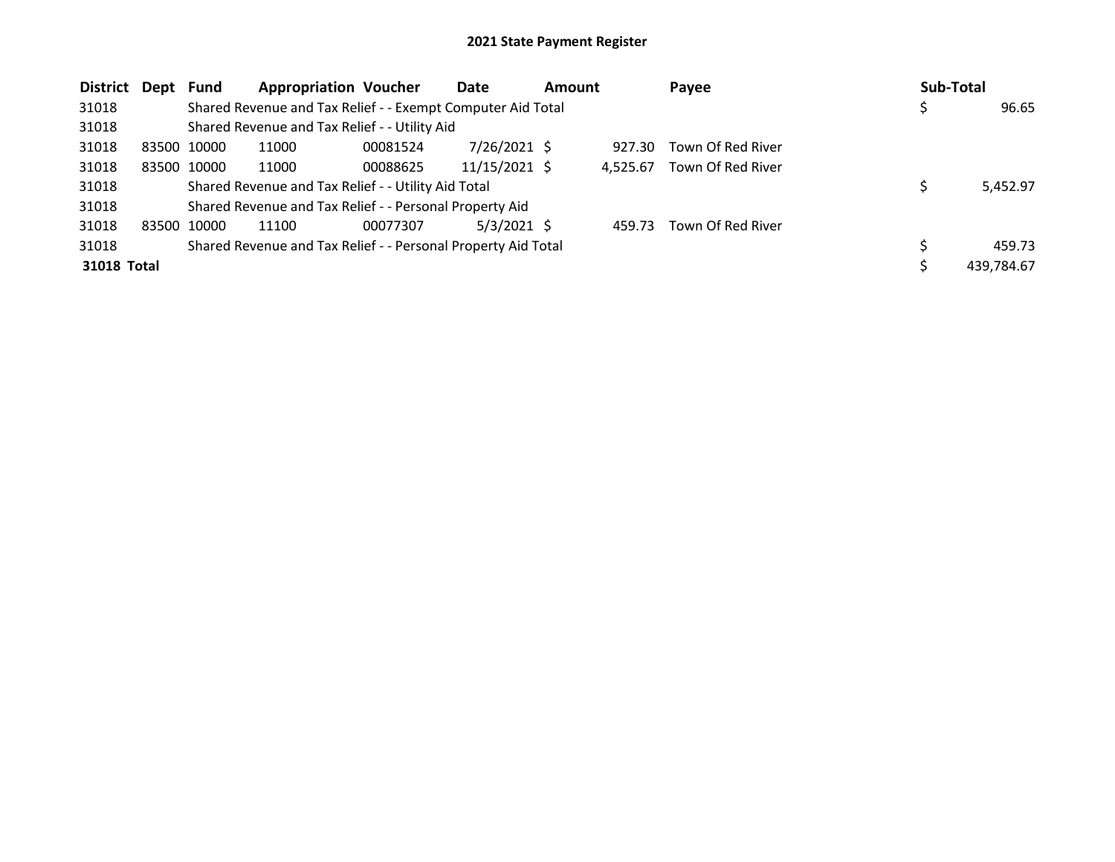| <b>District</b> | Dept        | Fund        | <b>Appropriation Voucher</b>                                  |          | Date            | <b>Amount</b> |          | Payee             | Sub-Total |            |
|-----------------|-------------|-------------|---------------------------------------------------------------|----------|-----------------|---------------|----------|-------------------|-----------|------------|
| 31018           |             |             | Shared Revenue and Tax Relief - - Exempt Computer Aid Total   |          |                 |               |          |                   |           | 96.65      |
| 31018           |             |             | Shared Revenue and Tax Relief - - Utility Aid                 |          |                 |               |          |                   |           |            |
| 31018           | 83500 10000 |             | 11000                                                         | 00081524 | 7/26/2021 \$    |               | 927.30   | Town Of Red River |           |            |
| 31018           |             | 83500 10000 | 11000                                                         | 00088625 | $11/15/2021$ \$ |               | 4.525.67 | Town Of Red River |           |            |
| 31018           |             |             | Shared Revenue and Tax Relief - - Utility Aid Total           |          |                 |               |          |                   |           | 5,452.97   |
| 31018           |             |             | Shared Revenue and Tax Relief - - Personal Property Aid       |          |                 |               |          |                   |           |            |
| 31018           | 83500 10000 |             | 11100                                                         | 00077307 | $5/3/2021$ \$   |               | 459.73   | Town Of Red River |           |            |
| 31018           |             |             | Shared Revenue and Tax Relief - - Personal Property Aid Total |          |                 |               |          |                   |           | 459.73     |
| 31018 Total     |             |             |                                                               |          |                 |               |          |                   |           | 439,784.67 |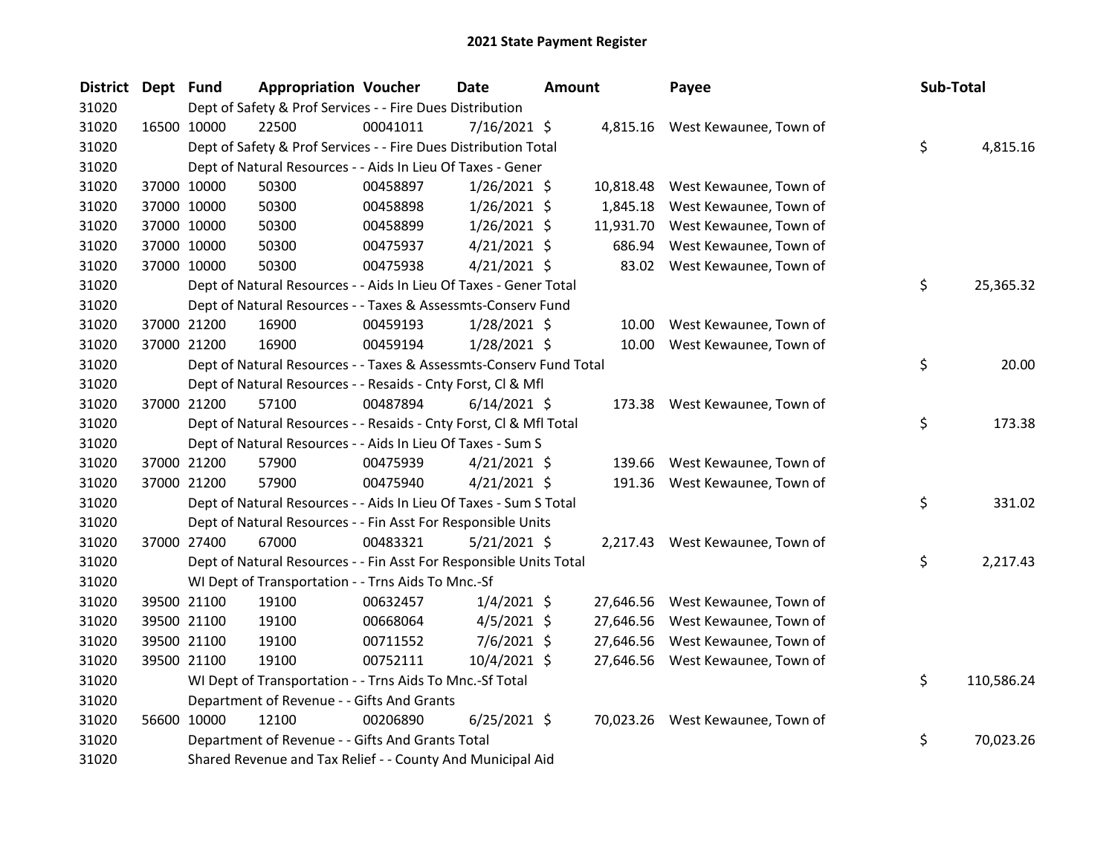| <b>District</b> | Dept Fund   |                                                                    | <b>Appropriation Voucher</b> |          | <b>Date</b>    | <b>Amount</b> |           | Payee                            | Sub-Total |            |
|-----------------|-------------|--------------------------------------------------------------------|------------------------------|----------|----------------|---------------|-----------|----------------------------------|-----------|------------|
| 31020           |             | Dept of Safety & Prof Services - - Fire Dues Distribution          |                              |          |                |               |           |                                  |           |            |
| 31020           | 16500 10000 | 22500                                                              |                              | 00041011 | 7/16/2021 \$   |               |           | 4,815.16 West Kewaunee, Town of  |           |            |
| 31020           |             | Dept of Safety & Prof Services - - Fire Dues Distribution Total    |                              |          |                |               |           |                                  | \$        | 4,815.16   |
| 31020           |             | Dept of Natural Resources - - Aids In Lieu Of Taxes - Gener        |                              |          |                |               |           |                                  |           |            |
| 31020           | 37000 10000 | 50300                                                              |                              | 00458897 | $1/26/2021$ \$ |               | 10,818.48 | West Kewaunee, Town of           |           |            |
| 31020           | 37000 10000 | 50300                                                              |                              | 00458898 | $1/26/2021$ \$ |               | 1,845.18  | West Kewaunee, Town of           |           |            |
| 31020           | 37000 10000 | 50300                                                              |                              | 00458899 | $1/26/2021$ \$ |               | 11,931.70 | West Kewaunee, Town of           |           |            |
| 31020           | 37000 10000 | 50300                                                              |                              | 00475937 | $4/21/2021$ \$ |               | 686.94    | West Kewaunee, Town of           |           |            |
| 31020           | 37000 10000 | 50300                                                              |                              | 00475938 | $4/21/2021$ \$ |               |           | 83.02 West Kewaunee, Town of     |           |            |
| 31020           |             | Dept of Natural Resources - - Aids In Lieu Of Taxes - Gener Total  |                              |          |                |               |           |                                  | \$        | 25,365.32  |
| 31020           |             | Dept of Natural Resources - - Taxes & Assessmts-Conserv Fund       |                              |          |                |               |           |                                  |           |            |
| 31020           | 37000 21200 | 16900                                                              |                              | 00459193 | $1/28/2021$ \$ |               | 10.00     | West Kewaunee, Town of           |           |            |
| 31020           | 37000 21200 | 16900                                                              |                              | 00459194 | 1/28/2021 \$   |               | 10.00     | West Kewaunee, Town of           |           |            |
| 31020           |             | Dept of Natural Resources - - Taxes & Assessmts-Conserv Fund Total |                              |          |                |               |           |                                  | \$        | 20.00      |
| 31020           |             | Dept of Natural Resources - - Resaids - Cnty Forst, Cl & Mfl       |                              |          |                |               |           |                                  |           |            |
| 31020           | 37000 21200 | 57100                                                              |                              | 00487894 | $6/14/2021$ \$ |               |           | 173.38 West Kewaunee, Town of    |           |            |
| 31020           |             | Dept of Natural Resources - - Resaids - Cnty Forst, Cl & Mfl Total |                              |          |                |               |           |                                  | \$        | 173.38     |
| 31020           |             | Dept of Natural Resources - - Aids In Lieu Of Taxes - Sum S        |                              |          |                |               |           |                                  |           |            |
| 31020           | 37000 21200 | 57900                                                              |                              | 00475939 | $4/21/2021$ \$ |               | 139.66    | West Kewaunee, Town of           |           |            |
| 31020           | 37000 21200 | 57900                                                              |                              | 00475940 | $4/21/2021$ \$ |               | 191.36    | West Kewaunee, Town of           |           |            |
| 31020           |             | Dept of Natural Resources - - Aids In Lieu Of Taxes - Sum S Total  |                              |          |                |               |           |                                  | \$        | 331.02     |
| 31020           |             | Dept of Natural Resources - - Fin Asst For Responsible Units       |                              |          |                |               |           |                                  |           |            |
| 31020           | 37000 27400 | 67000                                                              |                              | 00483321 | $5/21/2021$ \$ |               |           | 2,217.43 West Kewaunee, Town of  |           |            |
| 31020           |             | Dept of Natural Resources - - Fin Asst For Responsible Units Total |                              |          |                |               |           |                                  | \$        | 2,217.43   |
| 31020           |             | WI Dept of Transportation - - Trns Aids To Mnc.-Sf                 |                              |          |                |               |           |                                  |           |            |
| 31020           |             | 39500 21100<br>19100                                               |                              | 00632457 | $1/4/2021$ \$  |               | 27,646.56 | West Kewaunee, Town of           |           |            |
| 31020           | 39500 21100 | 19100                                                              |                              | 00668064 | $4/5/2021$ \$  |               | 27,646.56 | West Kewaunee, Town of           |           |            |
| 31020           | 39500 21100 | 19100                                                              |                              | 00711552 | $7/6/2021$ \$  |               | 27,646.56 | West Kewaunee, Town of           |           |            |
| 31020           | 39500 21100 | 19100                                                              |                              | 00752111 | 10/4/2021 \$   |               |           | 27,646.56 West Kewaunee, Town of |           |            |
| 31020           |             | WI Dept of Transportation - - Trns Aids To Mnc.-Sf Total           |                              |          |                |               |           |                                  | \$        | 110,586.24 |
| 31020           |             | Department of Revenue - - Gifts And Grants                         |                              |          |                |               |           |                                  |           |            |
| 31020           | 56600 10000 | 12100                                                              |                              | 00206890 | $6/25/2021$ \$ |               |           | 70,023.26 West Kewaunee, Town of |           |            |
| 31020           |             | Department of Revenue - - Gifts And Grants Total                   |                              |          |                |               |           |                                  | \$        | 70,023.26  |
| 31020           |             | Shared Revenue and Tax Relief - - County And Municipal Aid         |                              |          |                |               |           |                                  |           |            |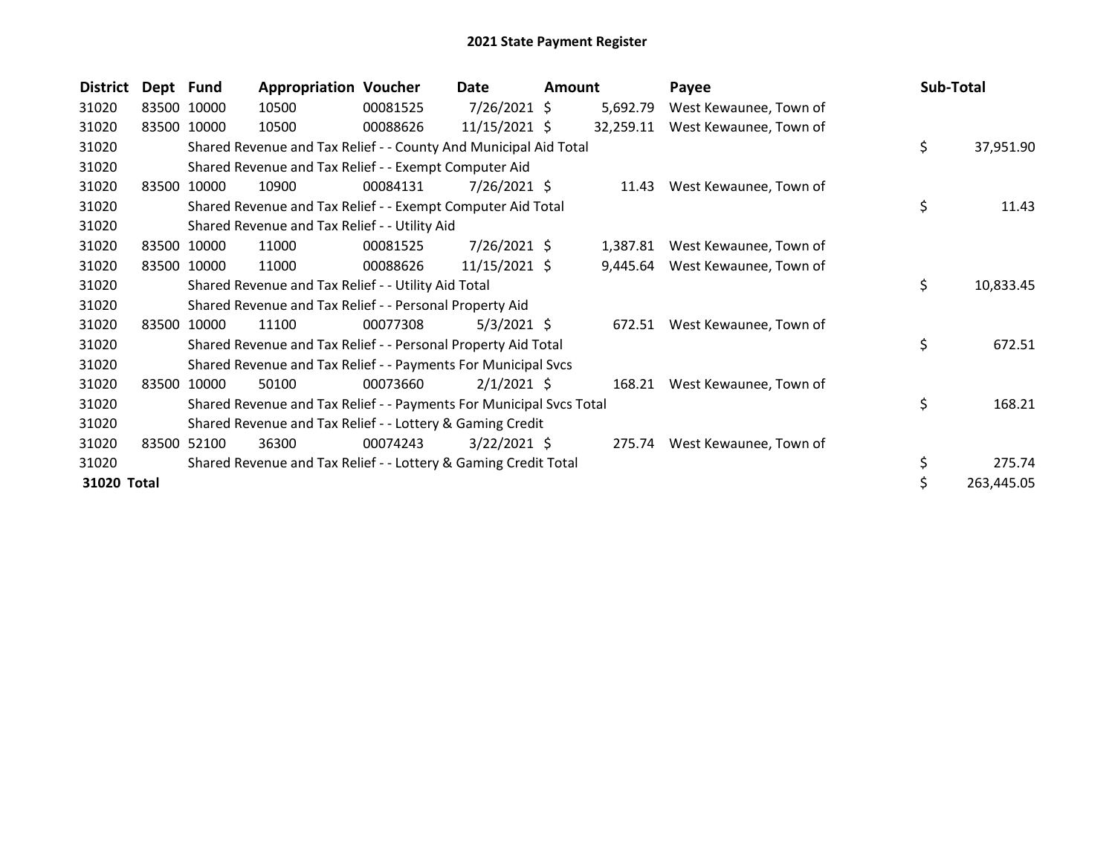| <b>District</b> | Dept Fund |             | <b>Appropriation Voucher</b>                                        |          | Date            | <b>Amount</b> |           | Payee                         | Sub-Total        |
|-----------------|-----------|-------------|---------------------------------------------------------------------|----------|-----------------|---------------|-----------|-------------------------------|------------------|
| 31020           |           | 83500 10000 | 10500                                                               | 00081525 | $7/26/2021$ \$  |               | 5,692.79  | West Kewaunee, Town of        |                  |
| 31020           |           | 83500 10000 | 10500                                                               | 00088626 | $11/15/2021$ \$ |               | 32,259.11 | West Kewaunee, Town of        |                  |
| 31020           |           |             | Shared Revenue and Tax Relief - - County And Municipal Aid Total    |          |                 |               |           |                               | \$<br>37,951.90  |
| 31020           |           |             | Shared Revenue and Tax Relief - - Exempt Computer Aid               |          |                 |               |           |                               |                  |
| 31020           |           | 83500 10000 | 10900                                                               | 00084131 | 7/26/2021 \$    |               | 11.43     | West Kewaunee, Town of        |                  |
| 31020           |           |             | Shared Revenue and Tax Relief - - Exempt Computer Aid Total         |          |                 |               |           |                               | \$<br>11.43      |
| 31020           |           |             | Shared Revenue and Tax Relief - - Utility Aid                       |          |                 |               |           |                               |                  |
| 31020           |           | 83500 10000 | 11000                                                               | 00081525 | 7/26/2021 \$    |               | 1,387.81  | West Kewaunee, Town of        |                  |
| 31020           |           | 83500 10000 | 11000                                                               | 00088626 | $11/15/2021$ \$ |               | 9,445.64  | West Kewaunee, Town of        |                  |
| 31020           |           |             | Shared Revenue and Tax Relief - - Utility Aid Total                 |          |                 |               |           |                               | \$<br>10,833.45  |
| 31020           |           |             | Shared Revenue and Tax Relief - - Personal Property Aid             |          |                 |               |           |                               |                  |
| 31020           |           | 83500 10000 | 11100                                                               | 00077308 | $5/3/2021$ \$   |               |           | 672.51 West Kewaunee, Town of |                  |
| 31020           |           |             | Shared Revenue and Tax Relief - - Personal Property Aid Total       |          |                 |               |           |                               | \$<br>672.51     |
| 31020           |           |             | Shared Revenue and Tax Relief - - Payments For Municipal Svcs       |          |                 |               |           |                               |                  |
| 31020           | 83500     | 10000       | 50100                                                               | 00073660 | $2/1/2021$ \$   |               | 168.21    | West Kewaunee, Town of        |                  |
| 31020           |           |             | Shared Revenue and Tax Relief - - Payments For Municipal Svcs Total |          |                 |               |           |                               | \$<br>168.21     |
| 31020           |           |             | Shared Revenue and Tax Relief - - Lottery & Gaming Credit           |          |                 |               |           |                               |                  |
| 31020           | 83500     | 52100       | 36300                                                               | 00074243 | $3/22/2021$ \$  |               |           | 275.74 West Kewaunee, Town of |                  |
| 31020           |           |             | Shared Revenue and Tax Relief - - Lottery & Gaming Credit Total     |          |                 |               |           |                               | \$<br>275.74     |
| 31020 Total     |           |             |                                                                     |          |                 |               |           |                               | \$<br>263,445.05 |
|                 |           |             |                                                                     |          |                 |               |           |                               |                  |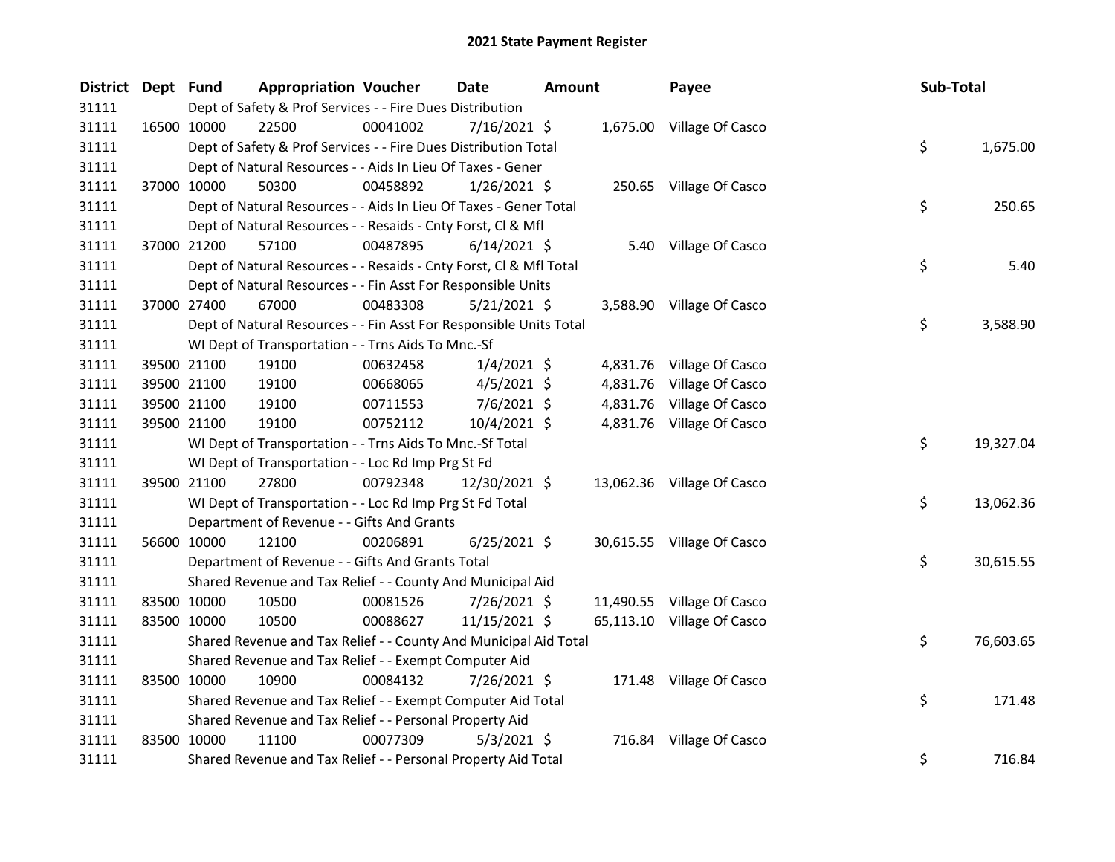| District Dept Fund |             | <b>Appropriation Voucher</b>                                       |          | <b>Date</b>    | <b>Amount</b> |          | Payee                      | Sub-Total |           |
|--------------------|-------------|--------------------------------------------------------------------|----------|----------------|---------------|----------|----------------------------|-----------|-----------|
| 31111              |             | Dept of Safety & Prof Services - - Fire Dues Distribution          |          |                |               |          |                            |           |           |
| 31111              | 16500 10000 | 22500                                                              | 00041002 | 7/16/2021 \$   |               |          | 1,675.00 Village Of Casco  |           |           |
| 31111              |             | Dept of Safety & Prof Services - - Fire Dues Distribution Total    |          |                |               |          |                            | \$        | 1,675.00  |
| 31111              |             | Dept of Natural Resources - - Aids In Lieu Of Taxes - Gener        |          |                |               |          |                            |           |           |
| 31111              | 37000 10000 | 50300                                                              | 00458892 | $1/26/2021$ \$ |               |          | 250.65 Village Of Casco    |           |           |
| 31111              |             | Dept of Natural Resources - - Aids In Lieu Of Taxes - Gener Total  |          |                |               |          |                            | \$        | 250.65    |
| 31111              |             | Dept of Natural Resources - - Resaids - Cnty Forst, Cl & Mfl       |          |                |               |          |                            |           |           |
| 31111              | 37000 21200 | 57100                                                              | 00487895 | $6/14/2021$ \$ |               |          | 5.40 Village Of Casco      |           |           |
| 31111              |             | Dept of Natural Resources - - Resaids - Cnty Forst, Cl & Mfl Total |          |                |               |          |                            | \$        | 5.40      |
| 31111              |             | Dept of Natural Resources - - Fin Asst For Responsible Units       |          |                |               |          |                            |           |           |
| 31111              | 37000 27400 | 67000                                                              | 00483308 | $5/21/2021$ \$ |               |          | 3,588.90 Village Of Casco  |           |           |
| 31111              |             | Dept of Natural Resources - - Fin Asst For Responsible Units Total |          |                |               |          |                            | \$        | 3,588.90  |
| 31111              |             | WI Dept of Transportation - - Trns Aids To Mnc.-Sf                 |          |                |               |          |                            |           |           |
| 31111              | 39500 21100 | 19100                                                              | 00632458 | $1/4/2021$ \$  |               |          | 4,831.76 Village Of Casco  |           |           |
| 31111              | 39500 21100 | 19100                                                              | 00668065 | $4/5/2021$ \$  |               | 4,831.76 | Village Of Casco           |           |           |
| 31111              | 39500 21100 | 19100                                                              | 00711553 | 7/6/2021 \$    |               | 4,831.76 | Village Of Casco           |           |           |
| 31111              | 39500 21100 | 19100                                                              | 00752112 | 10/4/2021 \$   |               |          | 4,831.76 Village Of Casco  |           |           |
| 31111              |             | WI Dept of Transportation - - Trns Aids To Mnc.-Sf Total           |          |                |               |          |                            | \$        | 19,327.04 |
| 31111              |             | WI Dept of Transportation - - Loc Rd Imp Prg St Fd                 |          |                |               |          |                            |           |           |
| 31111              | 39500 21100 | 27800                                                              | 00792348 | 12/30/2021 \$  |               |          | 13,062.36 Village Of Casco |           |           |
| 31111              |             | WI Dept of Transportation - - Loc Rd Imp Prg St Fd Total           |          |                |               |          |                            | \$        | 13,062.36 |
| 31111              |             | Department of Revenue - - Gifts And Grants                         |          |                |               |          |                            |           |           |
| 31111              | 56600 10000 | 12100                                                              | 00206891 | $6/25/2021$ \$ |               |          | 30,615.55 Village Of Casco |           |           |
| 31111              |             | Department of Revenue - - Gifts And Grants Total                   |          |                |               |          |                            | \$        | 30,615.55 |
| 31111              |             | Shared Revenue and Tax Relief - - County And Municipal Aid         |          |                |               |          |                            |           |           |
| 31111              | 83500 10000 | 10500                                                              | 00081526 | 7/26/2021 \$   |               |          | 11,490.55 Village Of Casco |           |           |
| 31111              | 83500 10000 | 10500                                                              | 00088627 | 11/15/2021 \$  |               |          | 65,113.10 Village Of Casco |           |           |
| 31111              |             | Shared Revenue and Tax Relief - - County And Municipal Aid Total   |          |                |               |          |                            | \$        | 76,603.65 |
| 31111              |             | Shared Revenue and Tax Relief - - Exempt Computer Aid              |          |                |               |          |                            |           |           |
| 31111              | 83500 10000 | 10900                                                              | 00084132 | 7/26/2021 \$   |               |          | 171.48 Village Of Casco    |           |           |
| 31111              |             | Shared Revenue and Tax Relief - - Exempt Computer Aid Total        |          |                |               |          |                            | \$        | 171.48    |
| 31111              |             | Shared Revenue and Tax Relief - - Personal Property Aid            |          |                |               |          |                            |           |           |
| 31111              | 83500 10000 | 11100                                                              | 00077309 | $5/3/2021$ \$  |               |          | 716.84 Village Of Casco    |           |           |
| 31111              |             | Shared Revenue and Tax Relief - - Personal Property Aid Total      |          |                |               |          |                            | \$        | 716.84    |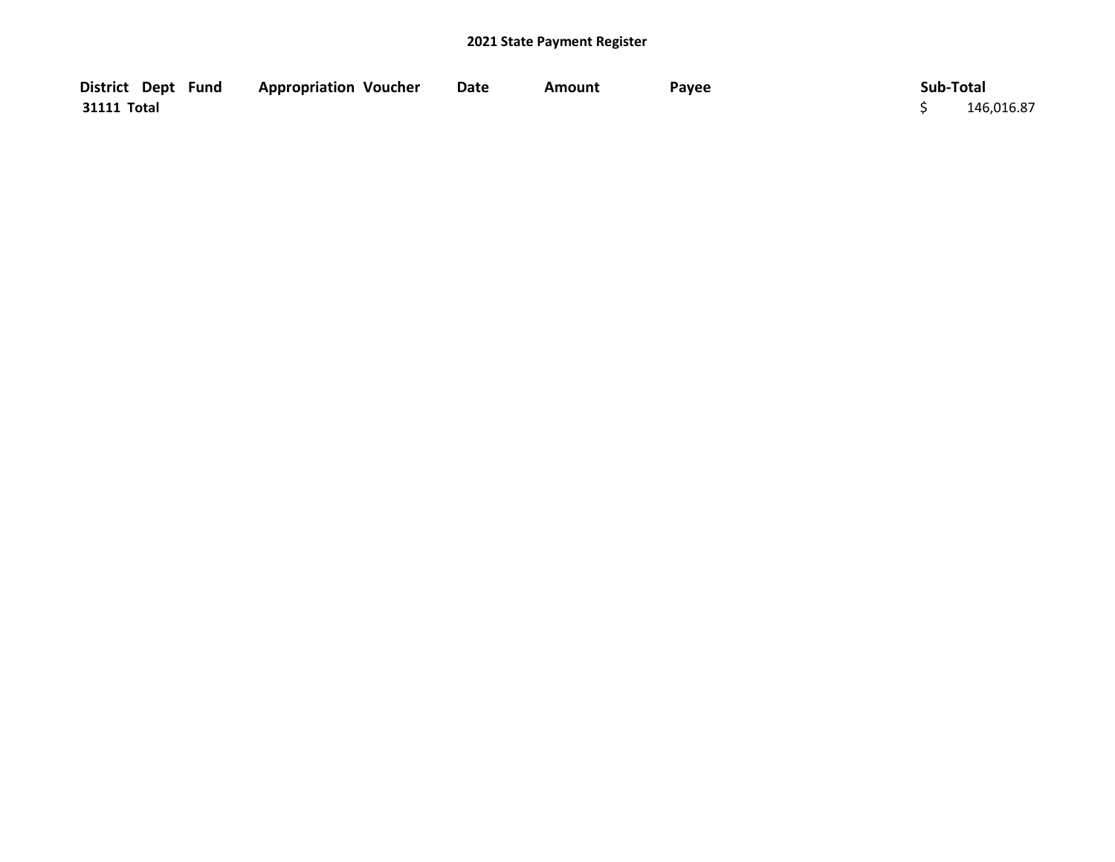| District Dept Fund | <b>Appropriation Voucher</b> | <b>Date</b> | Amount | Payee | Sub-Total  |
|--------------------|------------------------------|-------------|--------|-------|------------|
| 31111 Total        |                              |             |        |       | 146,016.87 |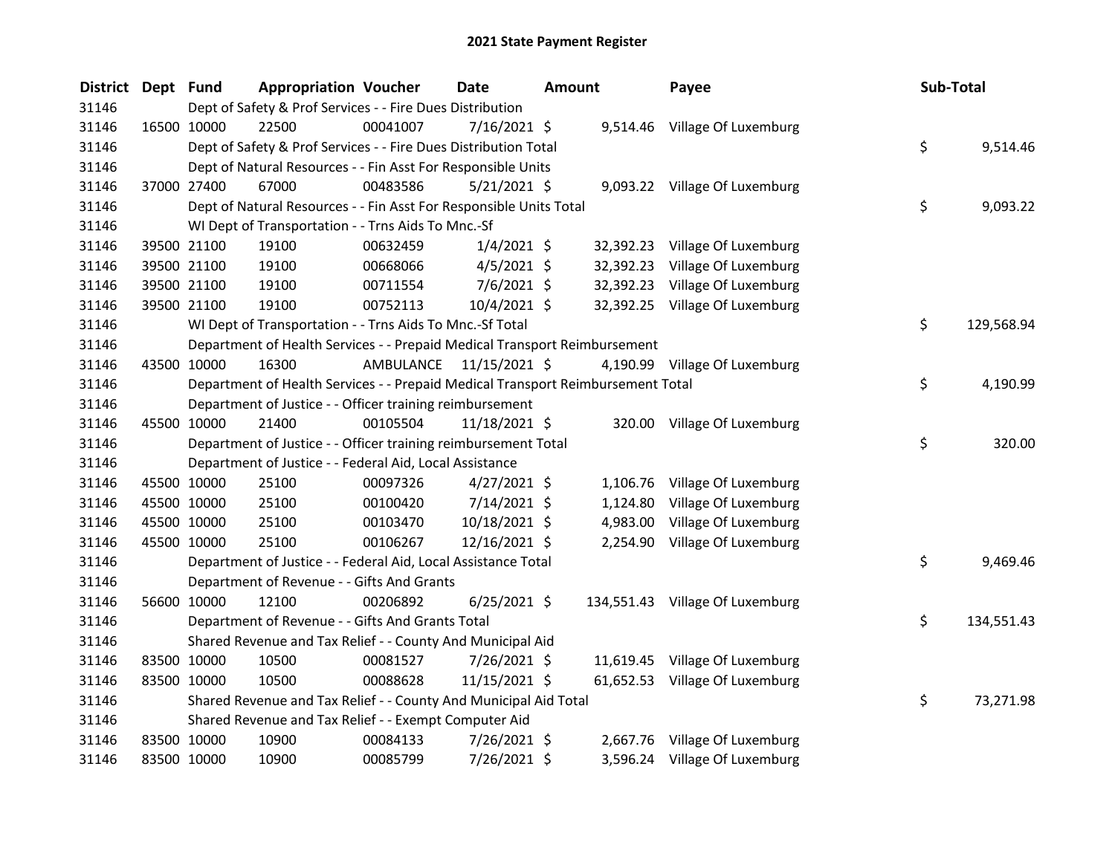| <b>District</b> | Dept Fund |             | <b>Appropriation Voucher</b>                                                    |                         | Date           | <b>Amount</b> |           | Payee                           | Sub-Total |            |
|-----------------|-----------|-------------|---------------------------------------------------------------------------------|-------------------------|----------------|---------------|-----------|---------------------------------|-----------|------------|
| 31146           |           |             | Dept of Safety & Prof Services - - Fire Dues Distribution                       |                         |                |               |           |                                 |           |            |
| 31146           |           | 16500 10000 | 22500                                                                           | 00041007                | $7/16/2021$ \$ |               |           | 9,514.46 Village Of Luxemburg   |           |            |
| 31146           |           |             | Dept of Safety & Prof Services - - Fire Dues Distribution Total                 |                         |                |               |           |                                 | \$        | 9,514.46   |
| 31146           |           |             | Dept of Natural Resources - - Fin Asst For Responsible Units                    |                         |                |               |           |                                 |           |            |
| 31146           |           | 37000 27400 | 67000                                                                           | 00483586                | $5/21/2021$ \$ |               |           | 9,093.22 Village Of Luxemburg   |           |            |
| 31146           |           |             | Dept of Natural Resources - - Fin Asst For Responsible Units Total              |                         |                |               |           |                                 | \$        | 9,093.22   |
| 31146           |           |             | WI Dept of Transportation - - Trns Aids To Mnc.-Sf                              |                         |                |               |           |                                 |           |            |
| 31146           |           | 39500 21100 | 19100                                                                           | 00632459                | $1/4/2021$ \$  |               |           | 32,392.23 Village Of Luxemburg  |           |            |
| 31146           |           | 39500 21100 | 19100                                                                           | 00668066                | $4/5/2021$ \$  |               | 32,392.23 | Village Of Luxemburg            |           |            |
| 31146           |           | 39500 21100 | 19100                                                                           | 00711554                | $7/6/2021$ \$  |               |           | 32,392.23 Village Of Luxemburg  |           |            |
| 31146           |           | 39500 21100 | 19100                                                                           | 00752113                | 10/4/2021 \$   |               |           | 32,392.25 Village Of Luxemburg  |           |            |
| 31146           |           |             | WI Dept of Transportation - - Trns Aids To Mnc.-Sf Total                        |                         |                |               |           |                                 | \$        | 129,568.94 |
| 31146           |           |             | Department of Health Services - - Prepaid Medical Transport Reimbursement       |                         |                |               |           |                                 |           |            |
| 31146           |           | 43500 10000 | 16300                                                                           | AMBULANCE 11/15/2021 \$ |                |               |           | 4,190.99 Village Of Luxemburg   |           |            |
| 31146           |           |             | Department of Health Services - - Prepaid Medical Transport Reimbursement Total |                         |                |               |           |                                 | \$.       | 4,190.99   |
| 31146           |           |             | Department of Justice - - Officer training reimbursement                        |                         |                |               |           |                                 |           |            |
| 31146           |           | 45500 10000 | 21400                                                                           | 00105504                | 11/18/2021 \$  |               |           | 320.00 Village Of Luxemburg     |           |            |
| 31146           |           |             | Department of Justice - - Officer training reimbursement Total                  |                         |                |               |           |                                 | \$        | 320.00     |
| 31146           |           |             | Department of Justice - - Federal Aid, Local Assistance                         |                         |                |               |           |                                 |           |            |
| 31146           |           | 45500 10000 | 25100                                                                           | 00097326                | $4/27/2021$ \$ |               |           | 1,106.76 Village Of Luxemburg   |           |            |
| 31146           |           | 45500 10000 | 25100                                                                           | 00100420                | $7/14/2021$ \$ |               | 1,124.80  | Village Of Luxemburg            |           |            |
| 31146           |           | 45500 10000 | 25100                                                                           | 00103470                | 10/18/2021 \$  |               | 4,983.00  | Village Of Luxemburg            |           |            |
| 31146           |           | 45500 10000 | 25100                                                                           | 00106267                | 12/16/2021 \$  |               |           | 2,254.90 Village Of Luxemburg   |           |            |
| 31146           |           |             | Department of Justice - - Federal Aid, Local Assistance Total                   |                         |                |               |           |                                 | \$        | 9,469.46   |
| 31146           |           |             | Department of Revenue - - Gifts And Grants                                      |                         |                |               |           |                                 |           |            |
| 31146           |           | 56600 10000 | 12100                                                                           | 00206892                | $6/25/2021$ \$ |               |           | 134,551.43 Village Of Luxemburg |           |            |
| 31146           |           |             | Department of Revenue - - Gifts And Grants Total                                |                         |                |               |           |                                 | \$        | 134,551.43 |
| 31146           |           |             | Shared Revenue and Tax Relief - - County And Municipal Aid                      |                         |                |               |           |                                 |           |            |
| 31146           |           | 83500 10000 | 10500                                                                           | 00081527                | 7/26/2021 \$   |               |           | 11,619.45 Village Of Luxemburg  |           |            |
| 31146           |           | 83500 10000 | 10500                                                                           | 00088628                | 11/15/2021 \$  |               |           | 61,652.53 Village Of Luxemburg  |           |            |
| 31146           |           |             | Shared Revenue and Tax Relief - - County And Municipal Aid Total                |                         |                |               |           |                                 | \$        | 73,271.98  |
| 31146           |           |             | Shared Revenue and Tax Relief - - Exempt Computer Aid                           |                         |                |               |           |                                 |           |            |
| 31146           |           | 83500 10000 | 10900                                                                           | 00084133                | 7/26/2021 \$   |               |           | 2,667.76 Village Of Luxemburg   |           |            |
| 31146           |           | 83500 10000 | 10900                                                                           | 00085799                | 7/26/2021 \$   |               |           | 3,596.24 Village Of Luxemburg   |           |            |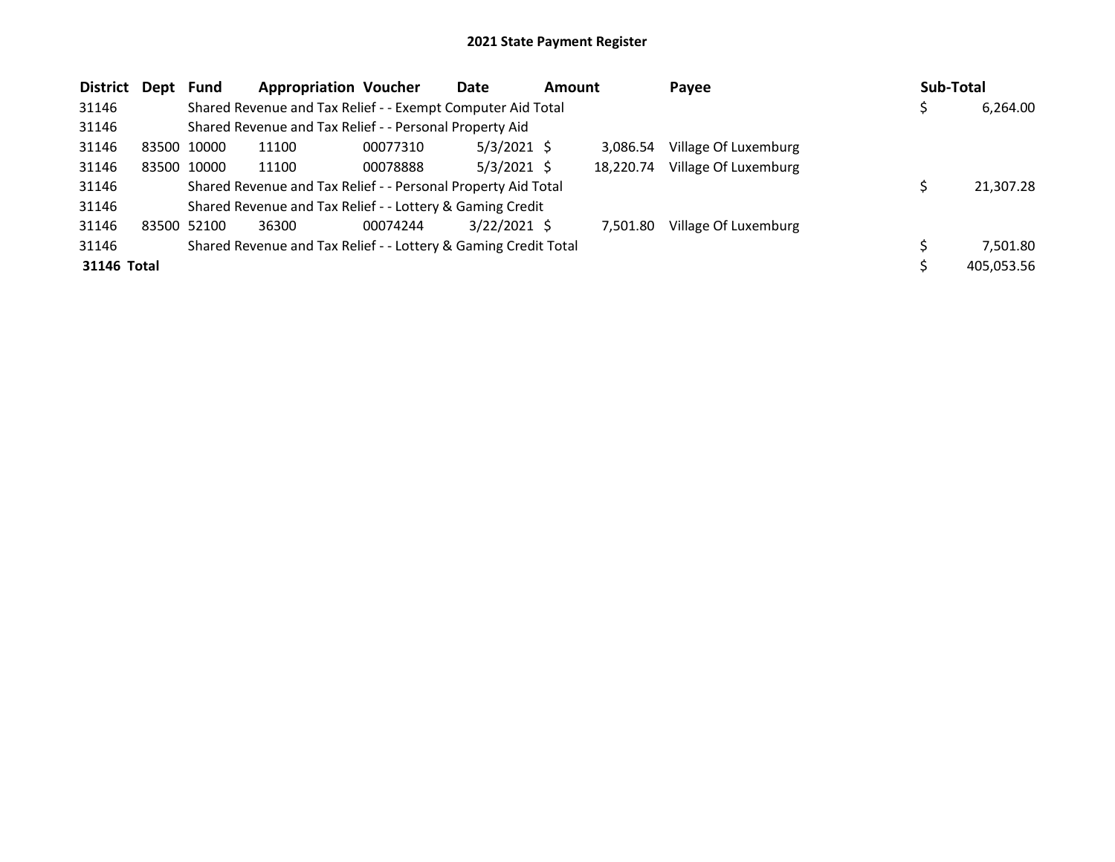| <b>District</b> | Dept | Fund        | <b>Appropriation Voucher</b>                                    |          | Date           | <b>Amount</b> |           | Payee                | Sub-Total |            |
|-----------------|------|-------------|-----------------------------------------------------------------|----------|----------------|---------------|-----------|----------------------|-----------|------------|
| 31146           |      |             | Shared Revenue and Tax Relief - - Exempt Computer Aid Total     |          |                |               |           |                      |           | 6,264.00   |
| 31146           |      |             | Shared Revenue and Tax Relief - - Personal Property Aid         |          |                |               |           |                      |           |            |
| 31146           |      | 83500 10000 | 11100                                                           | 00077310 | $5/3/2021$ \$  |               | 3.086.54  | Village Of Luxemburg |           |            |
| 31146           |      | 83500 10000 | 11100                                                           | 00078888 | $5/3/2021$ \$  |               | 18.220.74 | Village Of Luxemburg |           |            |
| 31146           |      |             | Shared Revenue and Tax Relief - - Personal Property Aid Total   |          |                |               |           |                      |           | 21,307.28  |
| 31146           |      |             | Shared Revenue and Tax Relief - - Lottery & Gaming Credit       |          |                |               |           |                      |           |            |
| 31146           |      | 83500 52100 | 36300                                                           | 00074244 | $3/22/2021$ \$ |               | 7.501.80  | Village Of Luxemburg |           |            |
| 31146           |      |             | Shared Revenue and Tax Relief - - Lottery & Gaming Credit Total |          |                |               |           |                      |           | 7,501.80   |
| 31146 Total     |      |             |                                                                 |          |                |               |           |                      |           | 405,053.56 |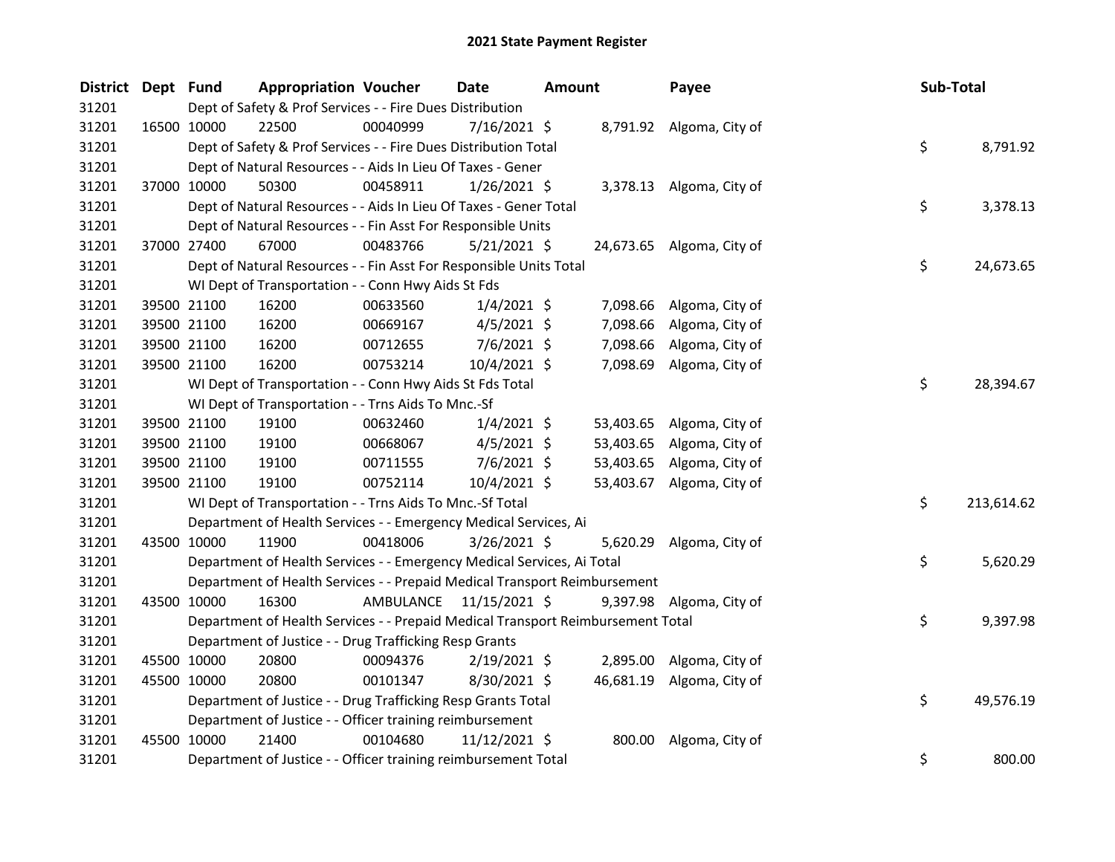| District Dept Fund |             | <b>Appropriation Voucher</b>                                                    |                         | <b>Date</b>    | <b>Amount</b> |           | Payee                     | Sub-Total |            |
|--------------------|-------------|---------------------------------------------------------------------------------|-------------------------|----------------|---------------|-----------|---------------------------|-----------|------------|
| 31201              |             | Dept of Safety & Prof Services - - Fire Dues Distribution                       |                         |                |               |           |                           |           |            |
| 31201              | 16500 10000 | 22500                                                                           | 00040999                | $7/16/2021$ \$ |               |           | 8,791.92 Algoma, City of  |           |            |
| 31201              |             | Dept of Safety & Prof Services - - Fire Dues Distribution Total                 |                         |                |               |           |                           | \$        | 8,791.92   |
| 31201              |             | Dept of Natural Resources - - Aids In Lieu Of Taxes - Gener                     |                         |                |               |           |                           |           |            |
| 31201              | 37000 10000 | 50300                                                                           | 00458911                | $1/26/2021$ \$ |               |           | 3,378.13 Algoma, City of  |           |            |
| 31201              |             | Dept of Natural Resources - - Aids In Lieu Of Taxes - Gener Total               |                         |                |               |           |                           | \$        | 3,378.13   |
| 31201              |             | Dept of Natural Resources - - Fin Asst For Responsible Units                    |                         |                |               |           |                           |           |            |
| 31201              | 37000 27400 | 67000                                                                           | 00483766                | 5/21/2021 \$   |               |           | 24,673.65 Algoma, City of |           |            |
| 31201              |             | Dept of Natural Resources - - Fin Asst For Responsible Units Total              |                         |                |               |           |                           | \$        | 24,673.65  |
| 31201              |             | WI Dept of Transportation - - Conn Hwy Aids St Fds                              |                         |                |               |           |                           |           |            |
| 31201              | 39500 21100 | 16200                                                                           | 00633560                | $1/4/2021$ \$  |               | 7,098.66  | Algoma, City of           |           |            |
| 31201              | 39500 21100 | 16200                                                                           | 00669167                | $4/5/2021$ \$  |               |           | 7,098.66 Algoma, City of  |           |            |
| 31201              | 39500 21100 | 16200                                                                           | 00712655                | $7/6/2021$ \$  |               | 7,098.66  | Algoma, City of           |           |            |
| 31201              | 39500 21100 | 16200                                                                           | 00753214                | 10/4/2021 \$   |               |           | 7,098.69 Algoma, City of  |           |            |
| 31201              |             | WI Dept of Transportation - - Conn Hwy Aids St Fds Total                        |                         |                |               |           |                           | \$.       | 28,394.67  |
| 31201              |             | WI Dept of Transportation - - Trns Aids To Mnc.-Sf                              |                         |                |               |           |                           |           |            |
| 31201              | 39500 21100 | 19100                                                                           | 00632460                | $1/4/2021$ \$  |               |           | 53,403.65 Algoma, City of |           |            |
| 31201              | 39500 21100 | 19100                                                                           | 00668067                | $4/5/2021$ \$  |               | 53,403.65 | Algoma, City of           |           |            |
| 31201              | 39500 21100 | 19100                                                                           | 00711555                | $7/6/2021$ \$  |               |           | 53,403.65 Algoma, City of |           |            |
| 31201              | 39500 21100 | 19100                                                                           | 00752114                | 10/4/2021 \$   |               |           | 53,403.67 Algoma, City of |           |            |
| 31201              |             | WI Dept of Transportation - - Trns Aids To Mnc.-Sf Total                        |                         |                |               |           |                           | \$        | 213,614.62 |
| 31201              |             | Department of Health Services - - Emergency Medical Services, Ai                |                         |                |               |           |                           |           |            |
| 31201              | 43500 10000 | 11900                                                                           | 00418006                | 3/26/2021 \$   |               |           | 5,620.29 Algoma, City of  |           |            |
| 31201              |             | Department of Health Services - - Emergency Medical Services, Ai Total          |                         |                |               |           |                           | \$        | 5,620.29   |
| 31201              |             | Department of Health Services - - Prepaid Medical Transport Reimbursement       |                         |                |               |           |                           |           |            |
| 31201              | 43500 10000 | 16300                                                                           | AMBULANCE 11/15/2021 \$ |                |               |           | 9,397.98 Algoma, City of  |           |            |
| 31201              |             | Department of Health Services - - Prepaid Medical Transport Reimbursement Total |                         |                |               |           |                           | \$.       | 9,397.98   |
| 31201              |             | Department of Justice - - Drug Trafficking Resp Grants                          |                         |                |               |           |                           |           |            |
| 31201              | 45500 10000 | 20800                                                                           | 00094376                | $2/19/2021$ \$ |               |           | 2,895.00 Algoma, City of  |           |            |
| 31201              | 45500 10000 | 20800                                                                           | 00101347                | 8/30/2021 \$   |               |           | 46,681.19 Algoma, City of |           |            |
| 31201              |             | Department of Justice - - Drug Trafficking Resp Grants Total                    |                         |                |               |           |                           | \$        | 49,576.19  |
| 31201              |             | Department of Justice - - Officer training reimbursement                        |                         |                |               |           |                           |           |            |
| 31201              | 45500 10000 | 21400                                                                           | 00104680                | 11/12/2021 \$  |               | 800.00    | Algoma, City of           |           |            |
| 31201              |             | Department of Justice - - Officer training reimbursement Total                  |                         |                |               |           |                           | \$        | 800.00     |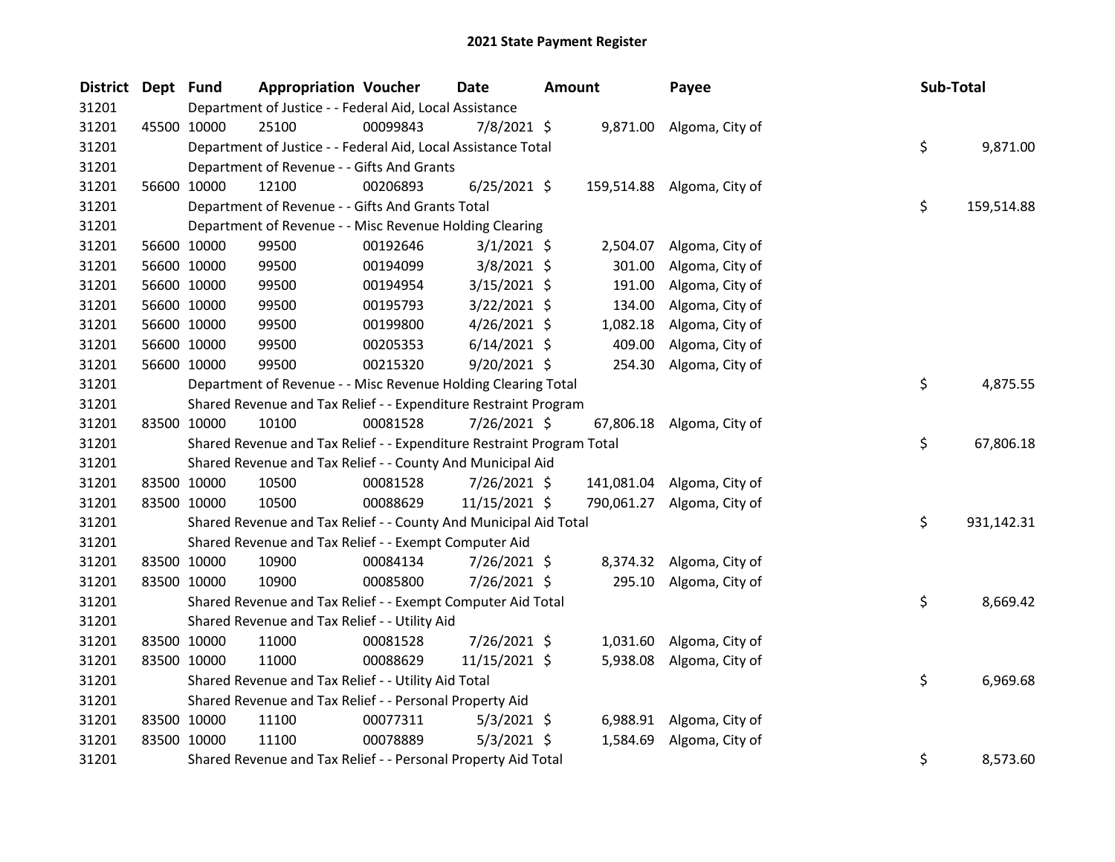| District Dept Fund |             |                                                         | <b>Appropriation Voucher</b>                                          | <b>Date</b> |                | <b>Amount</b> |          | Payee                      |  | Sub-Total |            |
|--------------------|-------------|---------------------------------------------------------|-----------------------------------------------------------------------|-------------|----------------|---------------|----------|----------------------------|--|-----------|------------|
| 31201              |             | Department of Justice - - Federal Aid, Local Assistance |                                                                       |             |                |               |          |                            |  |           |            |
| 31201              | 45500 10000 |                                                         | 25100                                                                 | 00099843    | 7/8/2021 \$    |               |          | 9,871.00 Algoma, City of   |  |           |            |
| 31201              |             |                                                         | Department of Justice - - Federal Aid, Local Assistance Total         |             |                |               |          |                            |  | \$        | 9,871.00   |
| 31201              |             |                                                         | Department of Revenue - - Gifts And Grants                            |             |                |               |          |                            |  |           |            |
| 31201              |             | 56600 10000                                             | 12100                                                                 | 00206893    | $6/25/2021$ \$ |               |          | 159,514.88 Algoma, City of |  |           |            |
| 31201              |             |                                                         | Department of Revenue - - Gifts And Grants Total                      |             |                |               |          |                            |  | \$        | 159,514.88 |
| 31201              |             |                                                         | Department of Revenue - - Misc Revenue Holding Clearing               |             |                |               |          |                            |  |           |            |
| 31201              |             | 56600 10000                                             | 99500                                                                 | 00192646    | $3/1/2021$ \$  |               | 2,504.07 | Algoma, City of            |  |           |            |
| 31201              |             | 56600 10000                                             | 99500                                                                 | 00194099    | $3/8/2021$ \$  |               | 301.00   | Algoma, City of            |  |           |            |
| 31201              |             | 56600 10000                                             | 99500                                                                 | 00194954    | $3/15/2021$ \$ |               | 191.00   | Algoma, City of            |  |           |            |
| 31201              |             | 56600 10000                                             | 99500                                                                 | 00195793    | 3/22/2021 \$   |               | 134.00   | Algoma, City of            |  |           |            |
| 31201              |             | 56600 10000                                             | 99500                                                                 | 00199800    | $4/26/2021$ \$ |               | 1,082.18 | Algoma, City of            |  |           |            |
| 31201              |             | 56600 10000                                             | 99500                                                                 | 00205353    | $6/14/2021$ \$ |               | 409.00   | Algoma, City of            |  |           |            |
| 31201              |             | 56600 10000                                             | 99500                                                                 | 00215320    | $9/20/2021$ \$ |               | 254.30   | Algoma, City of            |  |           |            |
| 31201              |             |                                                         | Department of Revenue - - Misc Revenue Holding Clearing Total         |             |                |               |          |                            |  | \$        | 4,875.55   |
| 31201              |             |                                                         | Shared Revenue and Tax Relief - - Expenditure Restraint Program       |             |                |               |          |                            |  |           |            |
| 31201              |             | 83500 10000                                             | 10100                                                                 | 00081528    | 7/26/2021 \$   |               |          | 67,806.18 Algoma, City of  |  |           |            |
| 31201              |             |                                                         | Shared Revenue and Tax Relief - - Expenditure Restraint Program Total |             |                |               |          |                            |  | \$        | 67,806.18  |
| 31201              |             |                                                         | Shared Revenue and Tax Relief - - County And Municipal Aid            |             |                |               |          |                            |  |           |            |
| 31201              |             | 83500 10000                                             | 10500                                                                 | 00081528    | $7/26/2021$ \$ |               |          | 141,081.04 Algoma, City of |  |           |            |
| 31201              |             | 83500 10000                                             | 10500                                                                 | 00088629    | 11/15/2021 \$  |               |          | 790,061.27 Algoma, City of |  |           |            |
| 31201              |             |                                                         | Shared Revenue and Tax Relief - - County And Municipal Aid Total      |             |                |               |          |                            |  | \$        | 931,142.31 |
| 31201              |             |                                                         | Shared Revenue and Tax Relief - - Exempt Computer Aid                 |             |                |               |          |                            |  |           |            |
| 31201              |             | 83500 10000                                             | 10900                                                                 | 00084134    | 7/26/2021 \$   |               |          | 8,374.32 Algoma, City of   |  |           |            |
| 31201              |             | 83500 10000                                             | 10900                                                                 | 00085800    | 7/26/2021 \$   |               | 295.10   | Algoma, City of            |  |           |            |
| 31201              |             |                                                         | Shared Revenue and Tax Relief - - Exempt Computer Aid Total           |             |                |               |          |                            |  | \$        | 8,669.42   |
| 31201              |             |                                                         | Shared Revenue and Tax Relief - - Utility Aid                         |             |                |               |          |                            |  |           |            |
| 31201              |             | 83500 10000                                             | 11000                                                                 | 00081528    | 7/26/2021 \$   |               | 1,031.60 | Algoma, City of            |  |           |            |
| 31201              |             | 83500 10000                                             | 11000                                                                 | 00088629    | 11/15/2021 \$  |               |          | 5,938.08 Algoma, City of   |  |           |            |
| 31201              |             |                                                         | Shared Revenue and Tax Relief - - Utility Aid Total                   |             |                |               |          |                            |  | \$        | 6,969.68   |
| 31201              |             |                                                         | Shared Revenue and Tax Relief - - Personal Property Aid               |             |                |               |          |                            |  |           |            |
| 31201              |             | 83500 10000                                             | 11100                                                                 | 00077311    | $5/3/2021$ \$  |               | 6,988.91 | Algoma, City of            |  |           |            |
| 31201              | 83500 10000 |                                                         | 11100                                                                 | 00078889    | $5/3/2021$ \$  |               | 1,584.69 | Algoma, City of            |  |           |            |
| 31201              |             |                                                         | Shared Revenue and Tax Relief - - Personal Property Aid Total         |             |                |               |          |                            |  | \$        | 8,573.60   |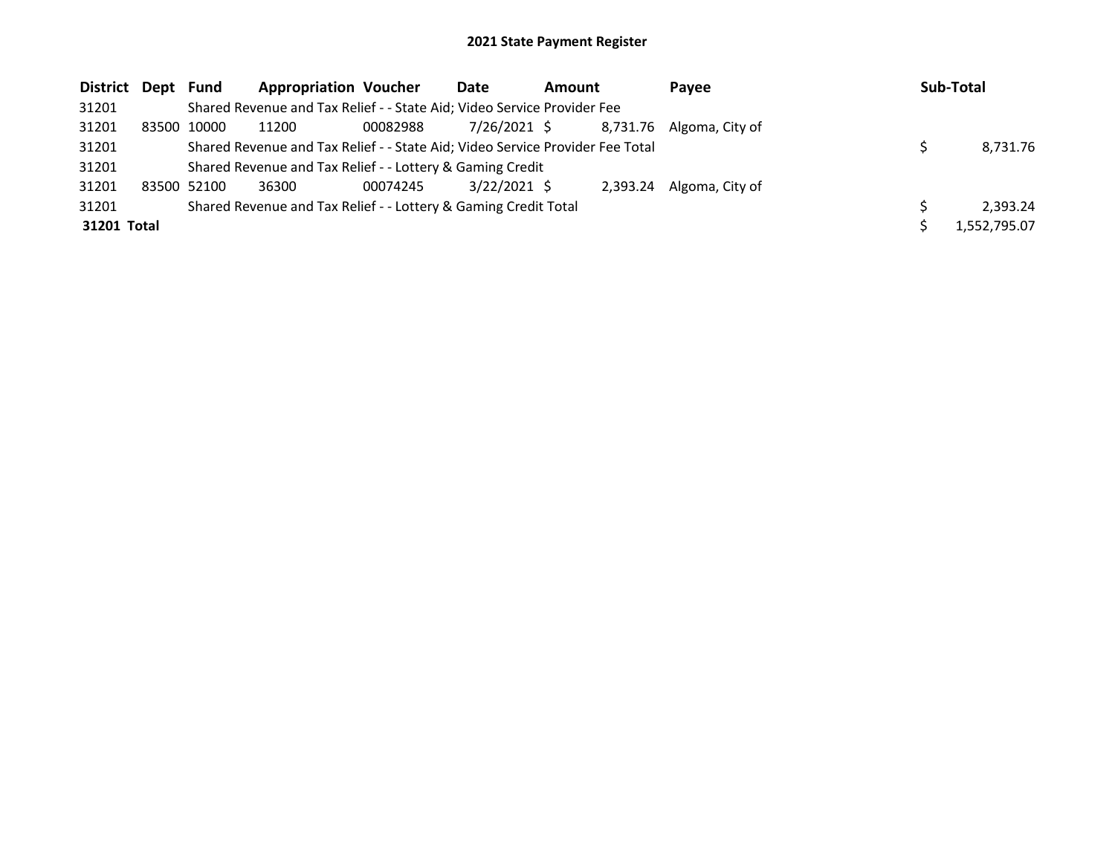| District Dept Fund |                                                                         | <b>Appropriation Voucher</b>                                                  |          | Date           | <b>Amount</b> |  | Pavee                    |  | Sub-Total    |
|--------------------|-------------------------------------------------------------------------|-------------------------------------------------------------------------------|----------|----------------|---------------|--|--------------------------|--|--------------|
| 31201              | Shared Revenue and Tax Relief - - State Aid; Video Service Provider Fee |                                                                               |          |                |               |  |                          |  |              |
| 31201              | 83500 10000                                                             | 11200                                                                         | 00082988 | 7/26/2021 \$   |               |  | 8.731.76 Algoma, City of |  |              |
| 31201              |                                                                         | Shared Revenue and Tax Relief - - State Aid; Video Service Provider Fee Total |          |                |               |  |                          |  | 8,731.76     |
| 31201              |                                                                         | Shared Revenue and Tax Relief - - Lottery & Gaming Credit                     |          |                |               |  |                          |  |              |
| 31201              | 83500 52100                                                             | 36300                                                                         | 00074245 | $3/22/2021$ \$ |               |  | 2,393.24 Algoma, City of |  |              |
| 31201              |                                                                         | Shared Revenue and Tax Relief - - Lottery & Gaming Credit Total               |          |                |               |  |                          |  | 2.393.24     |
| 31201 Total        |                                                                         |                                                                               |          |                |               |  |                          |  | 1.552.795.07 |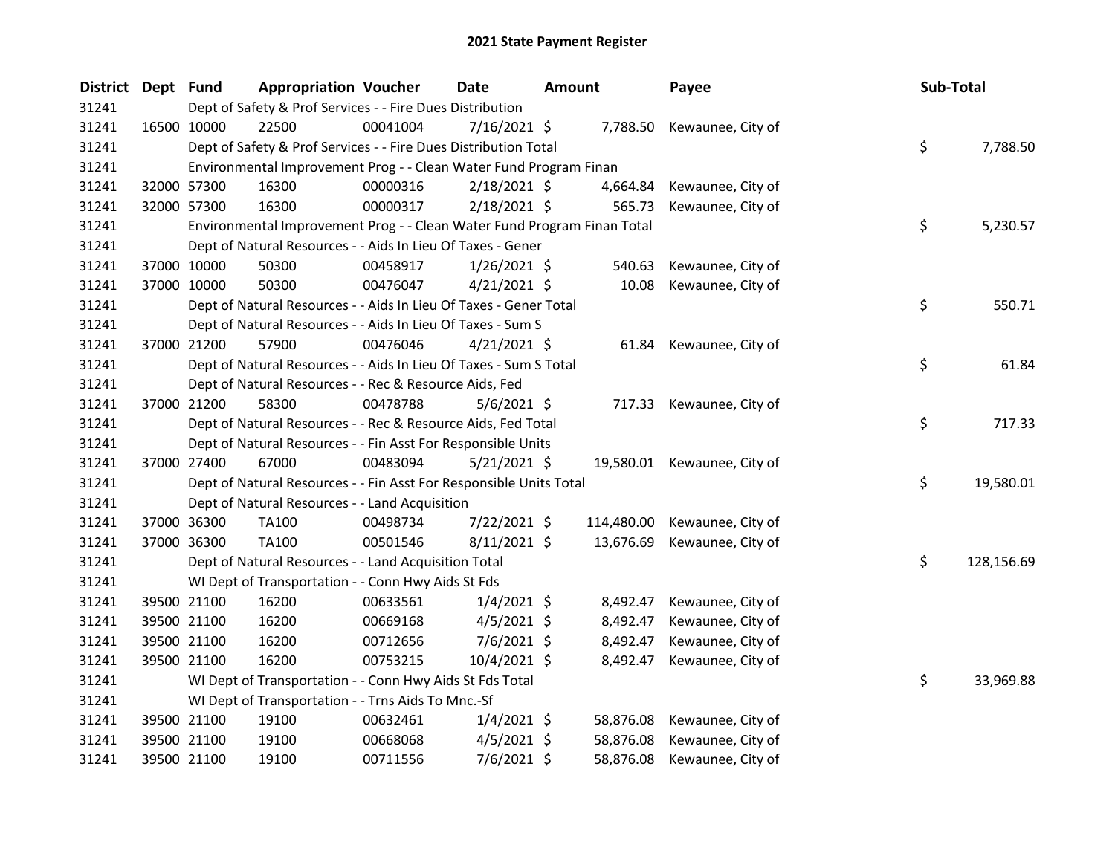| District Dept Fund |             |                                                                   | <b>Appropriation Voucher</b>                                            |          | Date           | <b>Amount</b> |            | Payee                       |  | Sub-Total |            |
|--------------------|-------------|-------------------------------------------------------------------|-------------------------------------------------------------------------|----------|----------------|---------------|------------|-----------------------------|--|-----------|------------|
| 31241              |             | Dept of Safety & Prof Services - - Fire Dues Distribution         |                                                                         |          |                |               |            |                             |  |           |            |
| 31241              | 16500 10000 |                                                                   | 22500                                                                   | 00041004 | $7/16/2021$ \$ |               |            | 7,788.50 Kewaunee, City of  |  |           |            |
| 31241              |             |                                                                   | Dept of Safety & Prof Services - - Fire Dues Distribution Total         |          |                |               |            |                             |  | \$        | 7,788.50   |
| 31241              |             | Environmental Improvement Prog - - Clean Water Fund Program Finan |                                                                         |          |                |               |            |                             |  |           |            |
| 31241              |             | 32000 57300                                                       | 16300                                                                   | 00000316 | 2/18/2021 \$   |               | 4,664.84   | Kewaunee, City of           |  |           |            |
| 31241              |             | 32000 57300                                                       | 16300                                                                   | 00000317 | 2/18/2021 \$   |               | 565.73     | Kewaunee, City of           |  |           |            |
| 31241              |             |                                                                   | Environmental Improvement Prog - - Clean Water Fund Program Finan Total |          |                |               |            |                             |  | \$        | 5,230.57   |
| 31241              |             |                                                                   | Dept of Natural Resources - - Aids In Lieu Of Taxes - Gener             |          |                |               |            |                             |  |           |            |
| 31241              |             | 37000 10000                                                       | 50300                                                                   | 00458917 | $1/26/2021$ \$ |               | 540.63     | Kewaunee, City of           |  |           |            |
| 31241              |             | 37000 10000                                                       | 50300                                                                   | 00476047 | $4/21/2021$ \$ |               | 10.08      | Kewaunee, City of           |  |           |            |
| 31241              |             |                                                                   | Dept of Natural Resources - - Aids In Lieu Of Taxes - Gener Total       |          |                |               |            |                             |  | \$        | 550.71     |
| 31241              |             |                                                                   | Dept of Natural Resources - - Aids In Lieu Of Taxes - Sum S             |          |                |               |            |                             |  |           |            |
| 31241              |             | 37000 21200                                                       | 57900                                                                   | 00476046 | $4/21/2021$ \$ |               | 61.84      | Kewaunee, City of           |  |           |            |
| 31241              |             |                                                                   | Dept of Natural Resources - - Aids In Lieu Of Taxes - Sum S Total       |          |                |               |            |                             |  | \$        | 61.84      |
| 31241              |             |                                                                   | Dept of Natural Resources - - Rec & Resource Aids, Fed                  |          |                |               |            |                             |  |           |            |
| 31241              | 37000 21200 |                                                                   | 58300                                                                   | 00478788 | $5/6/2021$ \$  |               |            | 717.33 Kewaunee, City of    |  |           |            |
| 31241              |             |                                                                   | Dept of Natural Resources - - Rec & Resource Aids, Fed Total            |          |                |               |            |                             |  | \$        | 717.33     |
| 31241              |             |                                                                   | Dept of Natural Resources - - Fin Asst For Responsible Units            |          |                |               |            |                             |  |           |            |
| 31241              |             | 37000 27400                                                       | 67000                                                                   | 00483094 | $5/21/2021$ \$ |               |            | 19,580.01 Kewaunee, City of |  |           |            |
| 31241              |             |                                                                   | Dept of Natural Resources - - Fin Asst For Responsible Units Total      |          |                |               |            |                             |  | \$        | 19,580.01  |
| 31241              |             |                                                                   | Dept of Natural Resources - - Land Acquisition                          |          |                |               |            |                             |  |           |            |
| 31241              |             | 37000 36300                                                       | TA100                                                                   | 00498734 | 7/22/2021 \$   |               | 114,480.00 | Kewaunee, City of           |  |           |            |
| 31241              |             | 37000 36300                                                       | TA100                                                                   | 00501546 | $8/11/2021$ \$ |               | 13,676.69  | Kewaunee, City of           |  |           |            |
| 31241              |             |                                                                   | Dept of Natural Resources - - Land Acquisition Total                    |          |                |               |            |                             |  | \$        | 128,156.69 |
| 31241              |             |                                                                   | WI Dept of Transportation - - Conn Hwy Aids St Fds                      |          |                |               |            |                             |  |           |            |
| 31241              |             | 39500 21100                                                       | 16200                                                                   | 00633561 | $1/4/2021$ \$  |               | 8,492.47   | Kewaunee, City of           |  |           |            |
| 31241              |             | 39500 21100                                                       | 16200                                                                   | 00669168 | $4/5/2021$ \$  |               | 8,492.47   | Kewaunee, City of           |  |           |            |
| 31241              |             | 39500 21100                                                       | 16200                                                                   | 00712656 | 7/6/2021 \$    |               | 8,492.47   | Kewaunee, City of           |  |           |            |
| 31241              |             | 39500 21100                                                       | 16200                                                                   | 00753215 | 10/4/2021 \$   |               | 8,492.47   | Kewaunee, City of           |  |           |            |
| 31241              |             |                                                                   | WI Dept of Transportation - - Conn Hwy Aids St Fds Total                |          |                |               |            |                             |  | \$        | 33,969.88  |
| 31241              |             |                                                                   | WI Dept of Transportation - - Trns Aids To Mnc.-Sf                      |          |                |               |            |                             |  |           |            |
| 31241              |             | 39500 21100                                                       | 19100                                                                   | 00632461 | $1/4/2021$ \$  |               | 58,876.08  | Kewaunee, City of           |  |           |            |
| 31241              |             | 39500 21100                                                       | 19100                                                                   | 00668068 | $4/5/2021$ \$  |               | 58,876.08  | Kewaunee, City of           |  |           |            |
| 31241              | 39500 21100 |                                                                   | 19100                                                                   | 00711556 | $7/6/2021$ \$  |               | 58,876.08  | Kewaunee, City of           |  |           |            |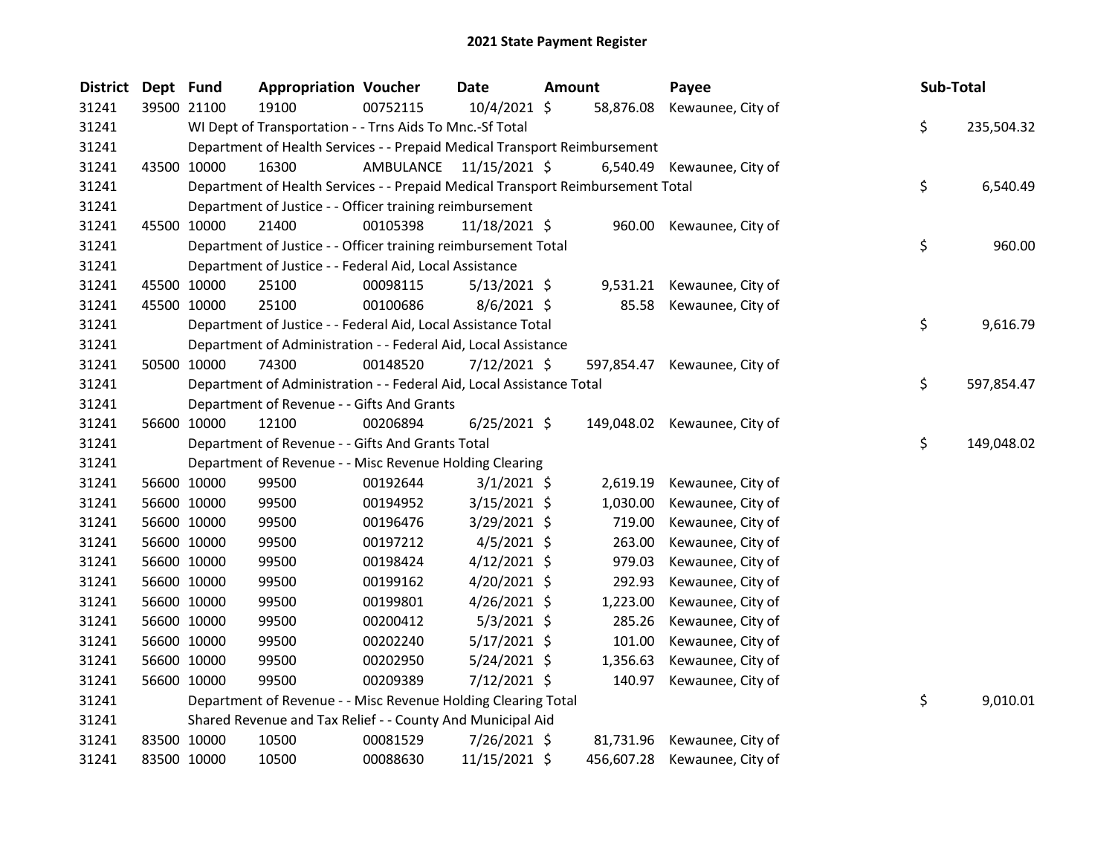| District Dept Fund |             | <b>Appropriation Voucher</b>                                                    |                         | <b>Date</b>    | <b>Amount</b> |            | Payee                        | Sub-Total |            |
|--------------------|-------------|---------------------------------------------------------------------------------|-------------------------|----------------|---------------|------------|------------------------------|-----------|------------|
| 31241              | 39500 21100 | 19100                                                                           | 00752115                | 10/4/2021 \$   |               | 58,876.08  | Kewaunee, City of            |           |            |
| 31241              |             | WI Dept of Transportation - - Trns Aids To Mnc.-Sf Total                        |                         |                |               |            |                              | \$        | 235,504.32 |
| 31241              |             | Department of Health Services - - Prepaid Medical Transport Reimbursement       |                         |                |               |            |                              |           |            |
| 31241              | 43500 10000 | 16300                                                                           | AMBULANCE 11/15/2021 \$ |                |               |            | 6,540.49 Kewaunee, City of   |           |            |
| 31241              |             | Department of Health Services - - Prepaid Medical Transport Reimbursement Total |                         |                |               |            |                              | \$        | 6,540.49   |
| 31241              |             | Department of Justice - - Officer training reimbursement                        |                         |                |               |            |                              |           |            |
| 31241              | 45500 10000 | 21400                                                                           | 00105398                | 11/18/2021 \$  |               | 960.00     | Kewaunee, City of            |           |            |
| 31241              |             | Department of Justice - - Officer training reimbursement Total                  |                         |                |               |            |                              | \$        | 960.00     |
| 31241              |             | Department of Justice - - Federal Aid, Local Assistance                         |                         |                |               |            |                              |           |            |
| 31241              | 45500 10000 | 25100                                                                           | 00098115                | $5/13/2021$ \$ |               |            | 9,531.21 Kewaunee, City of   |           |            |
| 31241              | 45500 10000 | 25100                                                                           | 00100686                | $8/6/2021$ \$  |               | 85.58      | Kewaunee, City of            |           |            |
| 31241              |             | Department of Justice - - Federal Aid, Local Assistance Total                   |                         |                |               |            |                              | \$        | 9,616.79   |
| 31241              |             | Department of Administration - - Federal Aid, Local Assistance                  |                         |                |               |            |                              |           |            |
| 31241              | 50500 10000 | 74300                                                                           | 00148520                | $7/12/2021$ \$ |               | 597,854.47 | Kewaunee, City of            |           |            |
| 31241              |             | Department of Administration - - Federal Aid, Local Assistance Total            |                         |                |               |            |                              | \$        | 597,854.47 |
| 31241              |             | Department of Revenue - - Gifts And Grants                                      |                         |                |               |            |                              |           |            |
| 31241              | 56600 10000 | 12100                                                                           | 00206894                | $6/25/2021$ \$ |               |            | 149,048.02 Kewaunee, City of |           |            |
| 31241              |             | Department of Revenue - - Gifts And Grants Total                                |                         |                |               |            |                              | \$        | 149,048.02 |
| 31241              |             | Department of Revenue - - Misc Revenue Holding Clearing                         |                         |                |               |            |                              |           |            |
| 31241              | 56600 10000 | 99500                                                                           | 00192644                | $3/1/2021$ \$  |               | 2,619.19   | Kewaunee, City of            |           |            |
| 31241              | 56600 10000 | 99500                                                                           | 00194952                | $3/15/2021$ \$ |               | 1,030.00   | Kewaunee, City of            |           |            |
| 31241              | 56600 10000 | 99500                                                                           | 00196476                | $3/29/2021$ \$ |               | 719.00     | Kewaunee, City of            |           |            |
| 31241              | 56600 10000 | 99500                                                                           | 00197212                | $4/5/2021$ \$  |               | 263.00     | Kewaunee, City of            |           |            |
| 31241              | 56600 10000 | 99500                                                                           | 00198424                | $4/12/2021$ \$ |               | 979.03     | Kewaunee, City of            |           |            |
| 31241              | 56600 10000 | 99500                                                                           | 00199162                | 4/20/2021 \$   |               | 292.93     | Kewaunee, City of            |           |            |
| 31241              | 56600 10000 | 99500                                                                           | 00199801                | $4/26/2021$ \$ |               | 1,223.00   | Kewaunee, City of            |           |            |
| 31241              | 56600 10000 | 99500                                                                           | 00200412                | $5/3/2021$ \$  |               | 285.26     | Kewaunee, City of            |           |            |
| 31241              | 56600 10000 | 99500                                                                           | 00202240                | 5/17/2021 \$   |               | 101.00     | Kewaunee, City of            |           |            |
| 31241              | 56600 10000 | 99500                                                                           | 00202950                | $5/24/2021$ \$ |               | 1,356.63   | Kewaunee, City of            |           |            |
| 31241              | 56600 10000 | 99500                                                                           | 00209389                | 7/12/2021 \$   |               | 140.97     | Kewaunee, City of            |           |            |
| 31241              |             | Department of Revenue - - Misc Revenue Holding Clearing Total                   |                         |                |               |            |                              | \$        | 9,010.01   |
| 31241              |             | Shared Revenue and Tax Relief - - County And Municipal Aid                      |                         |                |               |            |                              |           |            |
| 31241              | 83500 10000 | 10500                                                                           | 00081529                | 7/26/2021 \$   |               | 81,731.96  | Kewaunee, City of            |           |            |
| 31241              | 83500 10000 | 10500                                                                           | 00088630                | 11/15/2021 \$  |               | 456,607.28 | Kewaunee, City of            |           |            |